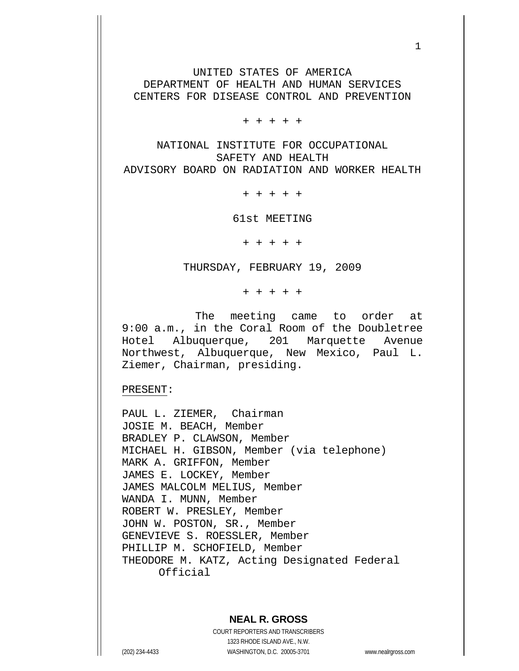UNITED STATES OF AMERICA DEPARTMENT OF HEALTH AND HUMAN SERVICES CENTERS FOR DISEASE CONTROL AND PREVENTION

 $1$ 

+ + + + +

NATIONAL INSTITUTE FOR OCCUPATIONAL SAFETY AND HEALTH ADVISORY BOARD ON RADIATION AND WORKER HEALTH

+ + + + +

61st MEETING

+ + + + +

THURSDAY, FEBRUARY 19, 2009

+ + + + +

 The meeting came to order at 9:00 a.m., in the Coral Room of the Doubletree Hotel Albuquerque, 201 Marquette Avenue Northwest, Albuquerque, New Mexico, Paul L. Ziemer, Chairman, presiding.

PRESENT:

PAUL L. ZIEMER, Chairman JOSIE M. BEACH, Member BRADLEY P. CLAWSON, Member MICHAEL H. GIBSON, Member (via telephone) MARK A. GRIFFON, Member JAMES E. LOCKEY, Member JAMES MALCOLM MELIUS, Member WANDA I. MUNN, Member ROBERT W. PRESLEY, Member JOHN W. POSTON, SR., Member GENEVIEVE S. ROESSLER, Member PHILLIP M. SCHOFIELD, Member THEODORE M. KATZ, Acting Designated Federal Official

### **NEAL R. GROSS**

COURT REPORTERS AND TRANSCRIBERS 1323 RHODE ISLAND AVE., N.W. (202) 234-4433 WASHINGTON, D.C. 20005-3701 www.nealrgross.com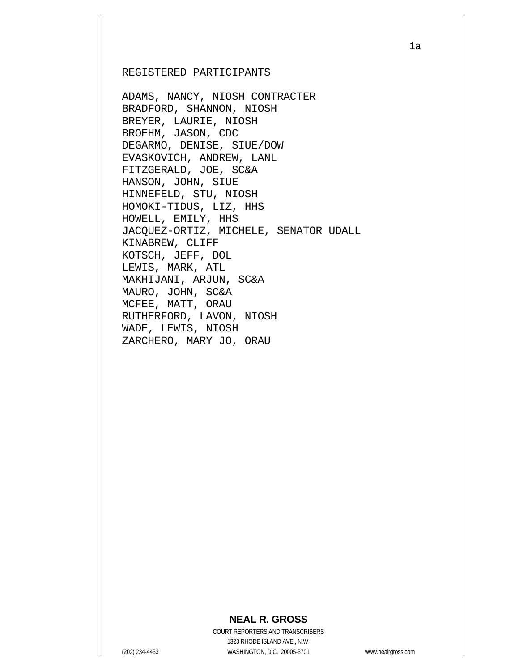#### REGISTERED PARTICIPANTS

ADAMS, NANCY, NIOSH CONTRACTER BRADFORD, SHANNON, NIOSH BREYER, LAURIE, NIOSH BROEHM, JASON, CDC DEGARMO, DENISE, SIUE/DOW EVASKOVICH, ANDREW, LANL FITZGERALD, JOE, SC&A HANSON, JOHN, SIUE HINNEFELD, STU, NIOSH HOMOKI-TIDUS, LIZ, HHS HOWELL, EMILY, HHS JACQUEZ-ORTIZ, MICHELE, SENATOR UDALL KINABREW, CLIFF KOTSCH, JEFF, DOL LEWIS, MARK, ATL MAKHIJANI, ARJUN, SC&A MAURO, JOHN, SC&A MCFEE, MATT, ORAU RUTHERFORD, LAVON, NIOSH WADE, LEWIS, NIOSH ZARCHERO, MARY JO, ORAU

## **NEAL R. GROSS**

COURT REPORTERS AND TRANSCRIBERS 1323 RHODE ISLAND AVE., N.W. (202) 234-4433 WASHINGTON, D.C. 20005-3701 www.nealrgross.com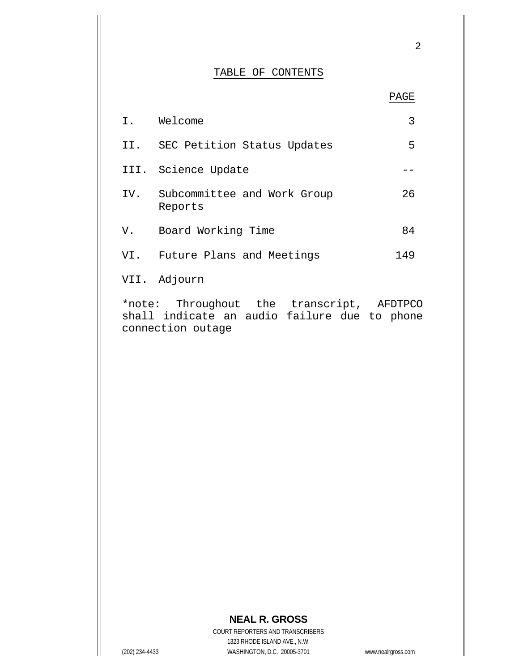#### TABLE OF CONTENTS

2

|     | I. Welcome                             | 3   |
|-----|----------------------------------------|-----|
|     | II. SEC Petition Status Updates        | 5   |
|     | III. Science Update                    |     |
| IV. | Subcommittee and Work Group<br>Reports | 26  |
| V.  | Board Working Time                     | 84  |
| VI. | Future Plans and Meetings              | 149 |
|     | VII. Adjourn                           |     |

\*note: Throughout the transcript, AFDTPCO shall indicate an audio failure due to phone connection outage

# **NEAL R. GROSS**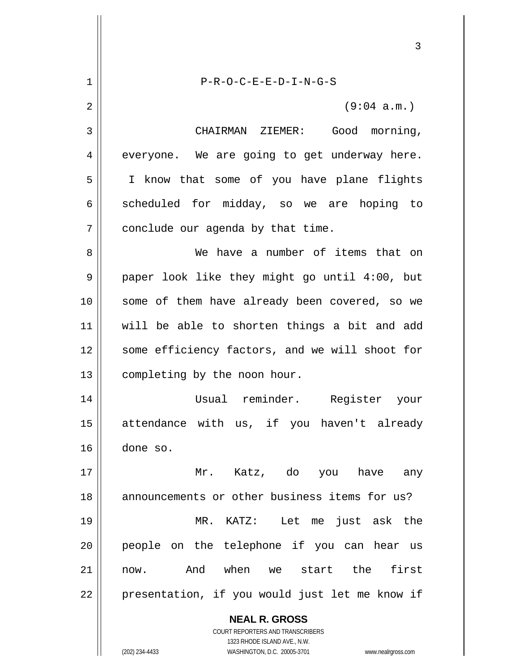**NEAL R. GROSS** COURT REPORTERS AND TRANSCRIBERS 1323 RHODE ISLAND AVE., N.W. 3 1 2 3 4 5 6 7 8 9 10 11 12 13 14 15 16 17 18 19 20 21 22 P-R-O-C-E-E-D-I-N-G-S (9:04 a.m.) CHAIRMAN ZIEMER: Good morning, everyone. We are going to get underway here. I know that some of you have plane flights scheduled for midday, so we are hoping to conclude our agenda by that time. We have a number of items that on paper look like they might go until 4:00, but some of them have already been covered, so we will be able to shorten things a bit and add some efficiency factors, and we will shoot for completing by the noon hour. Usual reminder. Register your attendance with us, if you haven't already done so. Mr. Katz, do you have any announcements or other business items for us? MR. KATZ: Let me just ask the people on the telephone if you can hear us now. And when we start the first presentation, if you would just let me know if

(202) 234-4433 WASHINGTON, D.C. 20005-3701 www.nealrgross.com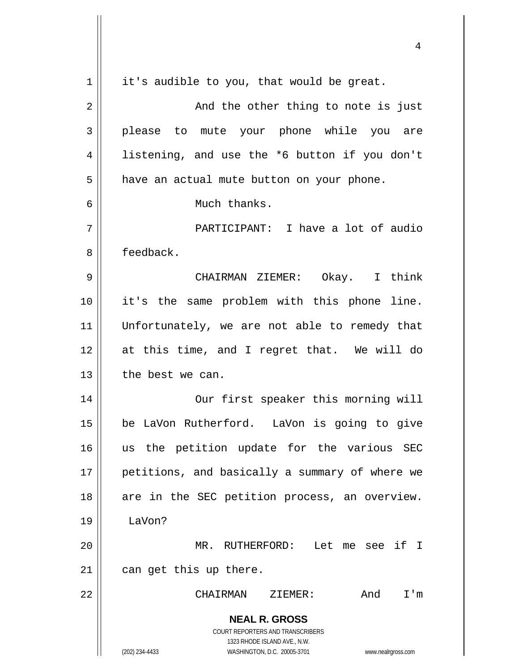**NEAL R. GROSS** COURT REPORTERS AND TRANSCRIBERS 1323 RHODE ISLAND AVE., N.W. (202) 234-4433 WASHINGTON, D.C. 20005-3701 www.nealrgross.com 1 2 3 4 5 6 7 8 9 10 11 12 13 14 15 16 17 18 19 20 21 22 it's audible to you, that would be great. And the other thing to note is just please to mute your phone while you are listening, and use the \*6 button if you don't have an actual mute button on your phone. Much thanks. PARTICIPANT: I have a lot of audio feedback. CHAIRMAN ZIEMER: Okay. I think it's the same problem with this phone line. Unfortunately, we are not able to remedy that at this time, and I regret that. We will do the best we can. Our first speaker this morning will be LaVon Rutherford. LaVon is going to give us the petition update for the various SEC petitions, and basically a summary of where we are in the SEC petition process, an overview. LaVon? MR. RUTHERFORD: Let me see if I can get this up there. CHAIRMAN ZIEMER: And I'm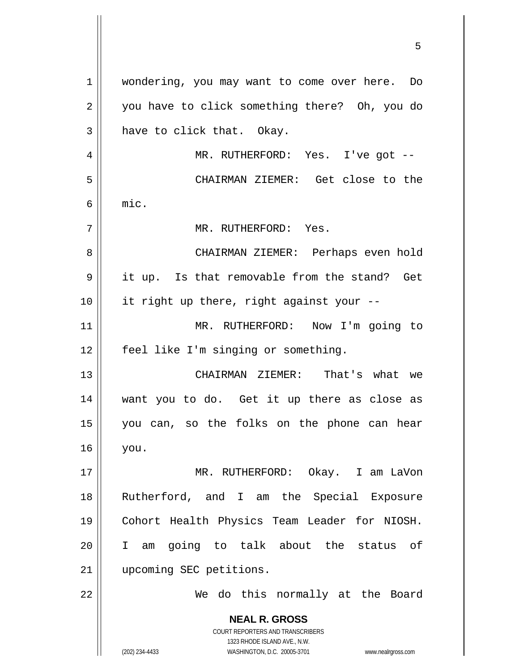**NEAL R. GROSS** COURT REPORTERS AND TRANSCRIBERS 1323 RHODE ISLAND AVE., N.W. (202) 234-4433 WASHINGTON, D.C. 20005-3701 www.nealrgross.com 1 2 3 4 5 6 7 8 9 10 11 12 13 14 15 16 17 18 19 20 21 22 wondering, you may want to come over here. Do you have to click something there? Oh, you do have to click that. Okay. MR. RUTHERFORD: Yes. I've got -- CHAIRMAN ZIEMER: Get close to the mic. MR. RUTHERFORD: Yes. CHAIRMAN ZIEMER: Perhaps even hold it up. Is that removable from the stand? Get it right up there, right against your -- MR. RUTHERFORD: Now I'm going to feel like I'm singing or something. CHAIRMAN ZIEMER: That's what we want you to do. Get it up there as close as you can, so the folks on the phone can hear you. MR. RUTHERFORD: Okay. I am LaVon Rutherford, and I am the Special Exposure Cohort Health Physics Team Leader for NIOSH. I am going to talk about the status of upcoming SEC petitions. We do this normally at the Board

<u>53 and 2001 and 2001 and 2001 and 2001 and 2001 and 2001 and 2001 and 2001 and 2001 and 2001 and 2001 and 200</u>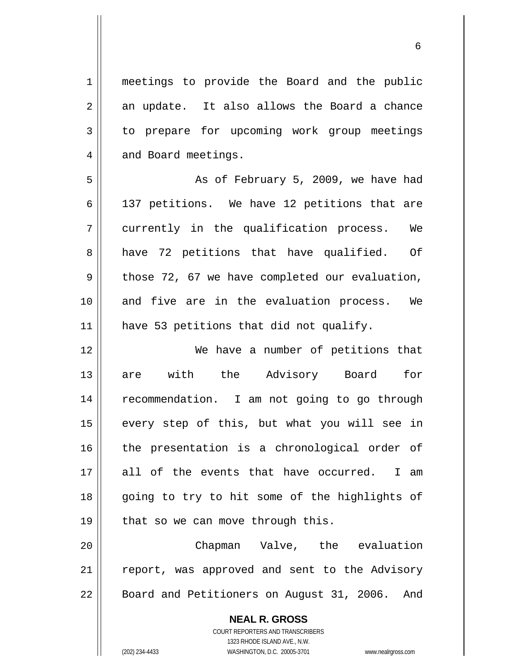meetings to provide the Board and the public an update. It also allows the Board a chance to prepare for upcoming work group meetings and Board meetings.

5 6 7 8 9 10 11 As of February 5, 2009, we have had 137 petitions. We have 12 petitions that are currently in the qualification process. We have 72 petitions that have qualified. Of those 72, 67 we have completed our evaluation, and five are in the evaluation process. We have 53 petitions that did not qualify.

12 13 14 15 16 17 18 19 We have a number of petitions that are with the Advisory Board for recommendation. I am not going to go through every step of this, but what you will see in the presentation is a chronological order of all of the events that have occurred. I am going to try to hit some of the highlights of that so we can move through this.

20 21 22 Chapman Valve, the evaluation report, was approved and sent to the Advisory Board and Petitioners on August 31, 2006. And

> **NEAL R. GROSS** COURT REPORTERS AND TRANSCRIBERS 1323 RHODE ISLAND AVE., N.W. (202) 234-4433 WASHINGTON, D.C. 20005-3701 www.nealrgross.com

1

2

3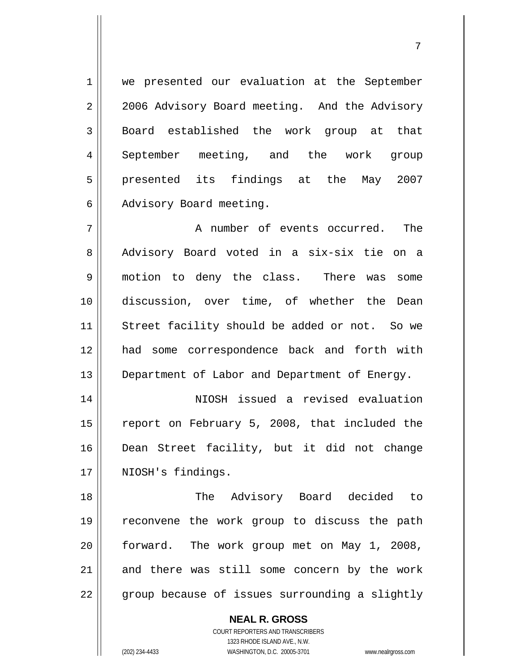1 2 3 4 5 6 we presented our evaluation at the September 2006 Advisory Board meeting. And the Advisory Board established the work group at that September meeting, and the work group presented its findings at the May 2007 Advisory Board meeting.

ли в село в село во село во село во село во село во село во село во село во село во село во село во село во се<br>Постојата на селото на селото на селото на селото на селото на селото на селото на селото на селото на селото

7 8 9 10 11 12 13 A number of events occurred. The Advisory Board voted in a six-six tie on a motion to deny the class. There was some discussion, over time, of whether the Dean Street facility should be added or not. So we had some correspondence back and forth with Department of Labor and Department of Energy.

14 15 16 17 NIOSH issued a revised evaluation report on February 5, 2008, that included the Dean Street facility, but it did not change NIOSH's findings.

18 19 20 21 22 The Advisory Board decided to reconvene the work group to discuss the path forward. The work group met on May 1, 2008, and there was still some concern by the work group because of issues surrounding a slightly

> **NEAL R. GROSS** COURT REPORTERS AND TRANSCRIBERS 1323 RHODE ISLAND AVE., N.W. (202) 234-4433 WASHINGTON, D.C. 20005-3701 www.nealrgross.com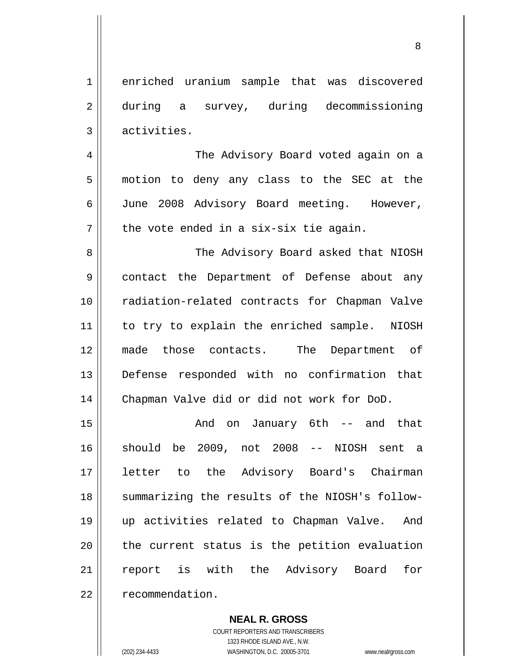1 2 3 enriched uranium sample that was discovered during a survey, during decommissioning activities.

 The Advisory Board voted again on a motion to deny any class to the SEC at the June 2008 Advisory Board meeting. However, the vote ended in a six-six tie again.

8 9 10 11 12 13 14 The Advisory Board asked that NIOSH contact the Department of Defense about any radiation-related contracts for Chapman Valve to try to explain the enriched sample. NIOSH made those contacts. The Department of Defense responded with no confirmation that Chapman Valve did or did not work for DoD.

15 16 17 18 19 20 21 22 And on January 6th -- and that should be 2009, not 2008 -- NIOSH sent a letter to the Advisory Board's Chairman summarizing the results of the NIOSH's followup activities related to Chapman Valve. And the current status is the petition evaluation report is with the Advisory Board for recommendation.

#### **NEAL R. GROSS**

COURT REPORTERS AND TRANSCRIBERS 1323 RHODE ISLAND AVE., N.W. (202) 234-4433 WASHINGTON, D.C. 20005-3701 www.nealrgross.com

4

5

6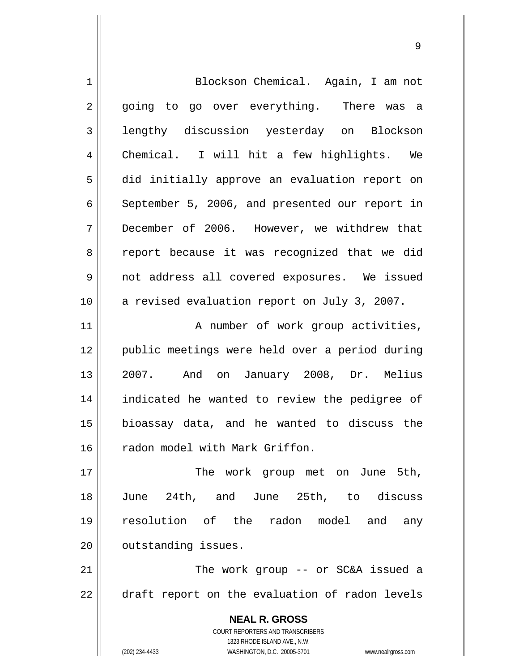| 1           | Blockson Chemical. Again, I am not                                  |
|-------------|---------------------------------------------------------------------|
| 2           | going to go over everything. There was a                            |
| 3           | lengthy discussion yesterday on Blockson                            |
| 4           | Chemical. I will hit a few highlights. We                           |
| 5           | did initially approve an evaluation report on                       |
| 6           | September 5, 2006, and presented our report in                      |
| 7           | December of 2006. However, we withdrew that                         |
| 8           | report because it was recognized that we did                        |
| $\mathsf 9$ | not address all covered exposures. We issued                        |
| 10          | a revised evaluation report on July 3, 2007.                        |
| 11          | A number of work group activities,                                  |
| 12          | public meetings were held over a period during                      |
| 13          | 2007. And on January 2008, Dr. Melius                               |
| 14          | indicated he wanted to review the pedigree of                       |
| 15          | bioassay data, and he wanted to discuss the                         |
| 16          | radon model with Mark Griffon.                                      |
| 17          | The work group met on June 5th,                                     |
| 18          | June 24th, and June 25th, to discuss                                |
| 19          | resolution of the radon model and<br>any                            |
| 20          | outstanding issues.                                                 |
| 21          | The work group -- or SC&A issued a                                  |
| 22          | draft report on the evaluation of radon levels                      |
|             | <b>NEAL R. GROSS</b>                                                |
|             | <b>COURT REPORTERS AND TRANSCRIBERS</b>                             |
|             | 1323 RHODE ISLAND AVE., N.W.                                        |
|             | (202) 234-4433<br>WASHINGTON, D.C. 20005-3701<br>www.nealrgross.com |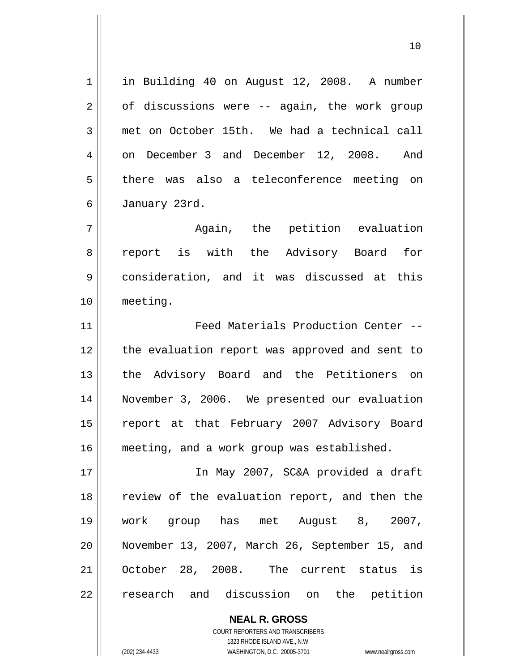1 2 3 4 5 6 7 8 9 10 11 12 13 14 15 16 17 18 19 20 21 22 in Building 40 on August 12, 2008. A number of discussions were -- again, the work group met on October 15th. We had a technical call on December 3 and December 12, 2008. And there was also a teleconference meeting on January 23rd. Again, the petition evaluation report is with the Advisory Board for consideration, and it was discussed at this meeting. Feed Materials Production Center - the evaluation report was approved and sent to the Advisory Board and the Petitioners on November 3, 2006. We presented our evaluation report at that February 2007 Advisory Board meeting, and a work group was established. In May 2007, SC&A provided a draft review of the evaluation report, and then the work group has met August 8, 2007, November 13, 2007, March 26, September 15, and October 28, 2008. The current status is research and discussion on the petition

10

**NEAL R. GROSS** COURT REPORTERS AND TRANSCRIBERS 1323 RHODE ISLAND AVE., N.W. (202) 234-4433 WASHINGTON, D.C. 20005-3701 www.nealrgross.com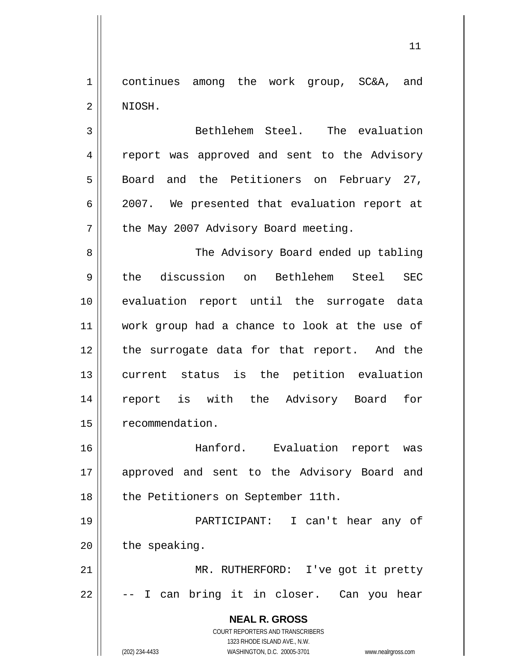1 2 continues among the work group, SC&A, and NIOSH.

3 4 5 6 7 Bethlehem Steel. The evaluation report was approved and sent to the Advisory Board and the Petitioners on February 27, 2007. We presented that evaluation report at the May 2007 Advisory Board meeting.

8 9 10 11 12 13 14 15 The Advisory Board ended up tabling the discussion on Bethlehem Steel SEC evaluation report until the surrogate data work group had a chance to look at the use of the surrogate data for that report. And the current status is the petition evaluation report is with the Advisory Board for recommendation.

16 17 18 Hanford. Evaluation report was approved and sent to the Advisory Board and the Petitioners on September 11th.

19 20 PARTICIPANT: I can't hear any of the speaking.

21 22 MR. RUTHERFORD: I've got it pretty -- I can bring it in closer. Can you hear

> **NEAL R. GROSS** COURT REPORTERS AND TRANSCRIBERS 1323 RHODE ISLAND AVE., N.W.

(202) 234-4433 WASHINGTON, D.C. 20005-3701 www.nealrgross.com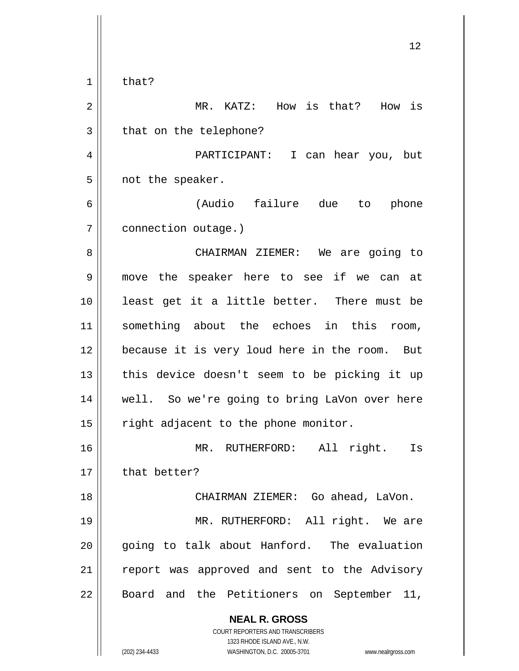|                | 12                                                                  |
|----------------|---------------------------------------------------------------------|
| $\mathbf 1$    | that?                                                               |
| $\overline{2}$ | MR. KATZ: How is that? How is                                       |
| 3              | that on the telephone?                                              |
| 4              | PARTICIPANT: I<br>can hear you, but                                 |
| 5              | not the speaker.                                                    |
| 6              | (Audio failure due<br>phone<br>to                                   |
| 7              | connection outage.)                                                 |
| 8              | CHAIRMAN ZIEMER: We are going to                                    |
| 9              | move the speaker here to see if we can at                           |
| 10             | least get it a little better. There must be                         |
| 11             | something about the echoes in this room,                            |
| 12             | because it is very loud here in the room. But                       |
| 13             | this device doesn't seem to be picking it up                        |
| 14             | well. So we're going to bring LaVon over here                       |
| 15             | right adjacent to the phone monitor.                                |
| 16             | MR. RUTHERFORD:<br>All<br>right. Is                                 |
| 17             | that better?                                                        |
| 18             | CHAIRMAN ZIEMER: Go ahead, LaVon.                                   |
| 19             | MR. RUTHERFORD: All right. We are                                   |
| 20             | going to talk about Hanford. The evaluation                         |
| 21             | report was approved and sent to the Advisory                        |
| 22             | Board and the Petitioners on September 11,                          |
|                | <b>NEAL R. GROSS</b>                                                |
|                | COURT REPORTERS AND TRANSCRIBERS<br>1323 RHODE ISLAND AVE., N.W.    |
|                | (202) 234-4433<br>WASHINGTON, D.C. 20005-3701<br>www.nealrgross.com |

 $\mathsf{I}$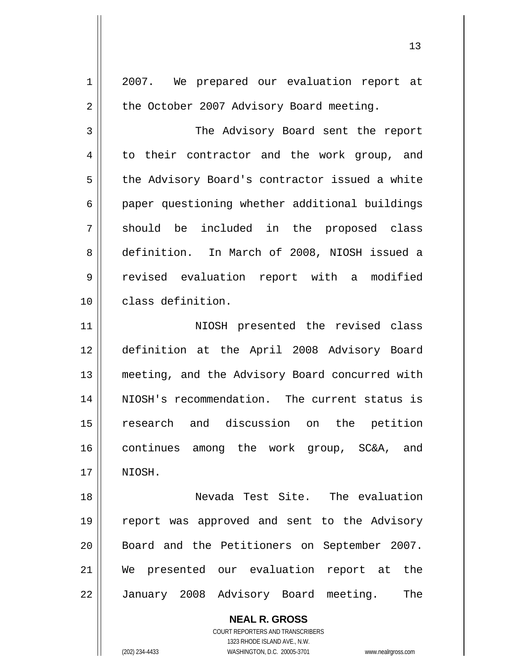**NEAL R. GROSS** 1 2 3 4 5 6 7 8 9 10 11 12 13 14 15 16 17 18 19 20 21 22 2007. We prepared our evaluation report at the October 2007 Advisory Board meeting. The Advisory Board sent the report to their contractor and the work group, and the Advisory Board's contractor issued a white paper questioning whether additional buildings should be included in the proposed class definition. In March of 2008, NIOSH issued a revised evaluation report with a modified class definition. NIOSH presented the revised class definition at the April 2008 Advisory Board meeting, and the Advisory Board concurred with NIOSH's recommendation. The current status is research and discussion on the petition continues among the work group, SC&A, and NIOSH. Nevada Test Site. The evaluation report was approved and sent to the Advisory Board and the Petitioners on September 2007. We presented our evaluation report at the January 2008 Advisory Board meeting. The

> COURT REPORTERS AND TRANSCRIBERS 1323 RHODE ISLAND AVE., N.W.

(202) 234-4433 WASHINGTON, D.C. 20005-3701 www.nealrgross.com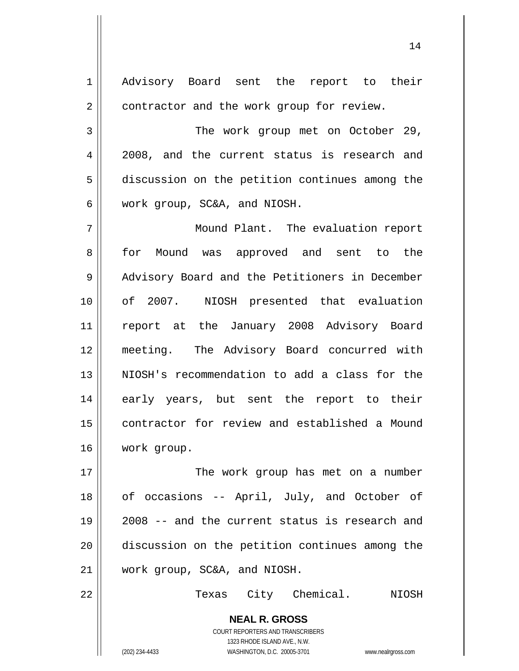**NEAL R. GROSS** COURT REPORTERS AND TRANSCRIBERS 1 2 3 4 5 6 7 8 9 10 11 12 13 14 15 16 17 18 19 20 21 22 Advisory Board sent the report to their contractor and the work group for review. The work group met on October 29, 2008, and the current status is research and discussion on the petition continues among the work group, SC&A, and NIOSH. Mound Plant. The evaluation report for Mound was approved and sent to the Advisory Board and the Petitioners in December of 2007. NIOSH presented that evaluation report at the January 2008 Advisory Board meeting. The Advisory Board concurred with NIOSH's recommendation to add a class for the early years, but sent the report to their contractor for review and established a Mound work group. The work group has met on a number of occasions -- April, July, and October of 2008 -- and the current status is research and discussion on the petition continues among the work group, SC&A, and NIOSH. Texas City Chemical. NIOSH

(202) 234-4433 WASHINGTON, D.C. 20005-3701 www.nealrgross.com

1323 RHODE ISLAND AVE., N.W.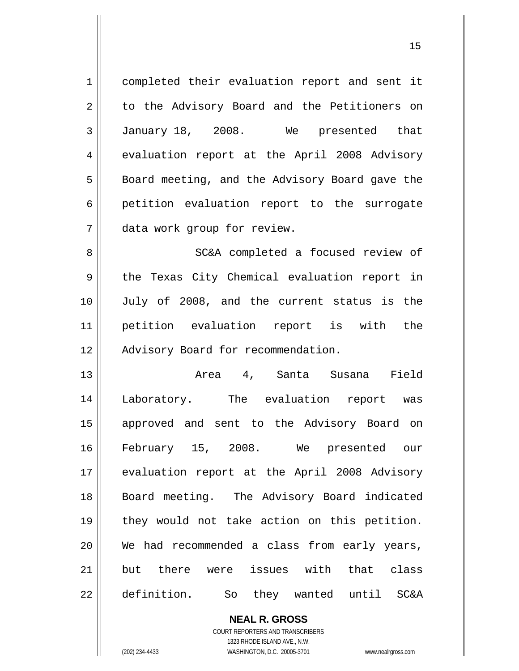| $\mathbf 1$ | completed their evaluation report and sent it          |
|-------------|--------------------------------------------------------|
| 2           | to the Advisory Board and the Petitioners on           |
| 3           | January 18, 2008. We presented that                    |
| 4           | evaluation report at the April 2008 Advisory           |
| 5           | Board meeting, and the Advisory Board gave the         |
| 6           | petition evaluation report to the surrogate            |
| 7           | data work group for review.                            |
| 8           | SC&A completed a focused review of                     |
| 9           | the Texas City Chemical evaluation report in           |
| 10          | July of 2008, and the current status is the            |
| 11          | petition evaluation report is with the                 |
| 12          | Advisory Board for recommendation.                     |
| 13          | Area 4, Santa Susana Field                             |
| 14          | Laboratory. The evaluation report was                  |
| 15          | approved and sent to the Advisory Board on             |
| 16          | February 15, 2008. We presented our                    |
| 17          | evaluation report at the April 2008 Advisory           |
| 18          | Board meeting. The Advisory Board indicated            |
| 19          | they would not take action on this petition.           |
| 20          | We had recommended a class from early years,           |
| 21          | but there were issues with that class                  |
| 22          | definition.<br>So they wanted until<br><b>SC&amp;A</b> |

COURT REPORTERS AND TRANSCRIBERS 1323 RHODE ISLAND AVE., N.W.

**NEAL R. GROSS**

(202) 234-4433 WASHINGTON, D.C. 20005-3701 www.nealrgross.com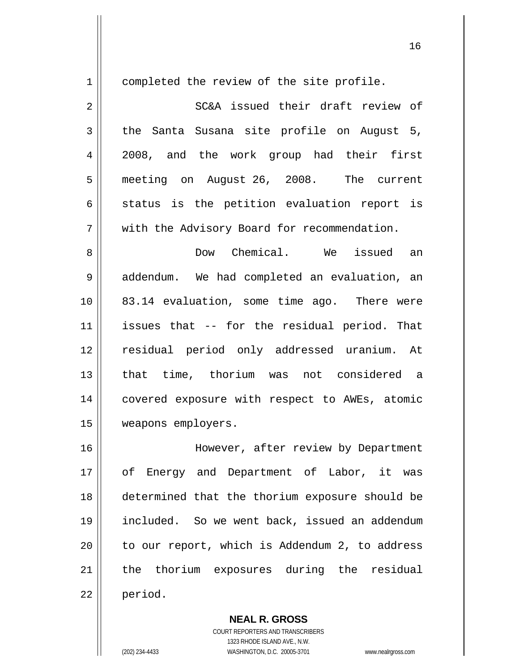1

completed the review of the site profile.

2 3 4 5 6 7 SC&A issued their draft review of the Santa Susana site profile on August 5, 2008, and the work group had their first meeting on August 26, 2008. The current status is the petition evaluation report is with the Advisory Board for recommendation.

8 9 10 11 12 13 14 15 Dow Chemical. We issued an addendum. We had completed an evaluation, an 83.14 evaluation, some time ago. There were issues that -- for the residual period. That residual period only addressed uranium. At that time, thorium was not considered a covered exposure with respect to AWEs, atomic weapons employers.

16 17 18 19 20 21 22 However, after review by Department of Energy and Department of Labor, it was determined that the thorium exposure should be included. So we went back, issued an addendum to our report, which is Addendum 2, to address the thorium exposures during the residual period.

> **NEAL R. GROSS** COURT REPORTERS AND TRANSCRIBERS 1323 RHODE ISLAND AVE., N.W. (202) 234-4433 WASHINGTON, D.C. 20005-3701 www.nealrgross.com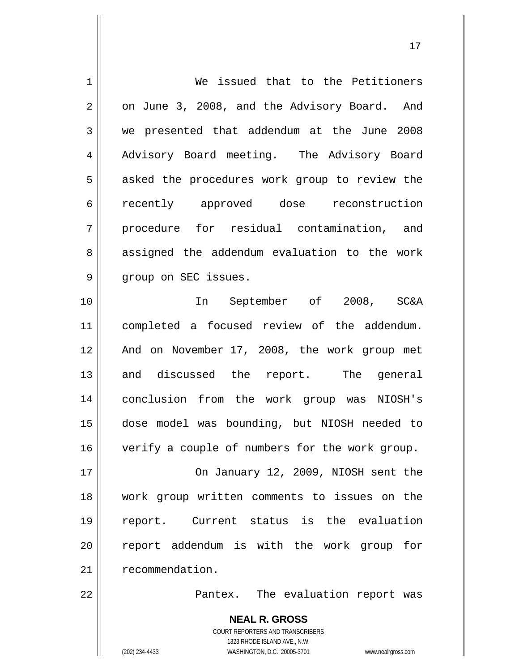| $\mathbf 1$    | We issued that to the Petitioners                           |
|----------------|-------------------------------------------------------------|
|                |                                                             |
| $\overline{2}$ | on June 3, 2008, and the Advisory Board. And                |
| 3              | we presented that addendum at the June 2008                 |
| 4              | Advisory Board meeting. The Advisory Board                  |
| 5              | asked the procedures work group to review the               |
| 6              | recently approved dose reconstruction                       |
| 7              | procedure for residual contamination, and                   |
| 8              | assigned the addendum evaluation to the work                |
| 9              | group on SEC issues.                                        |
| 10             | In September of 2008, SC&A                                  |
| 11             | completed a focused review of the addendum.                 |
| 12             | And on November 17, 2008, the work group met                |
| 13             | and discussed the report. The general                       |
| 14             | conclusion from the work group was NIOSH's                  |
| 15             | dose model was bounding, but NIOSH needed to                |
| 16             | verify a couple of numbers for the work group.              |
| 17             | On January 12, 2009, NIOSH sent the                         |
| 18             | work group written comments to issues on the                |
| 19             | report. Current status is the evaluation                    |
| 20             | report addendum is with the work group for                  |
| 21             | recommendation.                                             |
| 22             | Pantex. The evaluation report was                           |
|                | <b>NEAL R. GROSS</b>                                        |
|                | <b>COURT REPORTERS AND TRANSCRIBERS</b>                     |
|                | 1323 RHODE ISLAND AVE., N.W.<br>WASHINGTON, D.C. 20005-3701 |
|                | (202) 234-4433<br>www.nealrgross.com                        |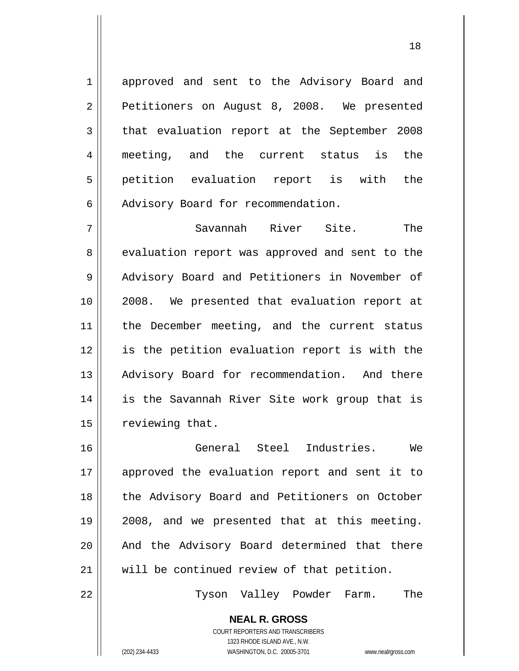approved and sent to the Advisory Board and Petitioners on August 8, 2008. We presented that evaluation report at the September 2008 meeting, and the current status is the petition evaluation report is with the Advisory Board for recommendation.

7 8 9 10 11 12 13 14 15 Savannah River Site. The evaluation report was approved and sent to the Advisory Board and Petitioners in November of 2008. We presented that evaluation report at the December meeting, and the current status is the petition evaluation report is with the Advisory Board for recommendation. And there is the Savannah River Site work group that is reviewing that.

16 17 18 19 20 21 General Steel Industries. We approved the evaluation report and sent it to the Advisory Board and Petitioners on October 2008, and we presented that at this meeting. And the Advisory Board determined that there will be continued review of that petition.

Tyson Valley Powder Farm. The

**NEAL R. GROSS** COURT REPORTERS AND TRANSCRIBERS 1323 RHODE ISLAND AVE., N.W.

22

1

2

3

4

5

6

(202) 234-4433 WASHINGTON, D.C. 20005-3701 www.nealrgross.com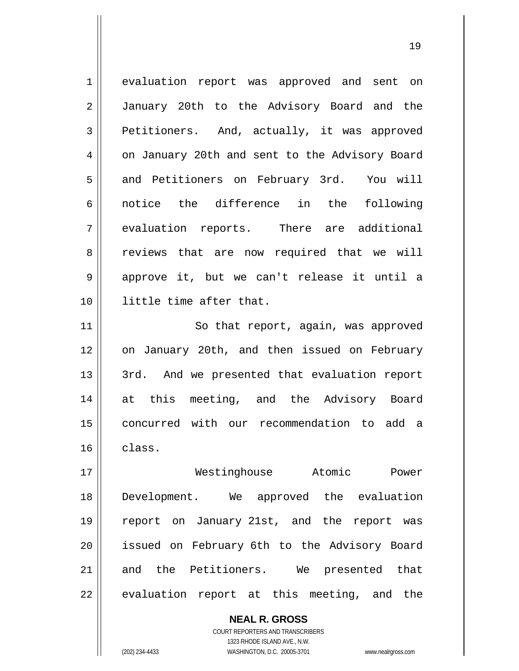1 2 3 4 5 6 7 8 9 10 11 12 13 14 15 16 17 18 evaluation report was approved and sent on January 20th to the Advisory Board and the Petitioners. And, actually, it was approved on January 20th and sent to the Advisory Board and Petitioners on February 3rd. You will notice the difference in the following evaluation reports. There are additional reviews that are now required that we will approve it, but we can't release it until a little time after that. So that report, again, was approved on January 20th, and then issued on February 3rd. And we presented that evaluation report at this meeting, and the Advisory Board concurred with our recommendation to add a class. Westinghouse Atomic Power Development. We approved the evaluation

19

19 20 21 22 report on January 21st, and the report was issued on February 6th to the Advisory Board and the Petitioners. We presented that evaluation report at this meeting, and the

> COURT REPORTERS AND TRANSCRIBERS 1323 RHODE ISLAND AVE., N.W. (202) 234-4433 WASHINGTON, D.C. 20005-3701 www.nealrgross.com

**NEAL R. GROSS**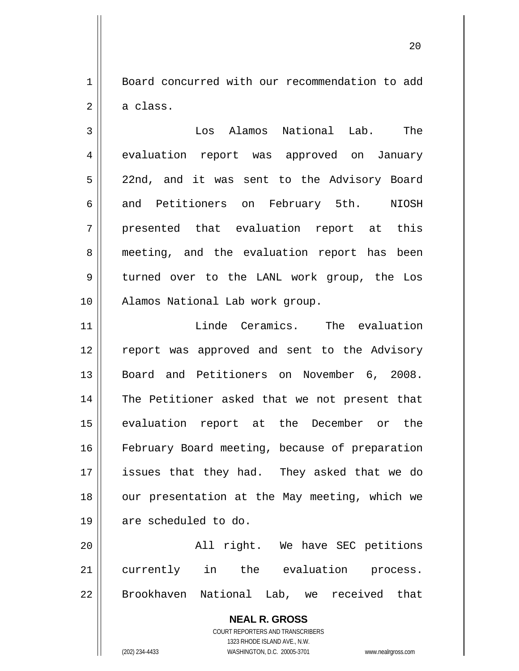1 2 Board concurred with our recommendation to add a class.

20

3 4 5 6 7 8 9 10 Los Alamos National Lab. The evaluation report was approved on January 22nd, and it was sent to the Advisory Board and Petitioners on February 5th. NIOSH presented that evaluation report at this meeting, and the evaluation report has been turned over to the LANL work group, the Los Alamos National Lab work group.

11 12 13 14 15 16 17 18 19 Linde Ceramics. The evaluation report was approved and sent to the Advisory Board and Petitioners on November 6, 2008. The Petitioner asked that we not present that evaluation report at the December or the February Board meeting, because of preparation issues that they had. They asked that we do our presentation at the May meeting, which we are scheduled to do.

20 21 22 All right. We have SEC petitions currently in the evaluation process. Brookhaven National Lab, we received that

> **NEAL R. GROSS** COURT REPORTERS AND TRANSCRIBERS 1323 RHODE ISLAND AVE., N.W. (202) 234-4433 WASHINGTON, D.C. 20005-3701 www.nealrgross.com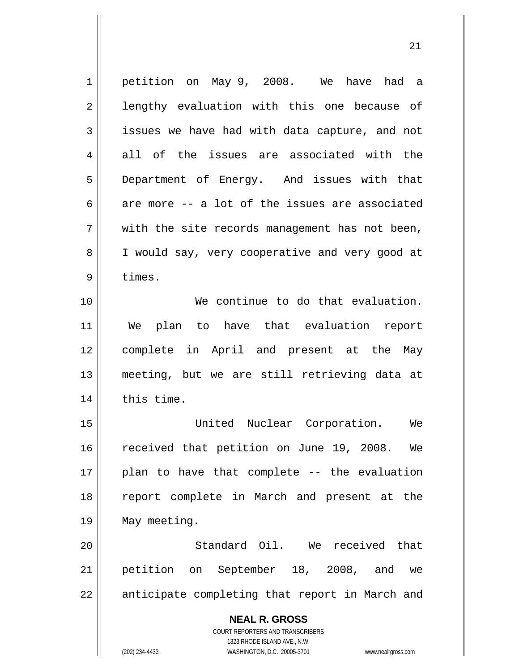| 1  | petition on May 9, 2008. We have had a                              |
|----|---------------------------------------------------------------------|
| 2  | lengthy evaluation with this one because of                         |
| 3  | issues we have had with data capture, and not                       |
| 4  | all of the issues are associated with the                           |
| 5  | Department of Energy. And issues with that                          |
| 6  | are more -- a lot of the issues are associated                      |
| 7  | with the site records management has not been,                      |
| 8  | I would say, very cooperative and very good at                      |
| 9  | times.                                                              |
| 10 | We continue to do that evaluation.                                  |
| 11 | We plan to have that evaluation report                              |
| 12 | complete in April and present at the May                            |
| 13 | meeting, but we are still retrieving data at                        |
| 14 | this time.                                                          |
| 15 | United Nuclear Corporation.<br>We                                   |
| 16 | received that petition on June 19, 2008. We                         |
| 17 | plan to have that complete -- the evaluation                        |
| 18 | report complete in March and present at the                         |
| 19 | May meeting.                                                        |
| 20 | Standard Oil. We received that                                      |
| 21 | petition on September 18, 2008, and<br>we                           |
| 22 | anticipate completing that report in March and                      |
|    | <b>NEAL R. GROSS</b>                                                |
|    | COURT REPORTERS AND TRANSCRIBERS                                    |
|    | 1323 RHODE ISLAND AVE., N.W.                                        |
|    | (202) 234-4433<br>WASHINGTON, D.C. 20005-3701<br>www.nealrgross.com |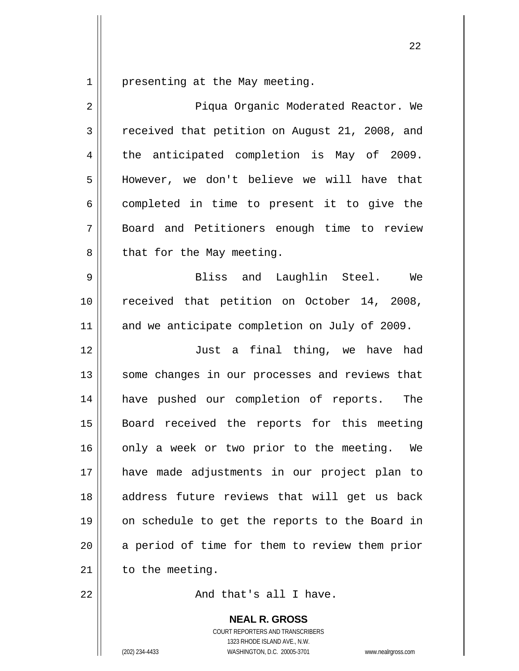1 presenting at the May meeting.

| $\overline{2}$ | Piqua Organic Moderated Reactor. We            |
|----------------|------------------------------------------------|
| 3              | received that petition on August 21, 2008, and |
| 4              | the anticipated completion is May of 2009.     |
| 5              | However, we don't believe we will have that    |
| 6              | completed in time to present it to give the    |
| 7              | Board and Petitioners enough time to review    |
| 8              | that for the May meeting.                      |
| 9              | Bliss and Laughlin Steel.<br>We                |
| 10             | received that petition on October 14, 2008,    |
| 11             | and we anticipate completion on July of 2009.  |
| 12             | Just a final thing, we have had                |
| 13             | some changes in our processes and reviews that |
| 14             | have pushed our completion of reports. The     |
| 15             | Board received the reports for this meeting    |
| 16             | only a week or two prior to the meeting. We    |
| 17             | have made adjustments in our project plan to   |
| 18             | address future reviews that will get us back   |
| 19             | on schedule to get the reports to the Board in |
| 20             | a period of time for them to review them prior |
| 21             | to the meeting.                                |
| 22             | And that's all I have.                         |

**NEAL R. GROSS**

COURT REPORTERS AND TRANSCRIBERS 1323 RHODE ISLAND AVE., N.W. (202) 234-4433 WASHINGTON, D.C. 20005-3701 www.nealrgross.com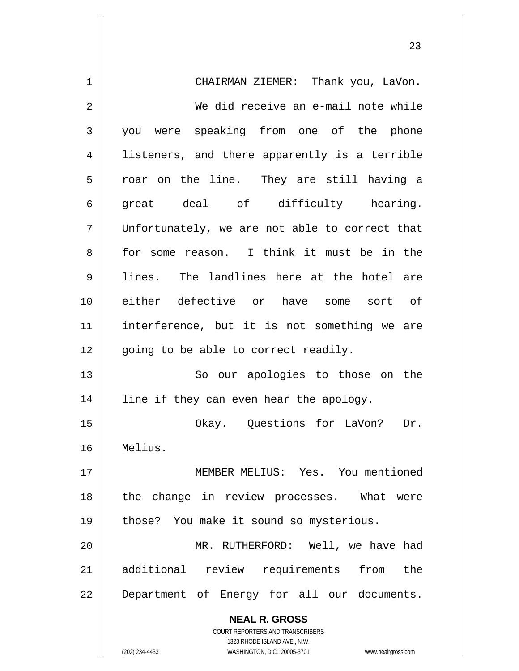| 1              | CHAIRMAN ZIEMER: Thank you, LaVon.                                  |
|----------------|---------------------------------------------------------------------|
| $\overline{2}$ | We did receive an e-mail note while                                 |
| 3              | you were speaking from one of the phone                             |
| 4              | listeners, and there apparently is a terrible                       |
| 5              | roar on the line. They are still having a                           |
| 6              | great deal of difficulty hearing.                                   |
| 7              | Unfortunately, we are not able to correct that                      |
| 8              | for some reason. I think it must be in the                          |
| 9              | lines. The landlines here at the hotel are                          |
| 10             | either defective or have some sort of                               |
| 11             | interference, but it is not something we are                        |
| 12             | going to be able to correct readily.                                |
| 13             | So our apologies to those on the                                    |
| 14             | line if they can even hear the apology.                             |
| 15             | Okay. Questions for LaVon? Dr.                                      |
| 16             | Melius.                                                             |
| 17             | MEMBER MELIUS: Yes. You mentioned                                   |
| 18             | the change in review processes. What<br>were                        |
| 19             | those? You make it sound so mysterious.                             |
| 20             | MR. RUTHERFORD: Well, we have had                                   |
| 21             | additional review requirements from the                             |
| 22             | Department of Energy for all our documents.                         |
|                | <b>NEAL R. GROSS</b>                                                |
|                | <b>COURT REPORTERS AND TRANSCRIBERS</b>                             |
|                | 1323 RHODE ISLAND AVE., N.W.                                        |
|                | WASHINGTON, D.C. 20005-3701<br>(202) 234-4433<br>www.nealrgross.com |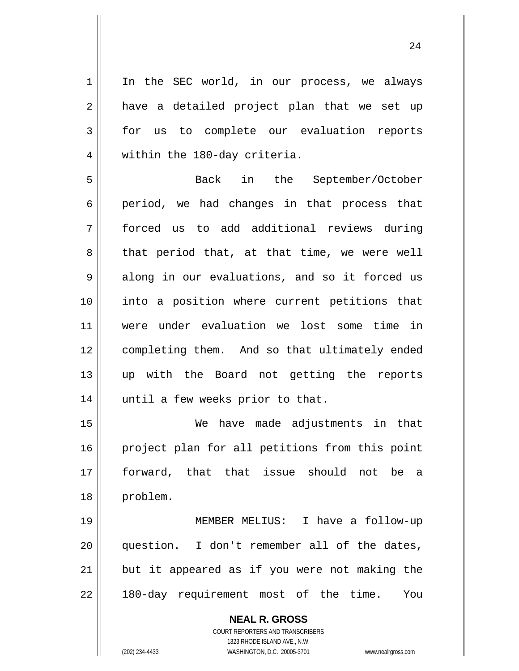In the SEC world, in our process, we always have a detailed project plan that we set up for us to complete our evaluation reports within the 180-day criteria.

5 6 7 8 9 10 11 12 13 14 Back in the September/October period, we had changes in that process that forced us to add additional reviews during that period that, at that time, we were well along in our evaluations, and so it forced us into a position where current petitions that were under evaluation we lost some time in completing them. And so that ultimately ended up with the Board not getting the reports until a few weeks prior to that.

15 16 17 18 We have made adjustments in that project plan for all petitions from this point forward, that that issue should not be a problem.

19 20 21 22 MEMBER MELIUS: I have a follow-up question. I don't remember all of the dates, but it appeared as if you were not making the 180-day requirement most of the time. You

> **NEAL R. GROSS** COURT REPORTERS AND TRANSCRIBERS 1323 RHODE ISLAND AVE., N.W. (202) 234-4433 WASHINGTON, D.C. 20005-3701 www.nealrgross.com

1

2

3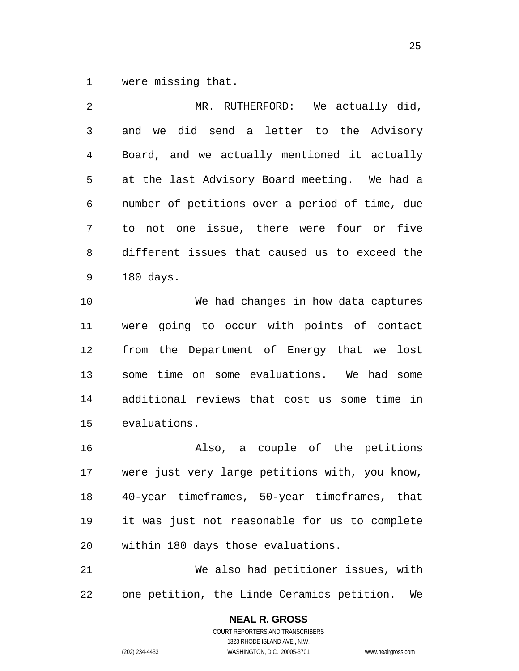1 were missing that.

| $\overline{2}$ | MR. RUTHERFORD:<br>We actually did,                                                                                                                             |
|----------------|-----------------------------------------------------------------------------------------------------------------------------------------------------------------|
| 3              | and we did send a letter to the Advisory                                                                                                                        |
| $\overline{4}$ | Board, and we actually mentioned it actually                                                                                                                    |
| 5              | at the last Advisory Board meeting. We had a                                                                                                                    |
| 6              | number of petitions over a period of time, due                                                                                                                  |
| 7              | to not one issue, there were four or five                                                                                                                       |
| 8              | different issues that caused us to exceed the                                                                                                                   |
| 9              | 180 days.                                                                                                                                                       |
| 10             | We had changes in how data captures                                                                                                                             |
| 11             | were going to occur with points of contact                                                                                                                      |
| 12             | the Department of Energy that we<br>lost<br>from                                                                                                                |
| 13             | some time on some evaluations. We had some                                                                                                                      |
| 14             | additional reviews that cost us some time in                                                                                                                    |
| 15             | evaluations.                                                                                                                                                    |
| 16             | Also, a couple of the petitions                                                                                                                                 |
| 17             | were just very large petitions with, you know,                                                                                                                  |
| 18             | 40-year timeframes, 50-year timeframes, that                                                                                                                    |
| 19             | it was just not reasonable for us to complete                                                                                                                   |
| 20             | within 180 days those evaluations.                                                                                                                              |
| 21             | We also had petitioner issues, with                                                                                                                             |
| 22             | one petition, the Linde Ceramics petition.<br>We                                                                                                                |
|                | <b>NEAL R. GROSS</b><br>COURT REPORTERS AND TRANSCRIBERS<br>1323 RHODE ISLAND AVE., N.W.<br>(202) 234-4433<br>WASHINGTON, D.C. 20005-3701<br>www.nealrgross.com |

<u>25</u>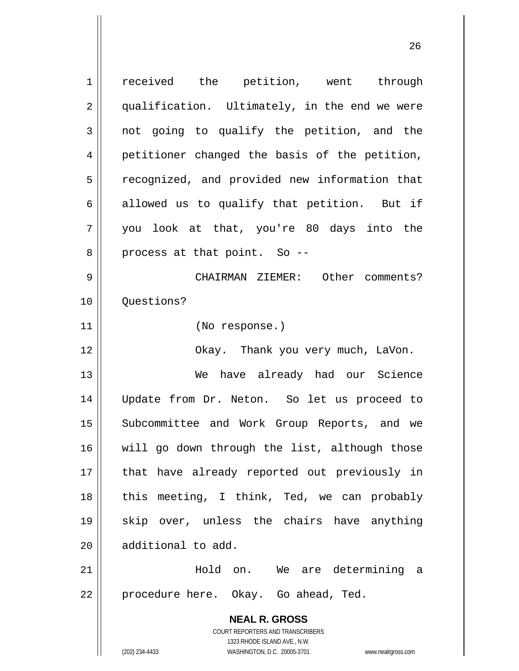**NEAL R. GROSS** COURT REPORTERS AND TRANSCRIBERS 1323 RHODE ISLAND AVE., N.W. (202) 234-4433 WASHINGTON, D.C. 20005-3701 www.nealrgross.com 1 2 3 4 5 6 7 8 9 10 11 12 13 14 15 16 17 18 19 20 21 22 received the petition, went through qualification. Ultimately, in the end we were not going to qualify the petition, and the petitioner changed the basis of the petition, recognized, and provided new information that allowed us to qualify that petition. But if you look at that, you're 80 days into the process at that point. So -- CHAIRMAN ZIEMER: Other comments? Questions? (No response.) Okay. Thank you very much, LaVon. We have already had our Science Update from Dr. Neton. So let us proceed to Subcommittee and Work Group Reports, and we will go down through the list, although those that have already reported out previously in this meeting, I think, Ted, we can probably skip over, unless the chairs have anything additional to add. Hold on. We are determining a procedure here. Okay. Go ahead, Ted.

<u>26</u>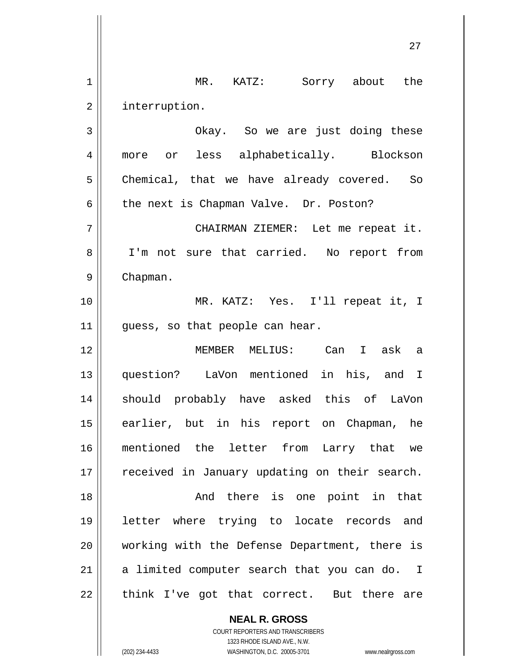1 2 3 4 5 6 7 8 9 10 11 12 13 14 15 16 17 18 19 20 21 22 MR. KATZ: Sorry about the interruption. Okay. So we are just doing these more or less alphabetically. Blockson Chemical, that we have already covered. So the next is Chapman Valve. Dr. Poston? CHAIRMAN ZIEMER: Let me repeat it. I'm not sure that carried. No report from Chapman. MR. KATZ: Yes. I'll repeat it, I guess, so that people can hear. MEMBER MELIUS: Can I ask a question? LaVon mentioned in his, and I should probably have asked this of LaVon earlier, but in his report on Chapman, he mentioned the letter from Larry that we received in January updating on their search. And there is one point in that letter where trying to locate records and working with the Defense Department, there is a limited computer search that you can do. I think I've got that correct. But there are

<u>27 and 27</u>

**NEAL R. GROSS** COURT REPORTERS AND TRANSCRIBERS

1323 RHODE ISLAND AVE., N.W.

(202) 234-4433 WASHINGTON, D.C. 20005-3701 www.nealrgross.com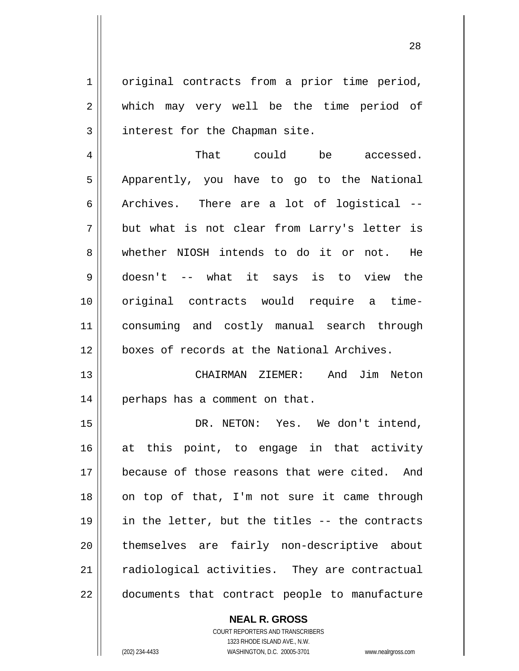original contracts from a prior time period, which may very well be the time period of interest for the Chapman site.

1

2

3

4 5 6 7 8 9 10 11 12 That could be accessed. Apparently, you have to go to the National Archives. There are a lot of logistical - but what is not clear from Larry's letter is whether NIOSH intends to do it or not. He doesn't -- what it says is to view the original contracts would require a timeconsuming and costly manual search through boxes of records at the National Archives.

13 14 CHAIRMAN ZIEMER: And Jim Neton perhaps has a comment on that.

15 16 17 18 19 20 21 22 DR. NETON: Yes. We don't intend, at this point, to engage in that activity because of those reasons that were cited. And on top of that, I'm not sure it came through in the letter, but the titles -- the contracts themselves are fairly non-descriptive about radiological activities. They are contractual documents that contract people to manufacture

> **NEAL R. GROSS** COURT REPORTERS AND TRANSCRIBERS 1323 RHODE ISLAND AVE., N.W. (202) 234-4433 WASHINGTON, D.C. 20005-3701 www.nealrgross.com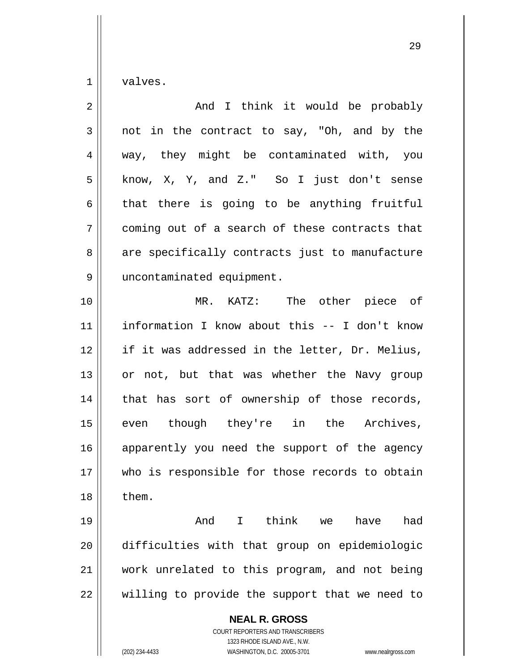1 valves.

| $\overline{2}$ | And I think it would be probably                                                                                                                                       |
|----------------|------------------------------------------------------------------------------------------------------------------------------------------------------------------------|
| 3              | not in the contract to say, "Oh, and by the                                                                                                                            |
| 4              | way, they might be contaminated with, you                                                                                                                              |
| 5              | know, X, Y, and Z." So I just don't sense                                                                                                                              |
| 6              | that there is going to be anything fruitful                                                                                                                            |
| 7              | coming out of a search of these contracts that                                                                                                                         |
| 8              | are specifically contracts just to manufacture                                                                                                                         |
| 9              | uncontaminated equipment.                                                                                                                                              |
| 10             | The other piece of<br>MR.<br>KATZ:                                                                                                                                     |
| 11             | information I know about this -- I don't know                                                                                                                          |
| 12             | if it was addressed in the letter, Dr. Melius,                                                                                                                         |
| 13             | or not, but that was whether the Navy group                                                                                                                            |
| 14             | that has sort of ownership of those records,                                                                                                                           |
| 15             | even though they're in the Archives,                                                                                                                                   |
| 16             | apparently you need the support of the agency                                                                                                                          |
| 17             | who is responsible for those records to obtain                                                                                                                         |
| 18             | them.                                                                                                                                                                  |
| 19             | And I think we<br>had<br>have                                                                                                                                          |
| 20             | difficulties with that group on epidemiologic                                                                                                                          |
| 21             | work unrelated to this program, and not being                                                                                                                          |
| 22             | willing to provide the support that we need to                                                                                                                         |
|                | <b>NEAL R. GROSS</b><br><b>COURT REPORTERS AND TRANSCRIBERS</b><br>1323 RHODE ISLAND AVE., N.W.<br>WASHINGTON, D.C. 20005-3701<br>(202) 234-4433<br>www.nealrgross.com |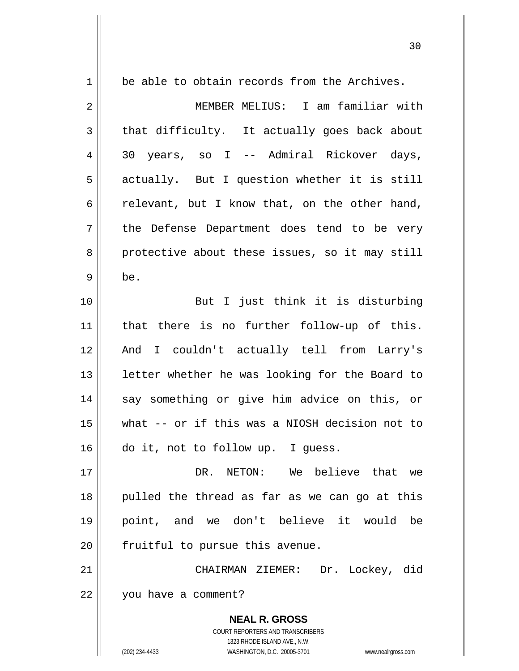| $\mathbf 1$    | be able to obtain records from the Archives.                            |
|----------------|-------------------------------------------------------------------------|
| $\sqrt{2}$     | MEMBER MELIUS: I am familiar with                                       |
| $\mathfrak{Z}$ | that difficulty. It actually goes back about                            |
| 4              | 30 years, so I -- Admiral Rickover days,                                |
| 5              | actually. But I question whether it is still                            |
| 6              | relevant, but I know that, on the other hand,                           |
| 7              | the Defense Department does tend to be very                             |
| 8              | protective about these issues, so it may still                          |
| $\mathsf 9$    | be.                                                                     |
| 10             | But I just think it is disturbing                                       |
| 11             | that there is no further follow-up of this.                             |
| 12             | And I couldn't actually tell from Larry's                               |
| 13             | letter whether he was looking for the Board to                          |
| 14             | say something or give him advice on this, or                            |
| 15             | what -- or if this was a NIOSH decision not to                          |
| 16             | do it, not to follow up. I guess.                                       |
| 17             | NETON: We believe that we<br>DR.                                        |
| 18             | pulled the thread as far as we can go at this                           |
| 19             | point, and we don't believe it would<br>be                              |
| 20             | fruitful to pursue this avenue.                                         |
| 21             | CHAIRMAN ZIEMER: Dr. Lockey, did                                        |
| 22             | you have a comment?                                                     |
|                | <b>NEAL R. GROSS</b>                                                    |
|                | <b>COURT REPORTERS AND TRANSCRIBERS</b><br>1323 RHODE ISLAND AVE., N.W. |
|                | (202) 234-4433<br>WASHINGTON, D.C. 20005-3701<br>www.nealrgross.com     |

 $\mathsf{I}$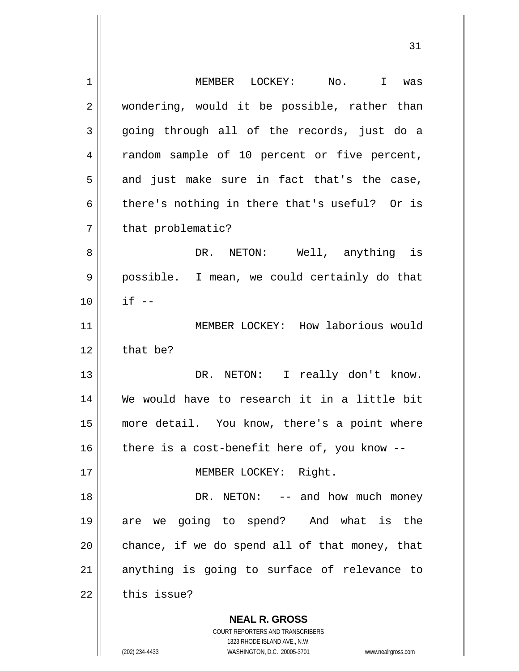| 1  | MEMBER LOCKEY:<br>No. I was                                         |
|----|---------------------------------------------------------------------|
| 2  | wondering, would it be possible, rather than                        |
| 3  | going through all of the records, just do a                         |
| 4  | random sample of 10 percent or five percent,                        |
| 5  | and just make sure in fact that's the case,                         |
| 6  | there's nothing in there that's useful? Or is                       |
| 7  | that problematic?                                                   |
| 8  | DR. NETON: Well, anything is                                        |
| 9  | possible. I mean, we could certainly do that                        |
| 10 | $if --$                                                             |
| 11 | MEMBER LOCKEY: How laborious would                                  |
| 12 | that be?                                                            |
| 13 | DR. NETON: I really don't know.                                     |
| 14 | We would have to research it in a little bit                        |
| 15 | more detail. You know, there's a point where                        |
| 16 | there is a cost-benefit here of, you know --                        |
| 17 | MEMBER LOCKEY: Right.                                               |
| 18 | DR. NETON: $--$ and how much money                                  |
| 19 | are we going to spend? And what is the                              |
| 20 | chance, if we do spend all of that money, that                      |
| 21 | anything is going to surface of relevance to                        |
| 22 | this issue?                                                         |
|    | <b>NEAL R. GROSS</b>                                                |
|    | COURT REPORTERS AND TRANSCRIBERS                                    |
|    | 1323 RHODE ISLAND AVE., N.W.                                        |
|    | (202) 234-4433<br>WASHINGTON, D.C. 20005-3701<br>www.nealrgross.com |

31

 $\mathsf{I}$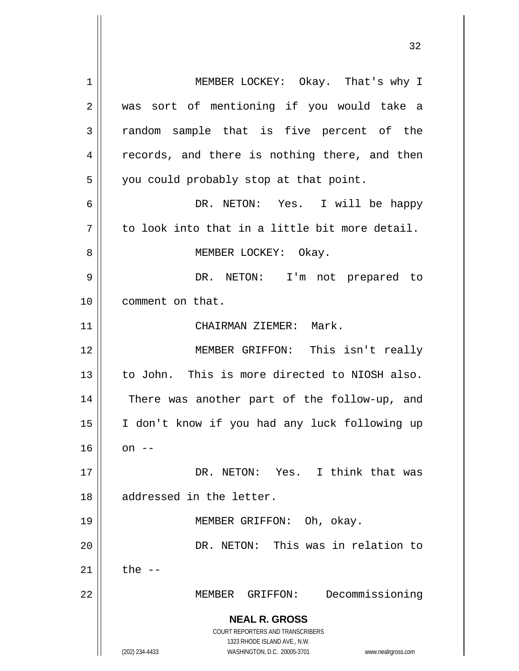**NEAL R. GROSS** COURT REPORTERS AND TRANSCRIBERS 1323 RHODE ISLAND AVE., N.W. (202) 234-4433 WASHINGTON, D.C. 20005-3701 www.nealrgross.com 1 2 3 4 5 6 7 8 9 10 11 12 13 14 15 16 17 18 19 20 21 22 MEMBER LOCKEY: Okay. That's why I was sort of mentioning if you would take a random sample that is five percent of the records, and there is nothing there, and then you could probably stop at that point. DR. NETON: Yes. I will be happy to look into that in a little bit more detail. MEMBER LOCKEY: Okay. DR. NETON: I'm not prepared to comment on that. CHAIRMAN ZIEMER: Mark. MEMBER GRIFFON: This isn't really to John. This is more directed to NIOSH also. There was another part of the follow-up, and I don't know if you had any luck following up on  $--$  DR. NETON: Yes. I think that was addressed in the letter. MEMBER GRIFFON: Oh, okay. DR. NETON: This was in relation to the  $--$ MEMBER GRIFFON: Decommissioning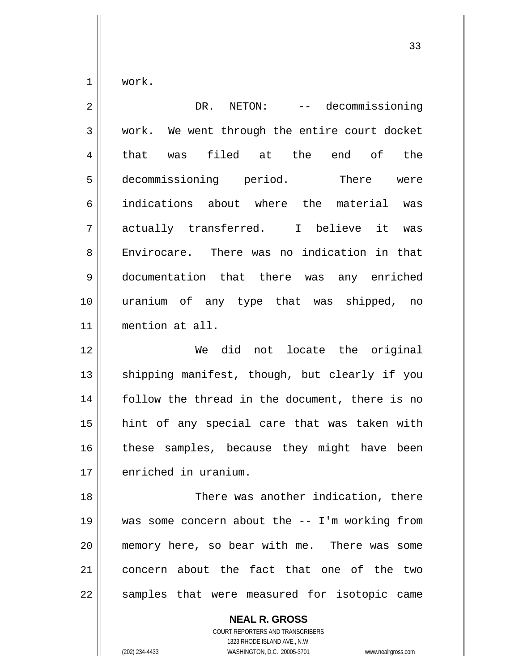1 work.

2 3 4 5 6 7 8 9 10 11 12 DR. NETON: -- decommissioning work. We went through the entire court docket that was filed at the end of the decommissioning period. There were indications about where the material was actually transferred. I believe it was Envirocare. There was no indication in that documentation that there was any enriched uranium of any type that was shipped, no mention at all. We did not locate the original

33

13 14 15 16 17 shipping manifest, though, but clearly if you follow the thread in the document, there is no hint of any special care that was taken with these samples, because they might have been enriched in uranium.

18 19 20 21 22 There was another indication, there was some concern about the -- I'm working from memory here, so bear with me. There was some concern about the fact that one of the two samples that were measured for isotopic came

> **NEAL R. GROSS** COURT REPORTERS AND TRANSCRIBERS 1323 RHODE ISLAND AVE., N.W. (202) 234-4433 WASHINGTON, D.C. 20005-3701 www.nealrgross.com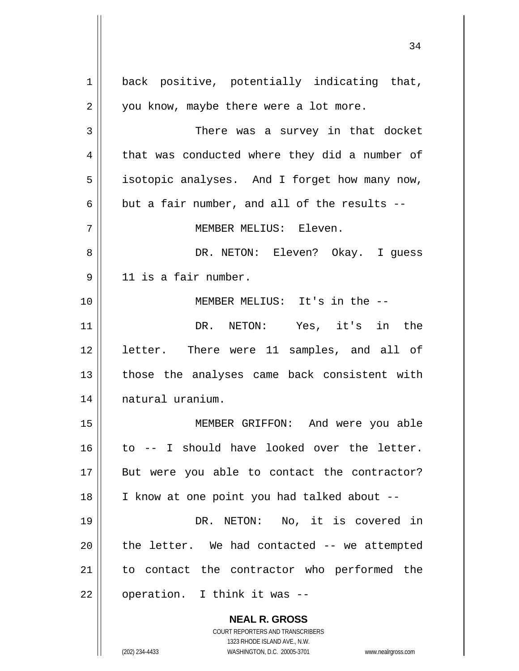**NEAL R. GROSS** COURT REPORTERS AND TRANSCRIBERS 1323 RHODE ISLAND AVE., N.W. 1 2 3 4 5 6 7 8 9 10 11 12 13 14 15 16 17 18 19 20 21 22 back positive, potentially indicating that, you know, maybe there were a lot more. There was a survey in that docket that was conducted where they did a number of isotopic analyses. And I forget how many now, but a fair number, and all of the results -- MEMBER MELIUS: Eleven. DR. NETON: Eleven? Okay. I guess 11 is a fair number. MEMBER MELIUS: It's in the -- DR. NETON: Yes, it's in the letter. There were 11 samples, and all of those the analyses came back consistent with natural uranium. MEMBER GRIFFON: And were you able to -- I should have looked over the letter. But were you able to contact the contractor? I know at one point you had talked about -- DR. NETON: No, it is covered in the letter. We had contacted -- we attempted to contact the contractor who performed the operation. I think it was --

34

(202) 234-4433 WASHINGTON, D.C. 20005-3701 www.nealrgross.com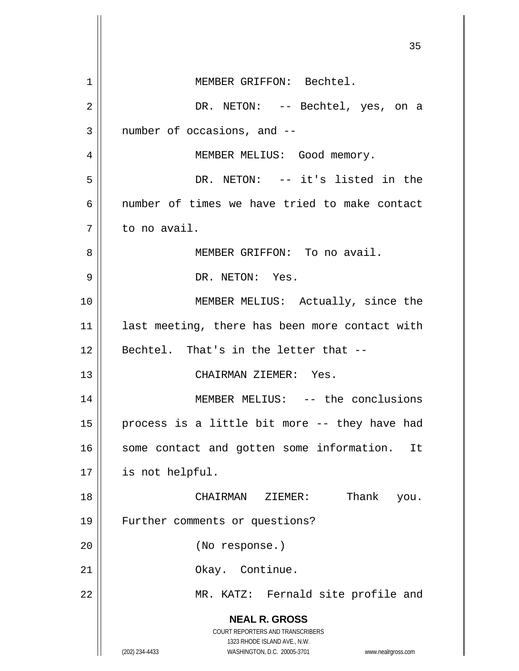**NEAL R. GROSS** COURT REPORTERS AND TRANSCRIBERS 1323 RHODE ISLAND AVE., N.W. (202) 234-4433 WASHINGTON, D.C. 20005-3701 www.nealrgross.com <u>35 and 2012</u> 1 2 3 4 5 6 7 8 9 10 11 12 13 14 15 16 17 18 19 20 21 22 MEMBER GRIFFON: Bechtel. DR. NETON: -- Bechtel, yes, on a number of occasions, and -- MEMBER MELIUS: Good memory. DR. NETON: -- it's listed in the number of times we have tried to make contact to no avail. MEMBER GRIFFON: To no avail. DR. NETON: Yes. MEMBER MELIUS: Actually, since the last meeting, there has been more contact with Bechtel. That's in the letter that -- CHAIRMAN ZIEMER: Yes. MEMBER MELIUS: -- the conclusions process is a little bit more -- they have had some contact and gotten some information. It is not helpful. CHAIRMAN ZIEMER: Thank you. Further comments or questions? (No response.) Okay. Continue. MR. KATZ: Fernald site profile and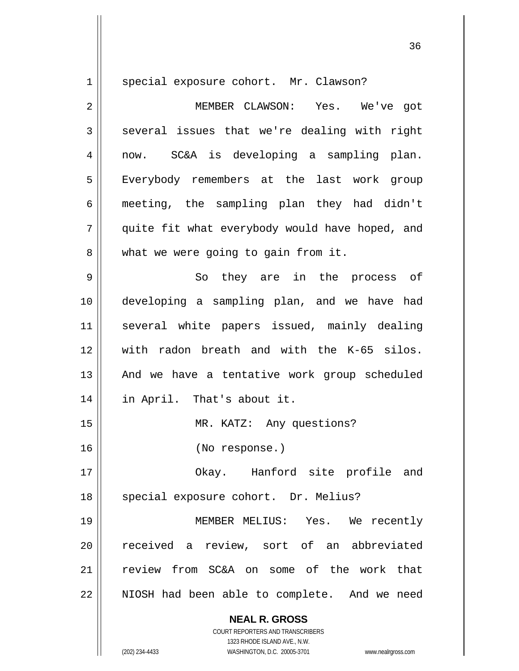1

special exposure cohort. Mr. Clawson?

2 3 4 5 6 7 8 9 10 11 12 13 14 15 16 17 18 19 20 21 MEMBER CLAWSON: Yes. We've got several issues that we're dealing with right now. SC&A is developing a sampling plan. Everybody remembers at the last work group meeting, the sampling plan they had didn't quite fit what everybody would have hoped, and what we were going to gain from it. So they are in the process of developing a sampling plan, and we have had several white papers issued, mainly dealing with radon breath and with the K-65 silos. And we have a tentative work group scheduled in April. That's about it. MR. KATZ: Any questions? (No response.) Okay. Hanford site profile and special exposure cohort. Dr. Melius? MEMBER MELIUS: Yes. We recently received a review, sort of an abbreviated review from SC&A on some of the work that

22 NIOSH had been able to complete. And we need

> **NEAL R. GROSS** COURT REPORTERS AND TRANSCRIBERS

1323 RHODE ISLAND AVE., N.W. (202) 234-4433 WASHINGTON, D.C. 20005-3701 www.nealrgross.com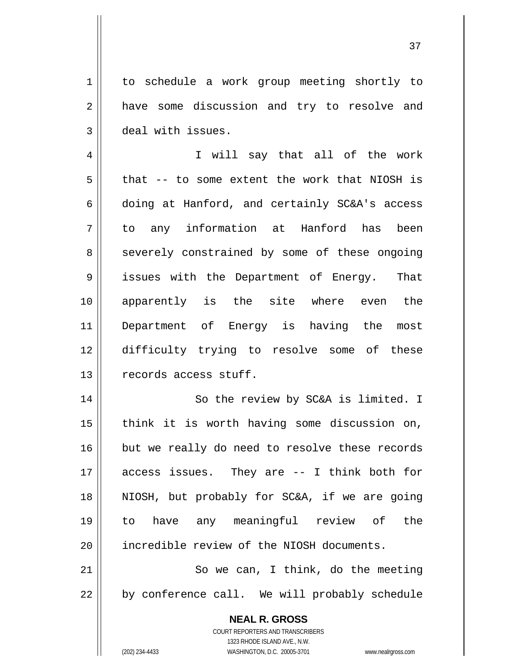to schedule a work group meeting shortly to have some discussion and try to resolve and deal with issues.

4 5 6 7 8 9 10 11 12 13 I will say that all of the work that -- to some extent the work that NIOSH is doing at Hanford, and certainly SC&A's access to any information at Hanford has been severely constrained by some of these ongoing issues with the Department of Energy. That apparently is the site where even the Department of Energy is having the most difficulty trying to resolve some of these records access stuff.

14 15 16 17 18 19 20 So the review by SC&A is limited. I think it is worth having some discussion on, but we really do need to resolve these records access issues. They are -- I think both for NIOSH, but probably for SC&A, if we are going to have any meaningful review of the incredible review of the NIOSH documents.

21 22 So we can, I think, do the meeting by conference call. We will probably schedule

> **NEAL R. GROSS** COURT REPORTERS AND TRANSCRIBERS 1323 RHODE ISLAND AVE., N.W.

1

2

3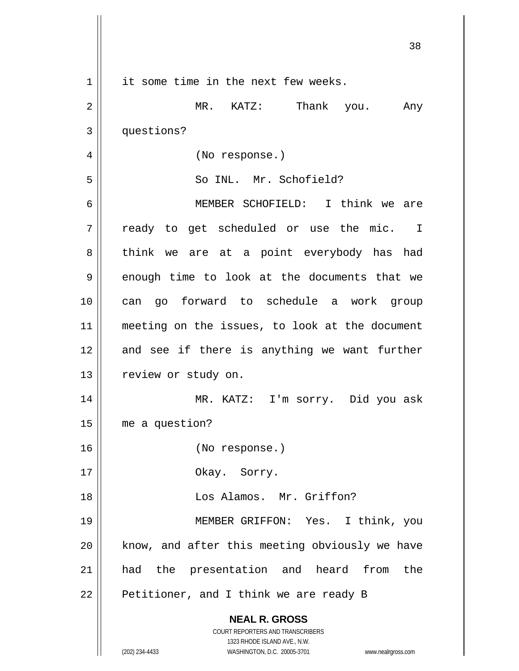|                | 38                                                                                                                                      |
|----------------|-----------------------------------------------------------------------------------------------------------------------------------------|
| $\mathbf 1$    | it some time in the next few weeks.                                                                                                     |
| $\overline{2}$ | MR. KATZ:<br>Thank you. Any                                                                                                             |
| 3              | questions?                                                                                                                              |
| 4              | (No response.)                                                                                                                          |
| 5              | So INL. Mr. Schofield?                                                                                                                  |
| 6              | MEMBER SCHOFIELD: I think we are                                                                                                        |
| 7              | ready to get scheduled or use the mic. I                                                                                                |
| 8              | think we are at a point everybody has had                                                                                               |
| 9              | enough time to look at the documents that we                                                                                            |
| 10             | can go forward to schedule a work group                                                                                                 |
| 11             | meeting on the issues, to look at the document                                                                                          |
| 12             | and see if there is anything we want further                                                                                            |
| 13             | review or study on.                                                                                                                     |
| 14             | MR. KATZ: I'm sorry. Did you ask                                                                                                        |
| 15             | me a question?                                                                                                                          |
| 16             | (No response.)                                                                                                                          |
| 17             | Okay. Sorry.                                                                                                                            |
| 18             | Los Alamos. Mr. Griffon?                                                                                                                |
| 19             | MEMBER GRIFFON: Yes. I think, you                                                                                                       |
| 20             | know, and after this meeting obviously we have                                                                                          |
| 21             | had the presentation and heard from<br>the                                                                                              |
| 22             | Petitioner, and I think we are ready B                                                                                                  |
|                | <b>NEAL R. GROSS</b>                                                                                                                    |
|                | COURT REPORTERS AND TRANSCRIBERS<br>1323 RHODE ISLAND AVE., N.W.<br>(202) 234-4433<br>WASHINGTON, D.C. 20005-3701<br>www.nealrgross.com |
|                |                                                                                                                                         |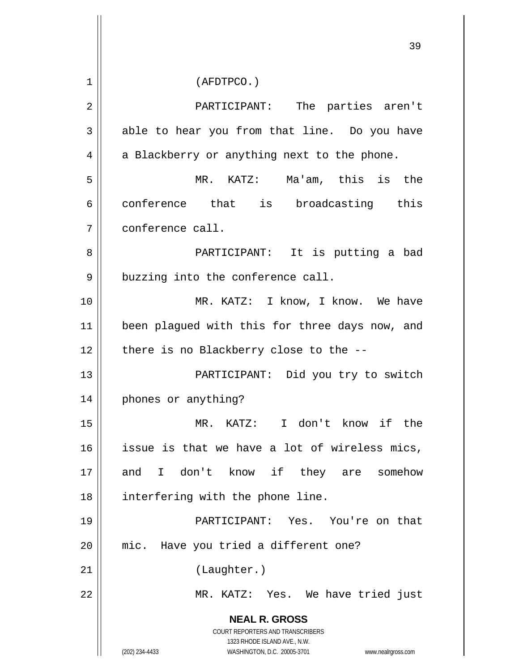**NEAL R. GROSS** COURT REPORTERS AND TRANSCRIBERS 1323 RHODE ISLAND AVE., N.W. (202) 234-4433 WASHINGTON, D.C. 20005-3701 www.nealrgross.com 39 1 2 3 4 5 6 7 8 9 10 11 12 13 14 15 16 17 18 19 20 21 22 (AFDTPCO.) PARTICIPANT: The parties aren't able to hear you from that line. Do you have a Blackberry or anything next to the phone. MR. KATZ: Ma'am, this is the conference that is broadcasting this conference call. PARTICIPANT: It is putting a bad buzzing into the conference call. MR. KATZ: I know, I know. We have been plagued with this for three days now, and there is no Blackberry close to the -- PARTICIPANT: Did you try to switch phones or anything? MR. KATZ: I don't know if the issue is that we have a lot of wireless mics, and I don't know if they are somehow interfering with the phone line. PARTICIPANT: Yes. You're on that mic. Have you tried a different one? (Laughter.) MR. KATZ: Yes. We have tried just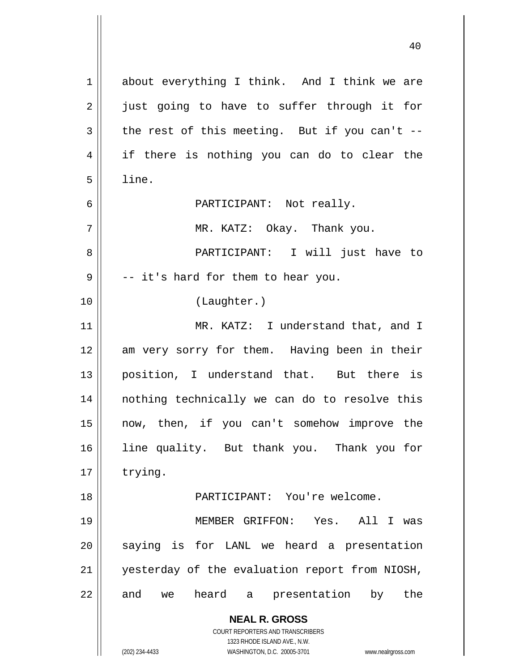**NEAL R. GROSS** COURT REPORTERS AND TRANSCRIBERS 1323 RHODE ISLAND AVE., N.W. (202) 234-4433 WASHINGTON, D.C. 20005-3701 www.nealrgross.com 1 2 3 4 5 6 7 8 9 10 11 12 13 14 15 16 17 18 19 20 21 22 about everything I think. And I think we are just going to have to suffer through it for the rest of this meeting. But if you can't - if there is nothing you can do to clear the line. PARTICIPANT: Not really. MR. KATZ: Okay. Thank you. PARTICIPANT: I will just have to -- it's hard for them to hear you. (Laughter.) MR. KATZ: I understand that, and I am very sorry for them. Having been in their position, I understand that. But there is nothing technically we can do to resolve this now, then, if you can't somehow improve the line quality. But thank you. Thank you for trying. PARTICIPANT: You're welcome. MEMBER GRIFFON: Yes. All I was saying is for LANL we heard a presentation yesterday of the evaluation report from NIOSH, and we heard a presentation by the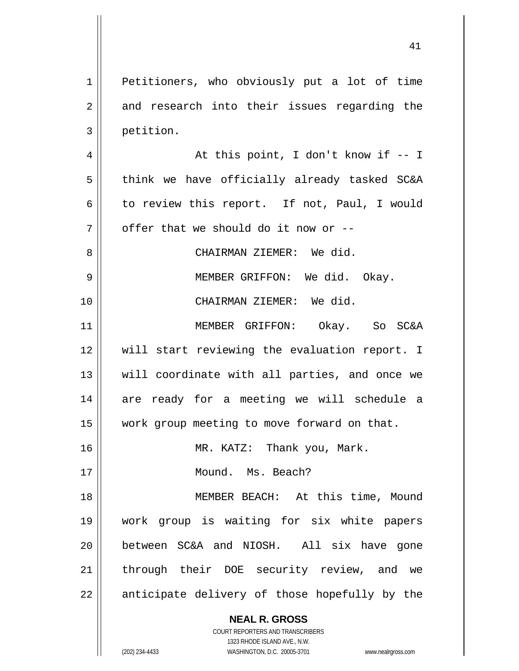1 2 3 Petitioners, who obviously put a lot of time and research into their issues regarding the petition.

4 5 6 7 At this point, I don't know if -- I think we have officially already tasked SC&A to review this report. If not, Paul, I would offer that we should do it now or --

> CHAIRMAN ZIEMER: We did. MEMBER GRIFFON: We did. Okay. CHAIRMAN ZIEMER: We did.

11 12 13 14 15 MEMBER GRIFFON: Okay. So SC&A will start reviewing the evaluation report. I will coordinate with all parties, and once we are ready for a meeting we will schedule a work group meeting to move forward on that.

MR. KATZ: Thank you, Mark.

Mound. Ms. Beach?

18 19 20 21 22 MEMBER BEACH: At this time, Mound work group is waiting for six white papers between SC&A and NIOSH. All six have gone through their DOE security review, and we anticipate delivery of those hopefully by the

**NEAL R. GROSS**

8

9

10

16

17

COURT REPORTERS AND TRANSCRIBERS 1323 RHODE ISLAND AVE., N.W. (202) 234-4433 WASHINGTON, D.C. 20005-3701 www.nealrgross.com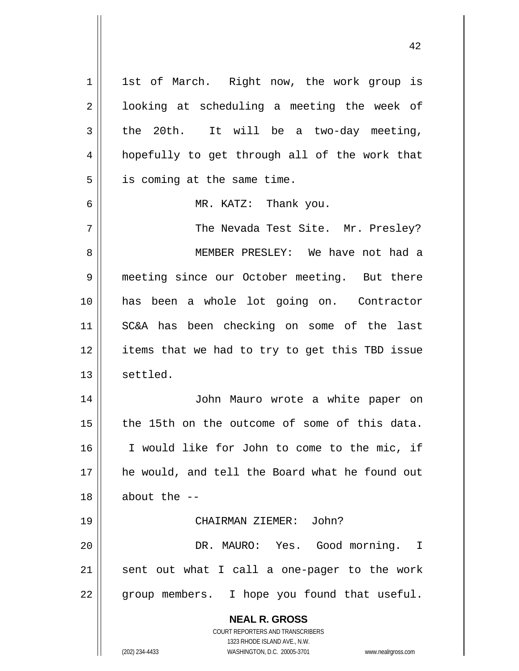**NEAL R. GROSS** COURT REPORTERS AND TRANSCRIBERS 1323 RHODE ISLAND AVE., N.W. (202) 234-4433 WASHINGTON, D.C. 20005-3701 www.nealrgross.com 1 2 3 4 5 6 7 8 9 10 11 12 13 14 15 16 17 18 19 20 21 22 1st of March. Right now, the work group is looking at scheduling a meeting the week of the 20th. It will be a two-day meeting, hopefully to get through all of the work that is coming at the same time. MR. KATZ: Thank you. The Nevada Test Site. Mr. Presley? MEMBER PRESLEY: We have not had a meeting since our October meeting. But there has been a whole lot going on. Contractor SC&A has been checking on some of the last items that we had to try to get this TBD issue settled. John Mauro wrote a white paper on the 15th on the outcome of some of this data. I would like for John to come to the mic, if he would, and tell the Board what he found out about the -- CHAIRMAN ZIEMER: John? DR. MAURO: Yes. Good morning. I sent out what I call a one-pager to the work group members. I hope you found that useful.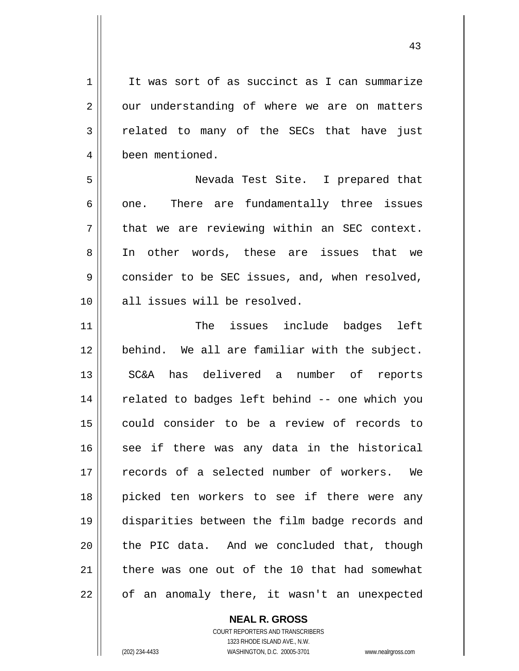It was sort of as succinct as I can summarize our understanding of where we are on matters related to many of the SECs that have just been mentioned.

43

5 6 7 8 9 10 Nevada Test Site. I prepared that one. There are fundamentally three issues that we are reviewing within an SEC context. In other words, these are issues that we consider to be SEC issues, and, when resolved, all issues will be resolved.

11 12 13 14 15 16 17 18 19 20 21 22 The issues include badges left behind. We all are familiar with the subject. SC&A has delivered a number of reports related to badges left behind -- one which you could consider to be a review of records to see if there was any data in the historical records of a selected number of workers. We picked ten workers to see if there were any disparities between the film badge records and the PIC data. And we concluded that, though there was one out of the 10 that had somewhat of an anomaly there, it wasn't an unexpected

> **NEAL R. GROSS** COURT REPORTERS AND TRANSCRIBERS 1323 RHODE ISLAND AVE., N.W. (202) 234-4433 WASHINGTON, D.C. 20005-3701 www.nealrgross.com

1

2

3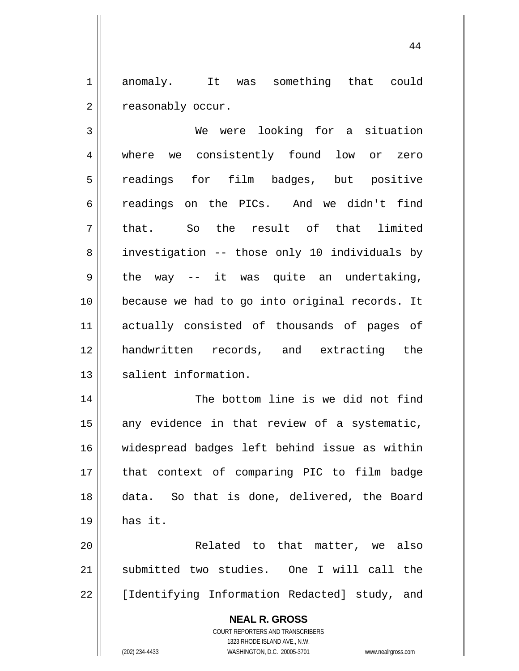1 2 anomaly. It was something that could reasonably occur.

44

3 4 5 6 7 8 9 10 11 12 13 We were looking for a situation where we consistently found low or zero readings for film badges, but positive readings on the PICs. And we didn't find that. So the result of that limited investigation -- those only 10 individuals by the way -- it was quite an undertaking, because we had to go into original records. It actually consisted of thousands of pages of handwritten records, and extracting the salient information.

14 15 16 17 18 19 The bottom line is we did not find any evidence in that review of a systematic, widespread badges left behind issue as within that context of comparing PIC to film badge data. So that is done, delivered, the Board has it.

20 21 22 Related to that matter, we also submitted two studies. One I will call the [Identifying Information Redacted] study, and

> **NEAL R. GROSS** COURT REPORTERS AND TRANSCRIBERS 1323 RHODE ISLAND AVE., N.W. (202) 234-4433 WASHINGTON, D.C. 20005-3701 www.nealrgross.com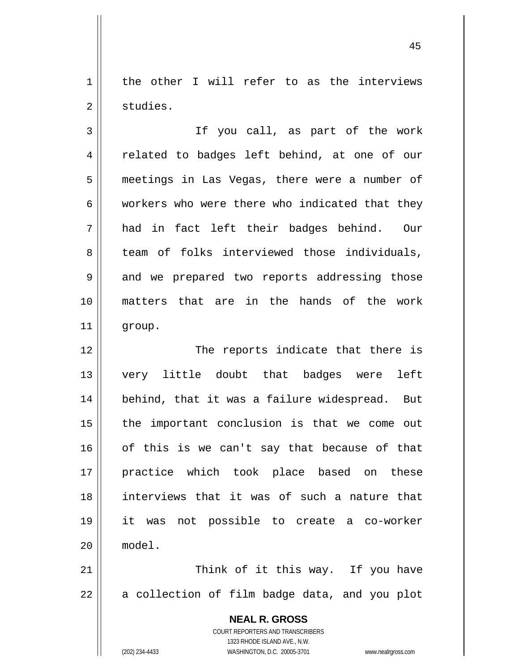1 2 the other I will refer to as the interviews studies.

3 4 5 6 7 8 9 10 11 If you call, as part of the work related to badges left behind, at one of our meetings in Las Vegas, there were a number of workers who were there who indicated that they had in fact left their badges behind. Our team of folks interviewed those individuals, and we prepared two reports addressing those matters that are in the hands of the work group.

12 13 14 15 16 17 18 19 20 The reports indicate that there is very little doubt that badges were left behind, that it was a failure widespread. But the important conclusion is that we come out of this is we can't say that because of that practice which took place based on these interviews that it was of such a nature that it was not possible to create a co-worker model.

21 22 Think of it this way. If you have a collection of film badge data, and you plot

> **NEAL R. GROSS** COURT REPORTERS AND TRANSCRIBERS 1323 RHODE ISLAND AVE., N.W. (202) 234-4433 WASHINGTON, D.C. 20005-3701 www.nealrgross.com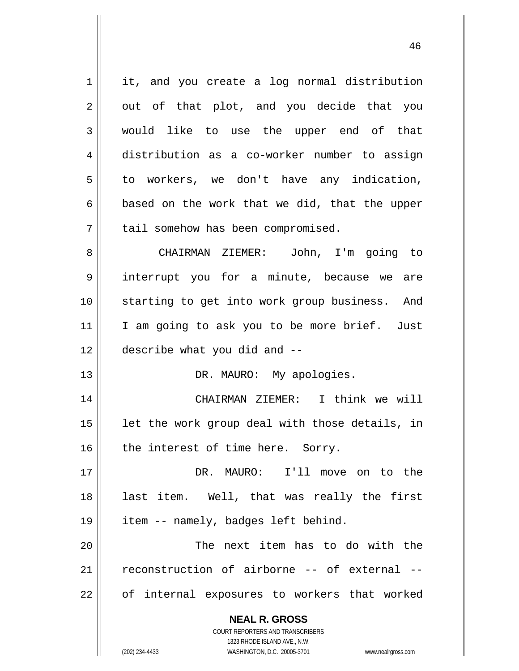**NEAL R. GROSS** COURT REPORTERS AND TRANSCRIBERS 1323 RHODE ISLAND AVE., N.W. 1 2 3 4 5 6 7 8 9 10 11 12 13 14 15 16 17 18 19 20 21 22 it, and you create a log normal distribution out of that plot, and you decide that you would like to use the upper end of that distribution as a co-worker number to assign to workers, we don't have any indication, based on the work that we did, that the upper tail somehow has been compromised. CHAIRMAN ZIEMER: John, I'm going to interrupt you for a minute, because we are starting to get into work group business. And I am going to ask you to be more brief. Just describe what you did and -- DR. MAURO: My apologies. CHAIRMAN ZIEMER: I think we will let the work group deal with those details, in the interest of time here. Sorry. DR. MAURO: I'll move on to the last item. Well, that was really the first item -- namely, badges left behind. The next item has to do with the reconstruction of airborne -- of external - of internal exposures to workers that worked

46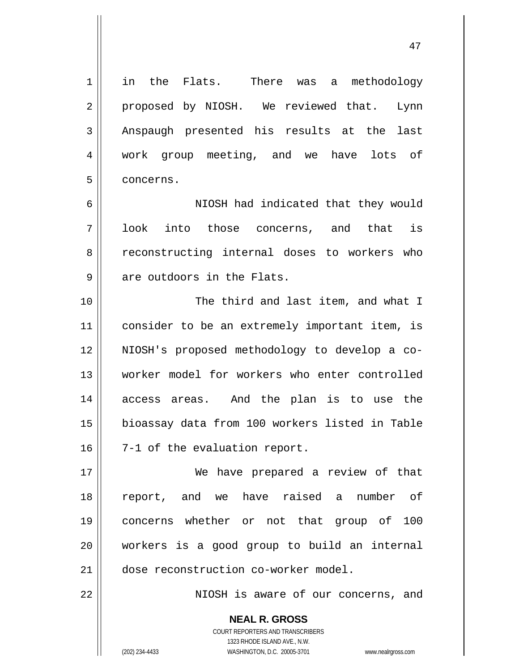in the Flats. There was a methodology proposed by NIOSH. We reviewed that. Lynn Anspaugh presented his results at the last work group meeting, and we have lots of concerns.

47

7 NIOSH had indicated that they would look into those concerns, and that is reconstructing internal doses to workers who are outdoors in the Flats.

10 11 12 13 14 15 16 The third and last item, and what I consider to be an extremely important item, is NIOSH's proposed methodology to develop a coworker model for workers who enter controlled access areas. And the plan is to use the bioassay data from 100 workers listed in Table 7-1 of the evaluation report.

17 18 19 20 21 We have prepared a review of that report, and we have raised a number of concerns whether or not that group of 100 workers is a good group to build an internal dose reconstruction co-worker model.

NIOSH is aware of our concerns, and

**NEAL R. GROSS** COURT REPORTERS AND TRANSCRIBERS 1323 RHODE ISLAND AVE., N.W.

1

2

3

4

5

6

8

9

22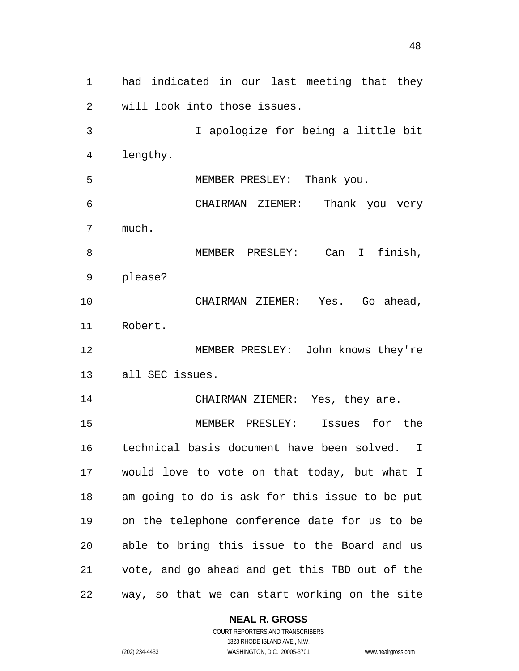|    | 48                                                        |
|----|-----------------------------------------------------------|
| 1  | had indicated in our last meeting that they               |
| 2  | will look into those issues.                              |
| 3  | I apologize for being a little bit                        |
| 4  | lengthy.                                                  |
| 5  | MEMBER PRESLEY: Thank you.                                |
| 6  | CHAIRMAN ZIEMER: Thank you very                           |
| 7  | much.                                                     |
| 8  | finish,<br>MEMBER PRESLEY: Can I                          |
| 9  | please?                                                   |
| 10 | CHAIRMAN ZIEMER: Yes. Go ahead,                           |
| 11 | Robert.                                                   |
| 12 | MEMBER PRESLEY: John knows they're                        |
| 13 | all SEC issues.                                           |
| 14 | CHAIRMAN ZIEMER: Yes, they are.                           |
| 15 | MEMBER PRESLEY: Issues for the                            |
| 16 | technical basis document have been solved.<br>$\mathbf I$ |
| 17 | would love to vote on that today, but what I              |
| 18 | am going to do is ask for this issue to be put            |
| 19 | on the telephone conference date for us to be             |
| 20 | able to bring this issue to the Board and us              |
| 21 | vote, and go ahead and get this TBD out of the            |
| 22 | way, so that we can start working on the site             |
|    | <b>NEAL R. GROSS</b>                                      |

COURT REPORTERS AND TRANSCRIBERS 1323 RHODE ISLAND AVE., N.W.

 $\mathsf{II}$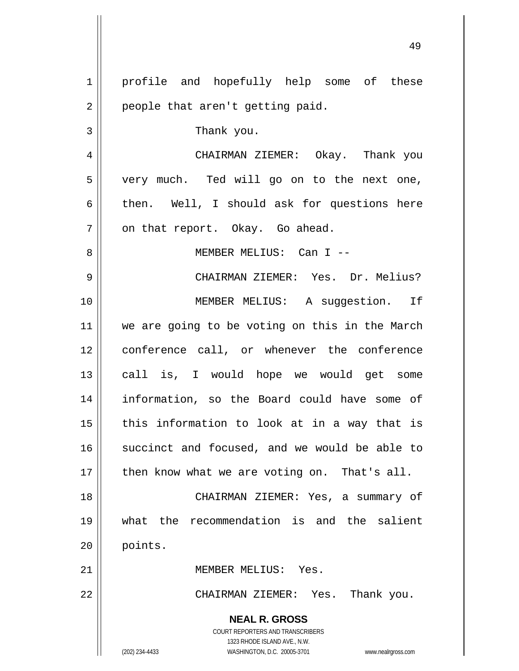**NEAL R. GROSS** COURT REPORTERS AND TRANSCRIBERS 1323 RHODE ISLAND AVE., N.W. 1 2 3 4 5 6 7 8 9 10 11 12 13 14 15 16 17 18 19 20 21 22 profile and hopefully help some of these people that aren't getting paid. Thank you. CHAIRMAN ZIEMER: Okay. Thank you very much. Ted will go on to the next one, then. Well, I should ask for questions here on that report. Okay. Go ahead. MEMBER MELIUS: Can I -- CHAIRMAN ZIEMER: Yes. Dr. Melius? MEMBER MELIUS: A suggestion. If we are going to be voting on this in the March conference call, or whenever the conference call is, I would hope we would get some information, so the Board could have some of this information to look at in a way that is succinct and focused, and we would be able to then know what we are voting on. That's all. CHAIRMAN ZIEMER: Yes, a summary of what the recommendation is and the salient points. MEMBER MELIUS: Yes. CHAIRMAN ZIEMER: Yes. Thank you.

49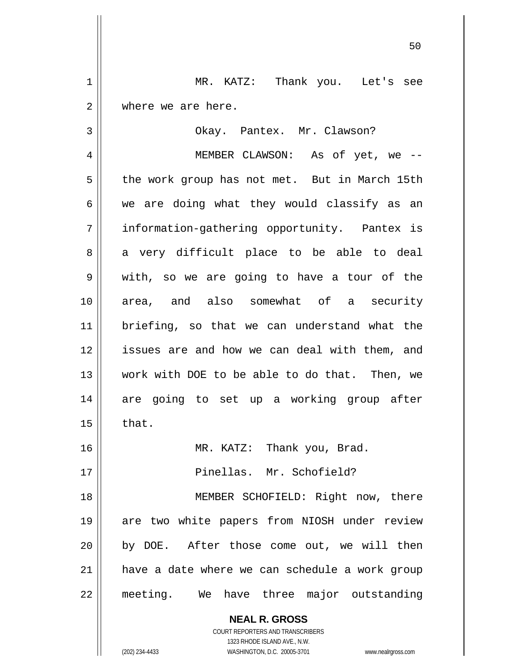1 2 MR. KATZ: Thank you. Let's see where we are here.

Okay. Pantex. Mr. Clawson?

4 5 6 7 8 9 10 11 12 13 14 15 16 17 18 19 20 21 22 MEMBER CLAWSON: As of yet, we - the work group has not met. But in March 15th we are doing what they would classify as an information-gathering opportunity. Pantex is a very difficult place to be able to deal with, so we are going to have a tour of the area, and also somewhat of a security briefing, so that we can understand what the issues are and how we can deal with them, and work with DOE to be able to do that. Then, we are going to set up a working group after that. MR. KATZ: Thank you, Brad. Pinellas. Mr. Schofield? MEMBER SCHOFIELD: Right now, there are two white papers from NIOSH under review by DOE. After those come out, we will then have a date where we can schedule a work group meeting. We have three major outstanding

> **NEAL R. GROSS** COURT REPORTERS AND TRANSCRIBERS

3

1323 RHODE ISLAND AVE., N.W. (202) 234-4433 WASHINGTON, D.C. 20005-3701 www.nealrgross.com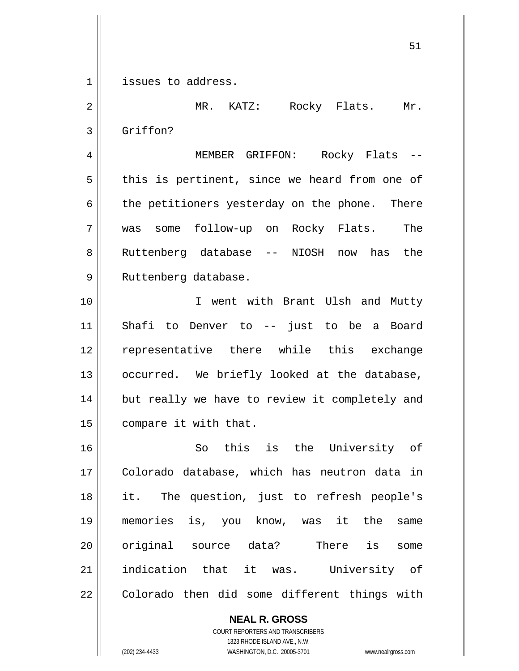1 issues to address.

2 3 4 5 6 7 8 9 10 11 12 13 14 15 16 17 18 19 20 21 22 MR. KATZ: Rocky Flats. Mr. Griffon? MEMBER GRIFFON: Rocky Flats - this is pertinent, since we heard from one of the petitioners yesterday on the phone. There was some follow-up on Rocky Flats. The Ruttenberg database -- NIOSH now has the Ruttenberg database. I went with Brant Ulsh and Mutty Shafi to Denver to -- just to be a Board representative there while this exchange occurred. We briefly looked at the database, but really we have to review it completely and compare it with that. So this is the University of Colorado database, which has neutron data in it. The question, just to refresh people's memories is, you know, was it the same original source data? There is some indication that it was. University of Colorado then did some different things with

> **NEAL R. GROSS** COURT REPORTERS AND TRANSCRIBERS 1323 RHODE ISLAND AVE., N.W. (202) 234-4433 WASHINGTON, D.C. 20005-3701 www.nealrgross.com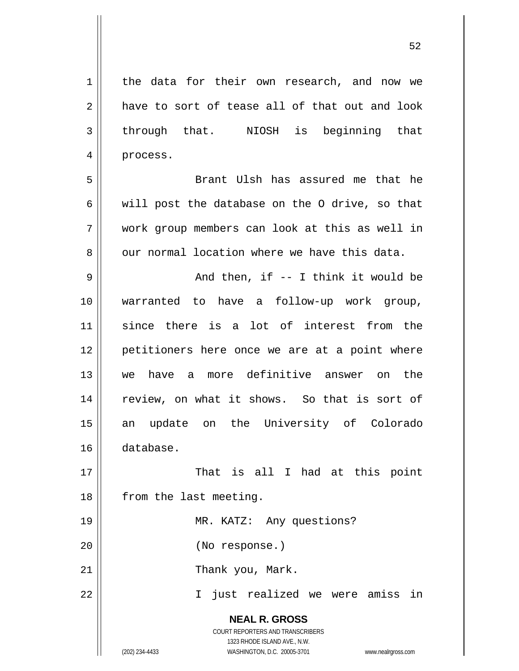| $\mathbf 1$ | the data for their own research, and now we                                                                                                                     |
|-------------|-----------------------------------------------------------------------------------------------------------------------------------------------------------------|
| 2           | have to sort of tease all of that out and look                                                                                                                  |
| 3           | through that. NIOSH is beginning that                                                                                                                           |
| 4           | process.                                                                                                                                                        |
| 5           | Brant Ulsh has assured me that he                                                                                                                               |
| 6           | will post the database on the O drive, so that                                                                                                                  |
| 7           | work group members can look at this as well in                                                                                                                  |
| 8           | our normal location where we have this data.                                                                                                                    |
| 9           | And then, if $-$ I think it would be                                                                                                                            |
| 10          | warranted to have a follow-up work group,                                                                                                                       |
| 11          | since there is a lot of interest from the                                                                                                                       |
| 12          | petitioners here once we are at a point where                                                                                                                   |
| 13          | have a more definitive answer on<br>the<br>we                                                                                                                   |
| 14          | review, on what it shows. So that is sort of                                                                                                                    |
| 15          | an update on the University of Colorado                                                                                                                         |
| 16          | database.                                                                                                                                                       |
| 17          | That is all I had at this point                                                                                                                                 |
| 18          | from the last meeting.                                                                                                                                          |
| 19          | MR. KATZ: Any questions?                                                                                                                                        |
| 20          | (No response.)                                                                                                                                                  |
| 21          | Thank you, Mark.                                                                                                                                                |
| 22          | just realized we were amiss in<br>$\mathbf{I}$                                                                                                                  |
|             | <b>NEAL R. GROSS</b><br>COURT REPORTERS AND TRANSCRIBERS<br>1323 RHODE ISLAND AVE., N.W.<br>WASHINGTON, D.C. 20005-3701<br>(202) 234-4433<br>www.nealrgross.com |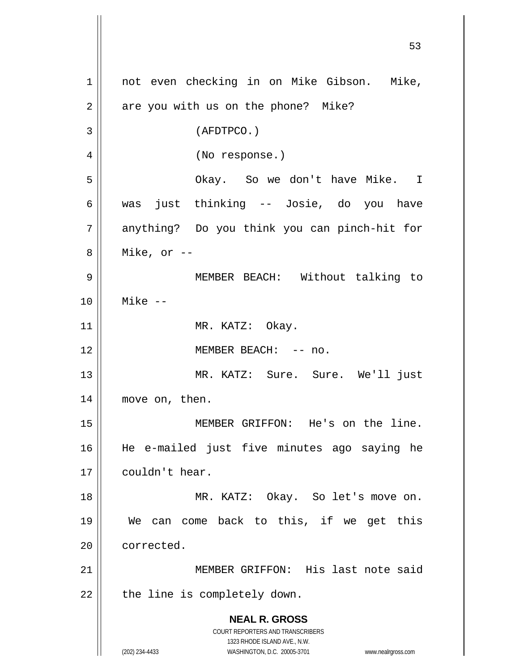**NEAL R. GROSS** COURT REPORTERS AND TRANSCRIBERS 1323 RHODE ISLAND AVE., N.W. (202) 234-4433 WASHINGTON, D.C. 20005-3701 www.nealrgross.com 53 1 2 3 4 5 6 7 8 9 10 11 12 13 14 15 16 17 18 19 20 21 22 not even checking in on Mike Gibson. Mike, are you with us on the phone? Mike? (AFDTPCO.) (No response.) Okay. So we don't have Mike. I was just thinking -- Josie, do you have anything? Do you think you can pinch-hit for Mike, or -- MEMBER BEACH: Without talking to Mike -- MR. KATZ: Okay. MEMBER BEACH: -- no. MR. KATZ: Sure. Sure. We'll just move on, then. MEMBER GRIFFON: He's on the line. He e-mailed just five minutes ago saying he couldn't hear. MR. KATZ: Okay. So let's move on. We can come back to this, if we get this corrected. MEMBER GRIFFON: His last note said the line is completely down.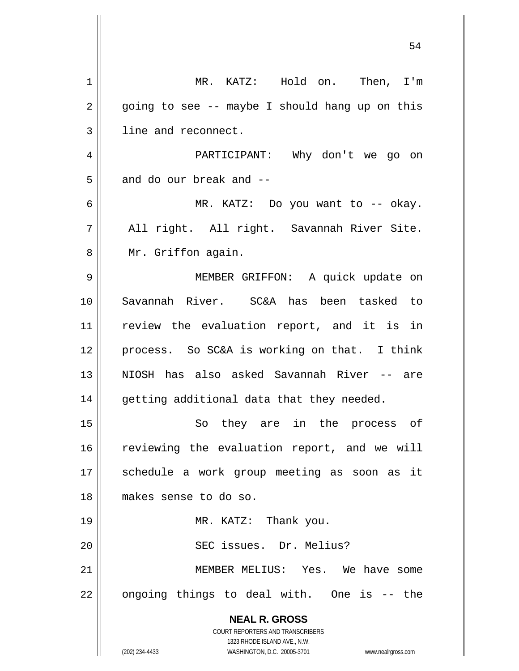|             | 54                                                                  |
|-------------|---------------------------------------------------------------------|
| $\mathbf 1$ | MR. KATZ: Hold on. Then, I'm                                        |
| 2           | going to see -- maybe I should hang up on this                      |
| 3           | line and reconnect.                                                 |
| 4           | PARTICIPANT: Why don't we go on                                     |
| 5           | and do our break and --                                             |
| 6           | MR. KATZ: Do you want to -- okay.                                   |
| 7           | All right. All right. Savannah River Site.                          |
| 8           | Mr. Griffon again.                                                  |
| 9           | MEMBER GRIFFON: A quick update on                                   |
| 10          | Savannah River. SC&A has been tasked to                             |
| 11          | review the evaluation report, and it is in                          |
| 12          | process. So SC&A is working on that. I think                        |
| 13          | NIOSH has also asked Savannah River -- are                          |
| 14          | getting additional data that they needed.                           |
| 15          | So they are in the process of                                       |
| 16          | reviewing the evaluation report, and we will                        |
| 17          | schedule a work group meeting as soon as it                         |
| 18          | makes sense to do so.                                               |
| 19          | MR. KATZ: Thank you.                                                |
| 20          | SEC issues. Dr. Melius?                                             |
| 21          | MEMBER MELIUS: Yes. We have some                                    |
| 22          | ongoing things to deal with. One is -- the                          |
|             | <b>NEAL R. GROSS</b>                                                |
|             | COURT REPORTERS AND TRANSCRIBERS<br>1323 RHODE ISLAND AVE., N.W.    |
|             | (202) 234-4433<br>WASHINGTON, D.C. 20005-3701<br>www.nealrgross.com |

 $\mathsf{I}$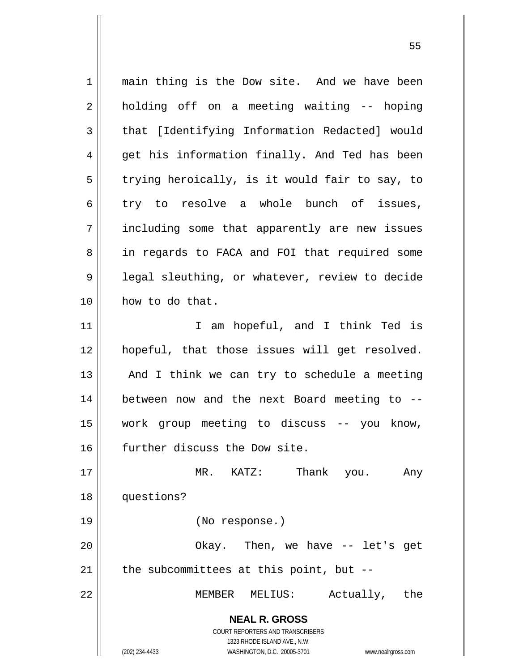**NEAL R. GROSS** COURT REPORTERS AND TRANSCRIBERS 1323 RHODE ISLAND AVE., N.W. (202) 234-4433 WASHINGTON, D.C. 20005-3701 www.nealrgross.com 1 2 3 4 5 6 7 8 9 10 11 12 13 14 15 16 17 18 19 20 21 22 main thing is the Dow site. And we have been holding off on a meeting waiting -- hoping that [Identifying Information Redacted] would get his information finally. And Ted has been trying heroically, is it would fair to say, to try to resolve a whole bunch of issues, including some that apparently are new issues in regards to FACA and FOI that required some legal sleuthing, or whatever, review to decide how to do that. I am hopeful, and I think Ted is hopeful, that those issues will get resolved. And I think we can try to schedule a meeting between now and the next Board meeting to - work group meeting to discuss -- you know, further discuss the Dow site. MR. KATZ: Thank you. Any questions? (No response.) Okay. Then, we have -- let's get the subcommittees at this point, but -- MEMBER MELIUS: Actually, the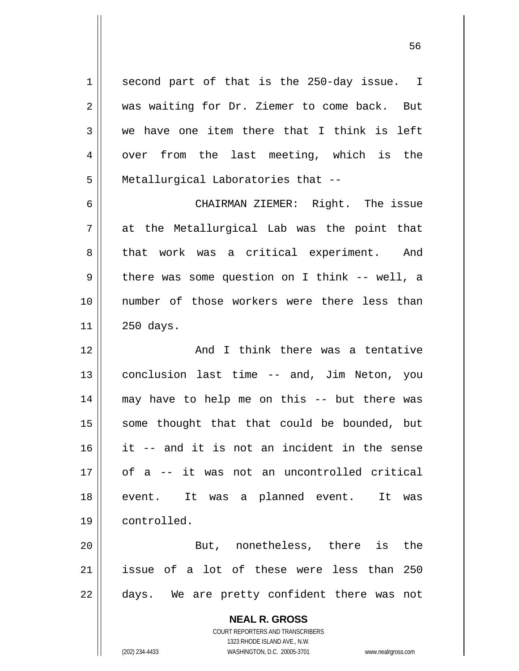second part of that is the 250-day issue. I was waiting for Dr. Ziemer to come back. But we have one item there that I think is left over from the last meeting, which is the Metallurgical Laboratories that --

6 7 8 9 10 11 CHAIRMAN ZIEMER: Right. The issue at the Metallurgical Lab was the point that that work was a critical experiment. And there was some question on I think -- well, a number of those workers were there less than 250 days.

12 13 14 15 16 17 18 19 And I think there was a tentative conclusion last time -- and, Jim Neton, you may have to help me on this -- but there was some thought that that could be bounded, but it -- and it is not an incident in the sense of a -- it was not an uncontrolled critical event. It was a planned event. It was controlled.

20 21 22 But, nonetheless, there is the issue of a lot of these were less than 250 days. We are pretty confident there was not

> **NEAL R. GROSS** COURT REPORTERS AND TRANSCRIBERS

1

2

3

4

5

1323 RHODE ISLAND AVE., N.W. (202) 234-4433 WASHINGTON, D.C. 20005-3701 www.nealrgross.com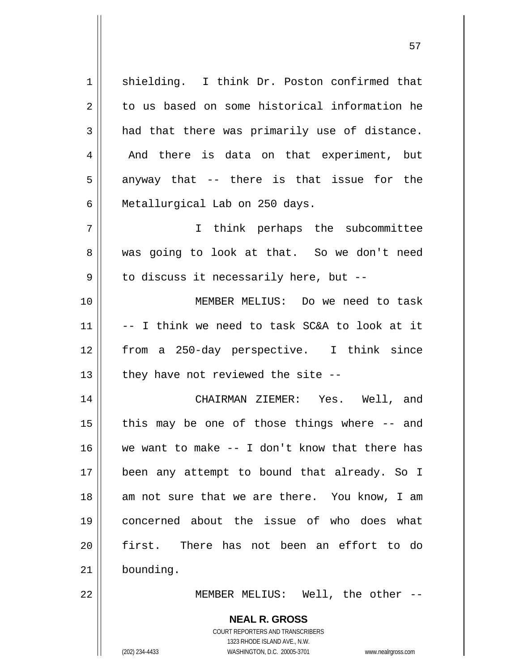1 2 3 4 5 6 7 8 shielding. I think Dr. Poston confirmed that to us based on some historical information he had that there was primarily use of distance. And there is data on that experiment, but anyway that -- there is that issue for the Metallurgical Lab on 250 days. I think perhaps the subcommittee was going to look at that. So we don't need

57

to discuss it necessarily here, but --

10 11 12 13 MEMBER MELIUS: Do we need to task -- I think we need to task SC&A to look at it from a 250-day perspective. I think since they have not reviewed the site --

14 15 16 17 18 19 20 21 CHAIRMAN ZIEMER: Yes. Well, and this may be one of those things where -- and we want to make -- I don't know that there has been any attempt to bound that already. So I am not sure that we are there. You know, I am concerned about the issue of who does what first. There has not been an effort to do bounding.

22

9

MEMBER MELIUS: Well, the other --

**NEAL R. GROSS** COURT REPORTERS AND TRANSCRIBERS 1323 RHODE ISLAND AVE., N.W.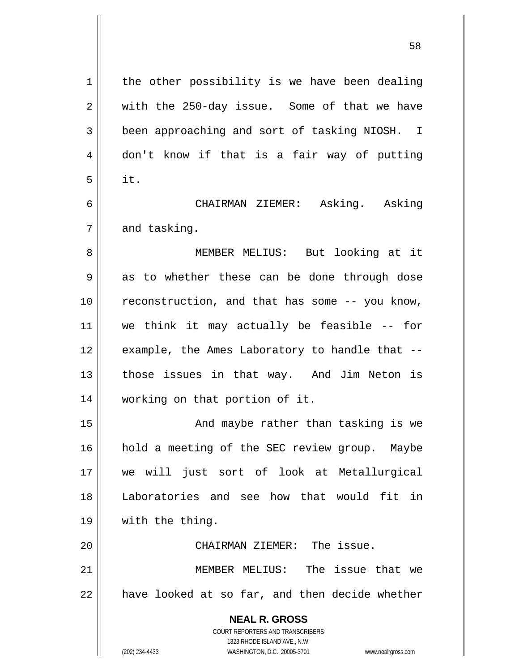**NEAL R. GROSS** COURT REPORTERS AND TRANSCRIBERS 1323 RHODE ISLAND AVE., N.W. 1 2 3 4 5 6 7 8 9 10 11 12 13 14 15 16 17 18 19 20 21 22 the other possibility is we have been dealing with the 250-day issue. Some of that we have been approaching and sort of tasking NIOSH. I don't know if that is a fair way of putting it. CHAIRMAN ZIEMER: Asking. Asking and tasking. MEMBER MELIUS: But looking at it as to whether these can be done through dose reconstruction, and that has some -- you know, we think it may actually be feasible -- for example, the Ames Laboratory to handle that - those issues in that way. And Jim Neton is working on that portion of it. And maybe rather than tasking is we hold a meeting of the SEC review group. Maybe we will just sort of look at Metallurgical Laboratories and see how that would fit in with the thing. CHAIRMAN ZIEMER: The issue. MEMBER MELIUS: The issue that we have looked at so far, and then decide whether

58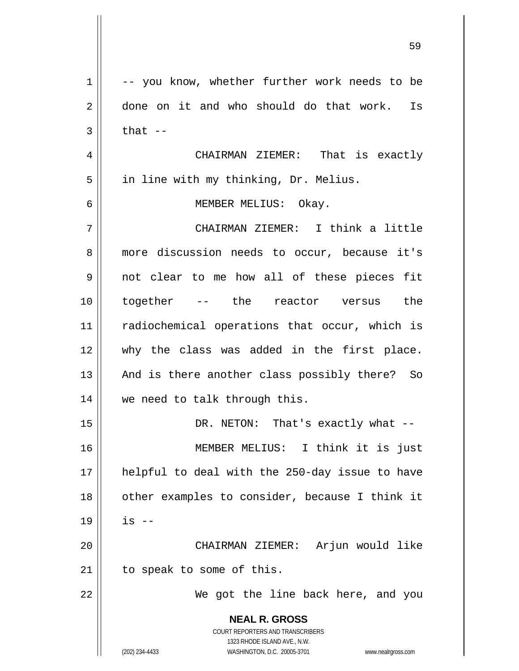| $\mathbf 1$ | -- you know, whether further work needs to be                       |
|-------------|---------------------------------------------------------------------|
| 2           | done on it and who should do that work. Is                          |
| 3           | that $--$                                                           |
| 4           | CHAIRMAN ZIEMER: That is exactly                                    |
| 5           | in line with my thinking, Dr. Melius.                               |
| 6           | MEMBER MELIUS: Okay.                                                |
| 7           | CHAIRMAN ZIEMER: I think a little                                   |
| 8           | more discussion needs to occur, because it's                        |
| 9           | not clear to me how all of these pieces fit                         |
| 10          | together -- the reactor versus the                                  |
| 11          | radiochemical operations that occur, which is                       |
| 12          | why the class was added in the first place.                         |
| 13          | And is there another class possibly there? So                       |
| 14          | we need to talk through this.                                       |
| 15          | DR. NETON: That's exactly what --                                   |
| 16          | MEMBER MELIUS: I think it is just                                   |
| 17          | helpful to deal with the 250-day issue to have                      |
| 18          | other examples to consider, because I think it                      |
| 19          | is --                                                               |
| 20          | CHAIRMAN ZIEMER: Arjun would like                                   |
| 21          | to speak to some of this.                                           |
| 22          | We got the line back here, and you                                  |
|             |                                                                     |
|             | <b>NEAL R. GROSS</b><br>COURT REPORTERS AND TRANSCRIBERS            |
|             | 1323 RHODE ISLAND AVE., N.W.                                        |
|             | (202) 234-4433<br>WASHINGTON, D.C. 20005-3701<br>www.nealrgross.com |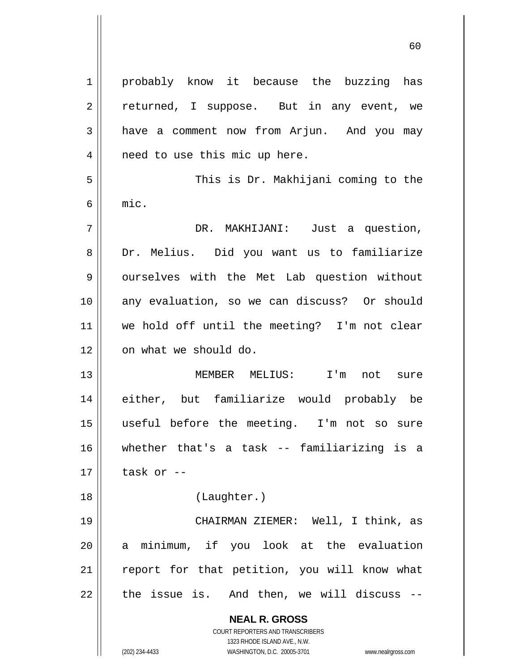**NEAL R. GROSS** COURT REPORTERS AND TRANSCRIBERS 1323 RHODE ISLAND AVE., N.W. (202) 234-4433 WASHINGTON, D.C. 20005-3701 www.nealrgross.com 1 2 3 4 5 6 7 8 9 10 11 12 13 14 15 16 17 18 19 20 21 22 probably know it because the buzzing has returned, I suppose. But in any event, we have a comment now from Arjun. And you may need to use this mic up here. This is Dr. Makhijani coming to the mic. DR. MAKHIJANI: Just a question, Dr. Melius. Did you want us to familiarize ourselves with the Met Lab question without any evaluation, so we can discuss? Or should we hold off until the meeting? I'm not clear on what we should do. MEMBER MELIUS: I'm not sure either, but familiarize would probably be useful before the meeting. I'm not so sure whether that's a task -- familiarizing is a task or -- (Laughter.) CHAIRMAN ZIEMER: Well, I think, as a minimum, if you look at the evaluation report for that petition, you will know what the issue is. And then, we will discuss --

 $\sim$  60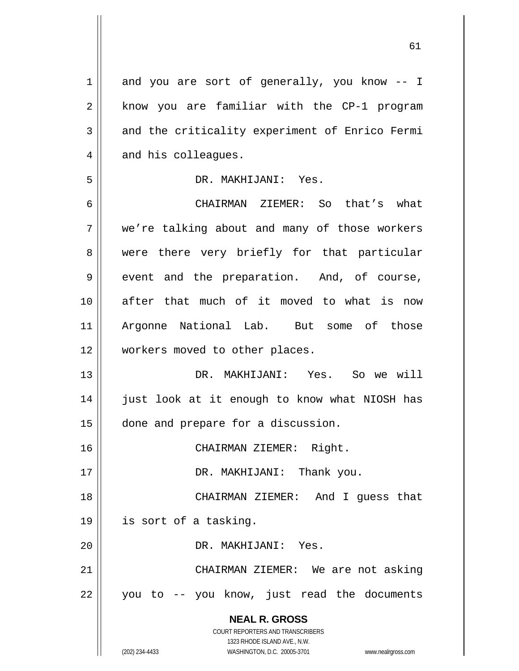**NEAL R. GROSS** COURT REPORTERS AND TRANSCRIBERS 1323 RHODE ISLAND AVE., N.W. (202) 234-4433 WASHINGTON, D.C. 20005-3701 www.nealrgross.com 1 2 3 4 5 6 7 8 9 10 11 12 13 14 15 16 17 18 19 20 21 22 and you are sort of generally, you know -- I know you are familiar with the CP-1 program and the criticality experiment of Enrico Fermi and his colleagues. DR. MAKHIJANI: Yes. CHAIRMAN ZIEMER: So that's what we're talking about and many of those workers were there very briefly for that particular event and the preparation. And, of course, after that much of it moved to what is now Argonne National Lab. But some of those workers moved to other places. DR. MAKHIJANI: Yes. So we will just look at it enough to know what NIOSH has done and prepare for a discussion. CHAIRMAN ZIEMER: Right. DR. MAKHIJANI: Thank you. CHAIRMAN ZIEMER: And I guess that is sort of a tasking. DR. MAKHIJANI: Yes. CHAIRMAN ZIEMER: We are not asking you to -- you know, just read the documents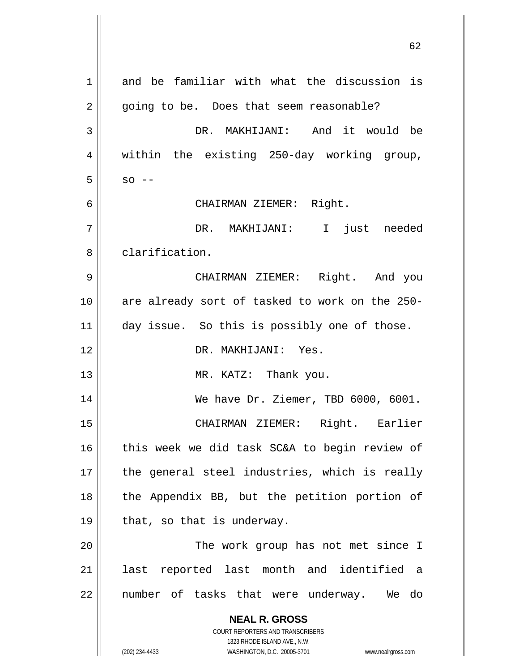| $\mathbf 1$ | and be familiar with what the discussion is                                                         |
|-------------|-----------------------------------------------------------------------------------------------------|
| 2           | going to be. Does that seem reasonable?                                                             |
| 3           | DR. MAKHIJANI: And it would be                                                                      |
| 4           | within the existing 250-day working group,                                                          |
| 5           | $SO = -$                                                                                            |
| 6           | CHAIRMAN ZIEMER: Right.                                                                             |
| 7           | DR. MAKHIJANI: I just needed                                                                        |
| 8           | clarification.                                                                                      |
| 9           | CHAIRMAN ZIEMER: Right. And you                                                                     |
| 10          | are already sort of tasked to work on the 250-                                                      |
| 11          | day issue. So this is possibly one of those.                                                        |
| 12          | DR. MAKHIJANI: Yes.                                                                                 |
| 13          | MR. KATZ: Thank you.                                                                                |
| 14          | We have Dr. Ziemer, TBD 6000, 6001.                                                                 |
| 15          | CHAIRMAN ZIEMER: Right. Earlier                                                                     |
| 16          | this week we did task SC&A to begin review of                                                       |
| 17          | the general steel industries, which is really                                                       |
| 18          | the Appendix BB, but the petition portion of                                                        |
| 19          | that, so that is underway.                                                                          |
| 20          | The work group has not met since I                                                                  |
| 21          | last reported last month and identified a                                                           |
| 22          | number of tasks that were underway. We do                                                           |
|             | <b>NEAL R. GROSS</b>                                                                                |
|             | <b>COURT REPORTERS AND TRANSCRIBERS</b>                                                             |
|             | 1323 RHODE ISLAND AVE., N.W.<br>(202) 234-4433<br>WASHINGTON, D.C. 20005-3701<br>www.nealrgross.com |
|             |                                                                                                     |

 $\sim$  62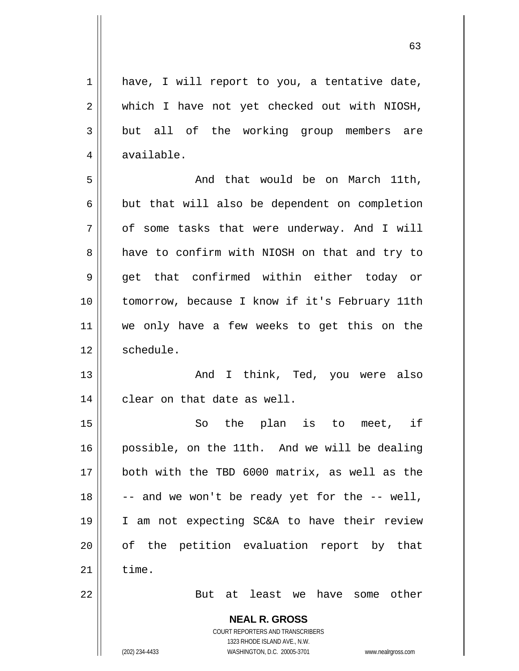| $\mathbf 1$ | have, I will report to you, a tentative date,                       |
|-------------|---------------------------------------------------------------------|
| $\mathbf 2$ | which I have not yet checked out with NIOSH,                        |
| 3           | but all of the working group members are                            |
| 4           | available.                                                          |
| 5           | And that would be on March 11th,                                    |
| 6           | but that will also be dependent on completion                       |
| 7           | of some tasks that were underway. And I will                        |
| 8           | have to confirm with NIOSH on that and try to                       |
| $\mathsf 9$ | get that confirmed within either today or                           |
| 10          | tomorrow, because I know if it's February 11th                      |
| 11          | we only have a few weeks to get this on the                         |
| 12          | schedule.                                                           |
| 13          | And I think, Ted, you were also                                     |
| 14          | clear on that date as well.                                         |
| 15          | the plan is to meet, if<br>So                                       |
| 16          | possible, on the 11th. And we will be dealing                       |
| 17          | both with the TBD 6000 matrix, as well as the                       |
| 18          | -- and we won't be ready yet for the -- well,                       |
| 19          | I am not expecting SC&A to have their review                        |
| 20          | of the petition evaluation report by that                           |
| 21          | time.                                                               |
| 22          | But at least we have some other                                     |
|             | <b>NEAL R. GROSS</b>                                                |
|             | COURT REPORTERS AND TRANSCRIBERS                                    |
|             | 1323 RHODE ISLAND AVE., N.W.                                        |
|             | (202) 234-4433<br>WASHINGTON, D.C. 20005-3701<br>www.nealrgross.com |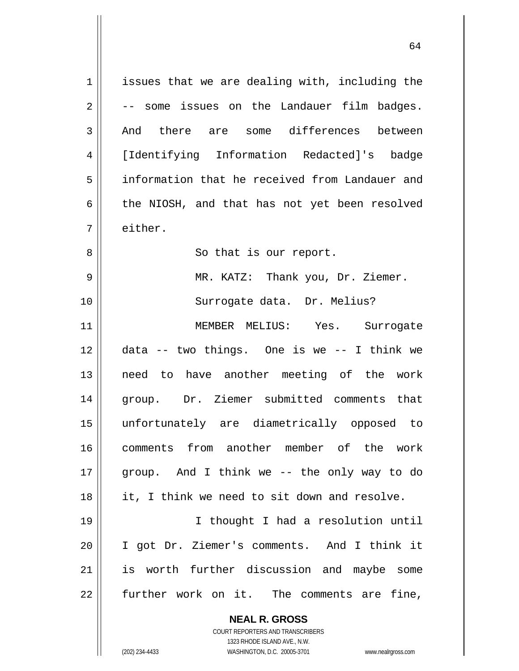**NEAL R. GROSS** COURT REPORTERS AND TRANSCRIBERS 1 2 3 4 5 6 7 8 9 10 11 12 13 14 15 16 17 18 19 20 21 22 issues that we are dealing with, including the -- some issues on the Landauer film badges. And there are some differences between [Identifying Information Redacted]'s badge information that he received from Landauer and the NIOSH, and that has not yet been resolved either. So that is our report. MR. KATZ: Thank you, Dr. Ziemer. Surrogate data. Dr. Melius? MEMBER MELIUS: Yes. Surrogate data -- two things. One is we -- I think we need to have another meeting of the work group. Dr. Ziemer submitted comments that unfortunately are diametrically opposed to comments from another member of the work group. And I think we -- the only way to do it, I think we need to sit down and resolve. I thought I had a resolution until I got Dr. Ziemer's comments. And I think it is worth further discussion and maybe some further work on it. The comments are fine,

64

1323 RHODE ISLAND AVE., N.W.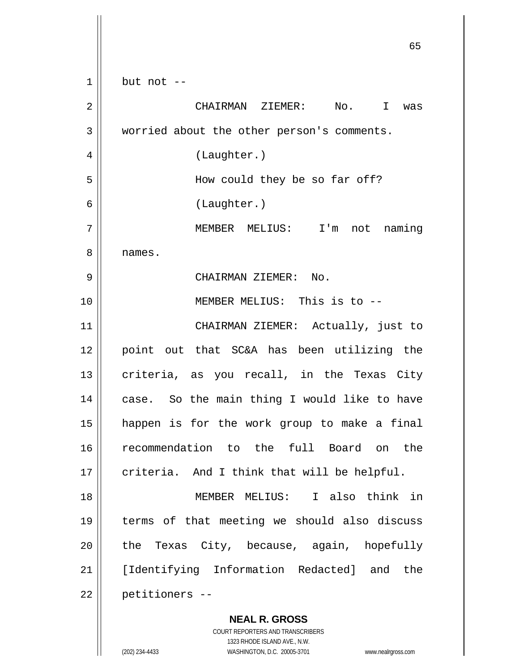**NEAL R. GROSS** 1 2 3 4 5 6 7 8 9 10 11 12 13 14 15 16 17 18 19 20 21 22 but not -- CHAIRMAN ZIEMER: No. I was worried about the other person's comments. (Laughter.) How could they be so far off? (Laughter.) MEMBER MELIUS: I'm not naming names. CHAIRMAN ZIEMER: No. MEMBER MELIUS: This is to -- CHAIRMAN ZIEMER: Actually, just to point out that SC&A has been utilizing the criteria, as you recall, in the Texas City case. So the main thing I would like to have happen is for the work group to make a final recommendation to the full Board on the criteria. And I think that will be helpful. MEMBER MELIUS: I also think in terms of that meeting we should also discuss the Texas City, because, again, hopefully [Identifying Information Redacted] and the petitioners --

 $\sim$  65

COURT REPORTERS AND TRANSCRIBERS 1323 RHODE ISLAND AVE., N.W. (202) 234-4433 WASHINGTON, D.C. 20005-3701 www.nealrgross.com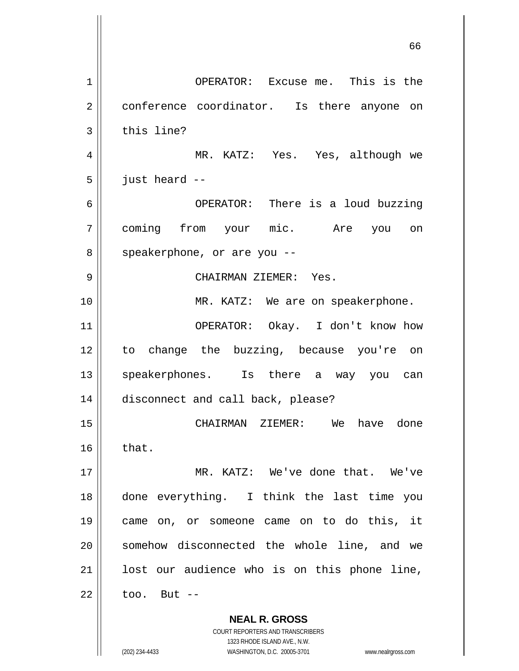**NEAL R. GROSS** 1 2 3 4 5 6 7 8 9 10 11 12 13 14 15 16 17 18 19 20 21 22 OPERATOR: Excuse me. This is the conference coordinator. Is there anyone on this line? MR. KATZ: Yes. Yes, although we just heard -- OPERATOR: There is a loud buzzing coming from your mic. Are you on speakerphone, or are you -- CHAIRMAN ZIEMER: Yes. MR. KATZ: We are on speakerphone. OPERATOR: Okay. I don't know how to change the buzzing, because you're on speakerphones. Is there a way you can disconnect and call back, please? CHAIRMAN ZIEMER: We have done that. MR. KATZ: We've done that. We've done everything. I think the last time you came on, or someone came on to do this, it somehow disconnected the whole line, and we lost our audience who is on this phone line, too. But --

> COURT REPORTERS AND TRANSCRIBERS 1323 RHODE ISLAND AVE., N.W.

(202) 234-4433 WASHINGTON, D.C. 20005-3701 www.nealrgross.com

 $\sim$  66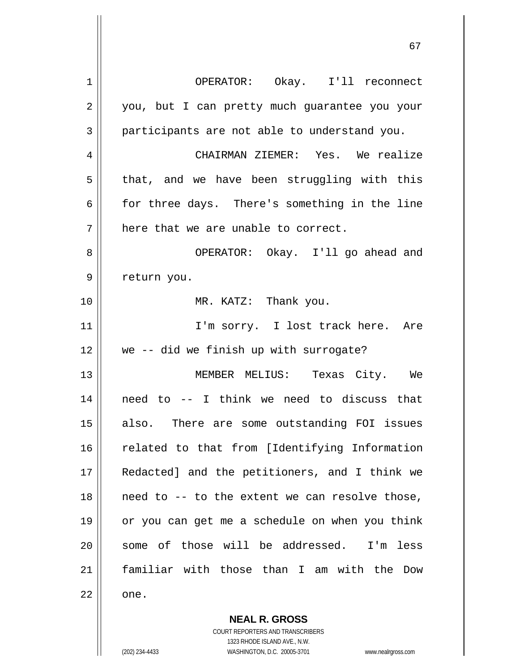| 1  | OPERATOR: Okay. I'll reconnect                     |
|----|----------------------------------------------------|
| 2  | you, but I can pretty much guarantee you your      |
| 3  | participants are not able to understand you.       |
| 4  | CHAIRMAN ZIEMER: Yes. We realize                   |
| 5  | that, and we have been struggling with this        |
| 6  | for three days. There's something in the line      |
| 7  | here that we are unable to correct.                |
| 8  | OPERATOR: Okay. I'll go ahead and                  |
| 9  | return you.                                        |
| 10 | MR. KATZ: Thank you.                               |
| 11 | I'm sorry. I lost track here. Are                  |
| 12 | we -- did we finish up with surrogate?             |
| 13 | MEMBER MELIUS: Texas City. We                      |
| 14 | need to -- I think we need to discuss that         |
| 15 | also. There are some outstanding FOI issues        |
| 16 | related to that from [Identifying Information      |
| 17 | Redacted] and the petitioners, and I think we      |
| 18 | need to -- to the extent we can resolve those,     |
| 19 | or you can get me a schedule on when you think     |
| 20 | some of those will be addressed.<br>less<br>$I'$ m |
| 21 | familiar with those than I am with the Dow         |
| 22 | one.                                               |
|    | <b>NEAL R. GROSS</b>                               |

COURT REPORTERS AND TRANSCRIBERS 1323 RHODE ISLAND AVE., N.W.

 $\mathsf{II}$ 

(202) 234-4433 WASHINGTON, D.C. 20005-3701 www.nealrgross.com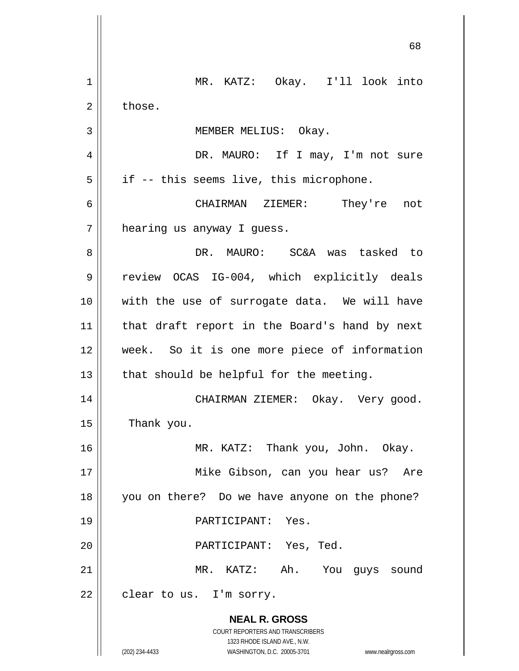|                | 68                                                                                                  |
|----------------|-----------------------------------------------------------------------------------------------------|
| 1              | MR. KATZ: Okay. I'll look into                                                                      |
| $\overline{2}$ | those.                                                                                              |
| 3              | MEMBER MELIUS: Okay.                                                                                |
| 4              | DR. MAURO: If I may, I'm not sure                                                                   |
| 5              | if -- this seems live, this microphone.                                                             |
| 6              | CHAIRMAN ZIEMER: They're<br>not                                                                     |
| 7              | hearing us anyway I guess.                                                                          |
| 8              | DR. MAURO: SC&A was tasked to                                                                       |
| 9              | review OCAS IG-004, which explicitly deals                                                          |
| 10             | with the use of surrogate data. We will have                                                        |
| 11             | that draft report in the Board's hand by next                                                       |
| 12             | week. So it is one more piece of information                                                        |
| 13             | that should be helpful for the meeting.                                                             |
| 14             | CHAIRMAN ZIEMER:<br>Okay. Very good.                                                                |
| 15             | Thank you.                                                                                          |
| 16             | MR. KATZ: Thank you, John. Okay.                                                                    |
| 17             | Mike Gibson, can you hear us? Are                                                                   |
| 18             | you on there? Do we have anyone on the phone?                                                       |
| 19             | PARTICIPANT: Yes.                                                                                   |
| 20             | PARTICIPANT: Yes, Ted.                                                                              |
| 21             | MR. KATZ: Ah. You guys sound                                                                        |
| 22             | clear to us. I'm sorry.                                                                             |
|                | <b>NEAL R. GROSS</b><br>COURT REPORTERS AND TRANSCRIBERS                                            |
|                | 1323 RHODE ISLAND AVE., N.W.<br>(202) 234-4433<br>WASHINGTON, D.C. 20005-3701<br>www.nealrgross.com |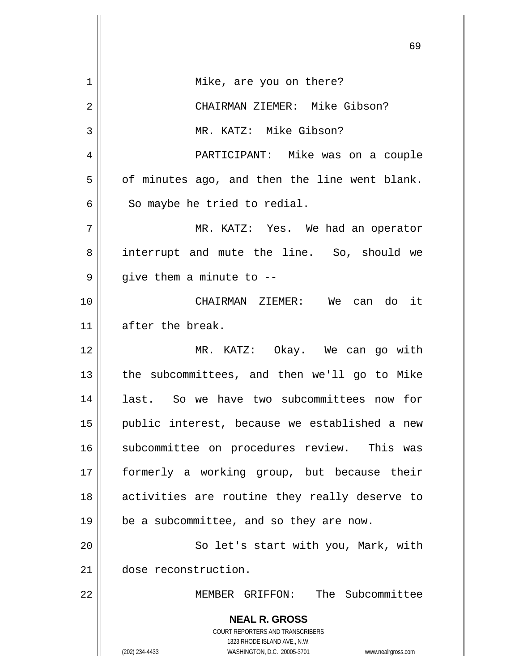|    | 69                                                                                       |
|----|------------------------------------------------------------------------------------------|
| 1  | Mike, are you on there?                                                                  |
| 2  | CHAIRMAN ZIEMER: Mike Gibson?                                                            |
| 3  | MR. KATZ: Mike Gibson?                                                                   |
| 4  | PARTICIPANT: Mike was on a couple                                                        |
| 5  | of minutes ago, and then the line went blank.                                            |
| 6  | So maybe he tried to redial.                                                             |
| 7  | MR. KATZ: Yes. We had an operator                                                        |
| 8  | interrupt and mute the line. So, should we                                               |
| 9  | give them a minute to --                                                                 |
| 10 | CHAIRMAN ZIEMER: We can do it                                                            |
| 11 | after the break.                                                                         |
| 12 | MR. KATZ: Okay. We can go with                                                           |
| 13 | the subcommittees, and then we'll go to Mike                                             |
| 14 | last. So we have two subcommittees now for                                               |
| 15 | public interest, because we established a new                                            |
| 16 | subcommittee on procedures review. This was                                              |
| 17 | formerly a working group, but because their                                              |
| 18 | activities are routine they really deserve to                                            |
| 19 | be a subcommittee, and so they are now.                                                  |
| 20 | So let's start with you, Mark, with                                                      |
| 21 | dose reconstruction.                                                                     |
| 22 | The Subcommittee<br>MEMBER GRIFFON:                                                      |
|    | <b>NEAL R. GROSS</b><br>COURT REPORTERS AND TRANSCRIBERS<br>1323 RHODE ISLAND AVE., N.W. |
|    | (202) 234-4433<br>WASHINGTON, D.C. 20005-3701<br>www.nealrgross.com                      |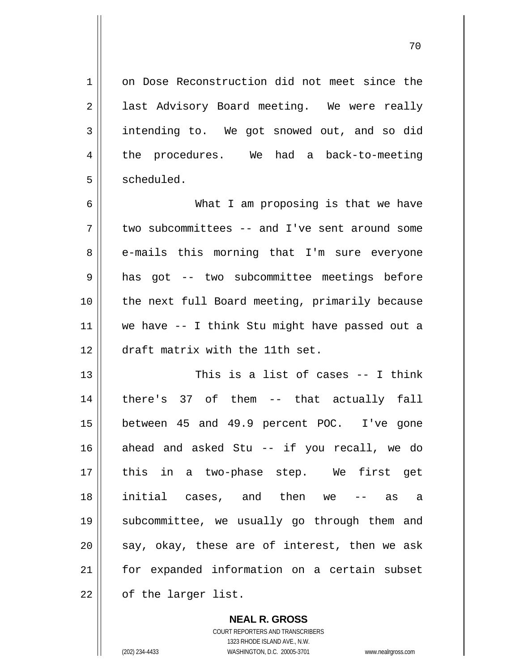on Dose Reconstruction did not meet since the last Advisory Board meeting. We were really intending to. We got snowed out, and so did the procedures. We had a back-to-meeting scheduled.

и процесс в последници производите в 170 миллионето в 170 миллионето в 170 миллионето в 170 миллионето в 170 ми<br>В 170 миллионето в 171 миллионето в 171 миллионето в 171 миллионето в 171 миллионето в 171 миллионето в 171 м

6 7 8 9 10 11 12 What I am proposing is that we have two subcommittees -- and I've sent around some e-mails this morning that I'm sure everyone has got -- two subcommittee meetings before the next full Board meeting, primarily because we have -- I think Stu might have passed out a draft matrix with the 11th set.

13 14 15 16 17 18 19 20 21 22 This is a list of cases -- I think there's 37 of them -- that actually fall between 45 and 49.9 percent POC. I've gone ahead and asked Stu -- if you recall, we do this in a two-phase step. We first get initial cases, and then we -- as a subcommittee, we usually go through them and say, okay, these are of interest, then we ask for expanded information on a certain subset of the larger list.

> **NEAL R. GROSS** COURT REPORTERS AND TRANSCRIBERS 1323 RHODE ISLAND AVE., N.W. (202) 234-4433 WASHINGTON, D.C. 20005-3701 www.nealrgross.com

1

2

3

4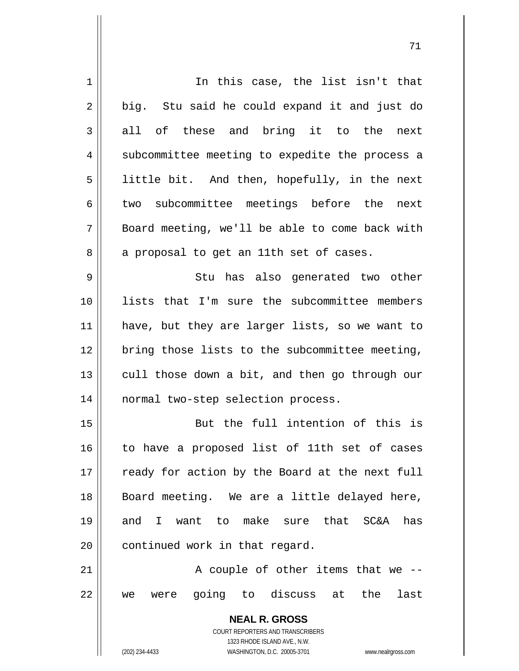| 1           | In this case, the list isn't that                                   |
|-------------|---------------------------------------------------------------------|
| 2           | big. Stu said he could expand it and just do                        |
| 3           | all of these and bring it to the next                               |
| 4           | subcommittee meeting to expedite the process a                      |
| 5           | little bit. And then, hopefully, in the next                        |
| 6           | two subcommittee meetings before the next                           |
| 7           | Board meeting, we'll be able to come back with                      |
| 8           | a proposal to get an 11th set of cases.                             |
| $\mathsf 9$ | Stu has also generated two other                                    |
| 10          | lists that I'm sure the subcommittee members                        |
| 11          | have, but they are larger lists, so we want to                      |
| 12          | bring those lists to the subcommittee meeting,                      |
| 13          | cull those down a bit, and then go through our                      |
| 14          | normal two-step selection process.                                  |
| 15          | But the full intention of this is                                   |
| 16          | to have a proposed list of 11th set of cases                        |
| 17          | ready for action by the Board at the next full                      |
| 18          | Board meeting. We are a little delayed here,                        |
| 19          | and I want to make sure that SC&A<br>has                            |
| 20          | continued work in that regard.                                      |
| 21          | A couple of other items that we --                                  |
| 22          | going to discuss at the<br>last<br>were<br>we                       |
|             |                                                                     |
|             | <b>NEAL R. GROSS</b><br>COURT REPORTERS AND TRANSCRIBERS            |
|             | 1323 RHODE ISLAND AVE., N.W.                                        |
|             | (202) 234-4433<br>WASHINGTON, D.C. 20005-3701<br>www.nealrgross.com |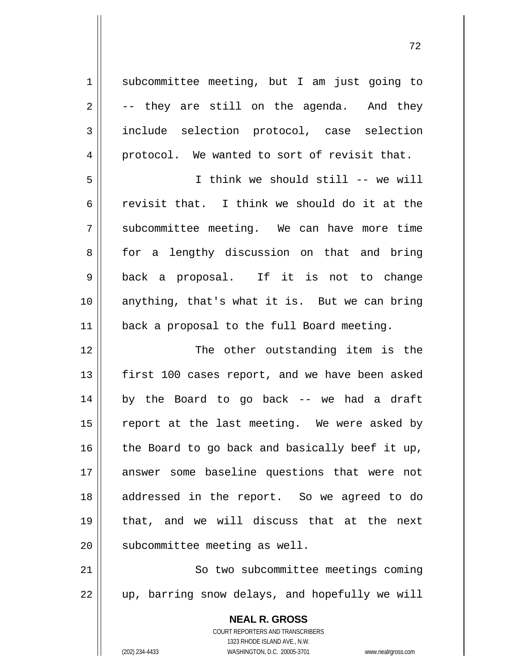1 2 3 4 5 6 7 8 9 10 11 subcommittee meeting, but I am just going to -- they are still on the agenda. And they include selection protocol, case selection protocol. We wanted to sort of revisit that. I think we should still -- we will revisit that. I think we should do it at the subcommittee meeting. We can have more time for a lengthy discussion on that and bring back a proposal. If it is not to change anything, that's what it is. But we can bring back a proposal to the full Board meeting.

12 13 14 15 16 17 18 19 20 The other outstanding item is the first 100 cases report, and we have been asked by the Board to go back -- we had a draft report at the last meeting. We were asked by the Board to go back and basically beef it up, answer some baseline questions that were not addressed in the report. So we agreed to do that, and we will discuss that at the next subcommittee meeting as well.

21 22 So two subcommittee meetings coming up, barring snow delays, and hopefully we will

> **NEAL R. GROSS** COURT REPORTERS AND TRANSCRIBERS 1323 RHODE ISLAND AVE., N.W. (202) 234-4433 WASHINGTON, D.C. 20005-3701 www.nealrgross.com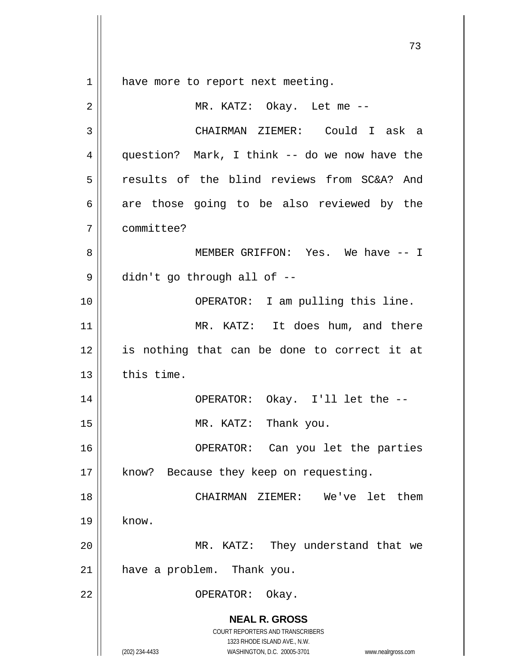$1 \parallel$ have more to report next meeting.

| $\overline{2}$ | MR. KATZ: Okay. Let me --                                                                                                                                       |
|----------------|-----------------------------------------------------------------------------------------------------------------------------------------------------------------|
| 3              | CHAIRMAN ZIEMER: Could I ask a                                                                                                                                  |
| 4              | question? Mark, I think -- do we now have the                                                                                                                   |
| 5              | results of the blind reviews from SC&A? And                                                                                                                     |
| 6              | are those going to be also reviewed by the                                                                                                                      |
| 7              | committee?                                                                                                                                                      |
| 8              | MEMBER GRIFFON: Yes. We have -- I                                                                                                                               |
| 9              | didn't go through all of --                                                                                                                                     |
| 10             | OPERATOR: I am pulling this line.                                                                                                                               |
| 11             | MR. KATZ: It does hum, and there                                                                                                                                |
| 12             | is nothing that can be done to correct it at                                                                                                                    |
| 13             | this time.                                                                                                                                                      |
| 14             | OPERATOR: Okay. I'll let the --                                                                                                                                 |
| 15             | MR. KATZ: Thank you.                                                                                                                                            |
| 16             | OPERATOR: Can you let the parties                                                                                                                               |
| 17             | know? Because they keep on requesting.                                                                                                                          |
| 18             | them<br>CHAIRMAN<br>ZIEMER:<br>We've<br>let                                                                                                                     |
| 19             | know.                                                                                                                                                           |
| 20             | MR. KATZ:<br>They understand that we                                                                                                                            |
| 21             | have a problem. Thank you.                                                                                                                                      |
| 22             | OPERATOR:<br>Okay.                                                                                                                                              |
|                | <b>NEAL R. GROSS</b><br>COURT REPORTERS AND TRANSCRIBERS<br>1323 RHODE ISLAND AVE., N.W.<br>(202) 234-4433<br>WASHINGTON, D.C. 20005-3701<br>www.nealrgross.com |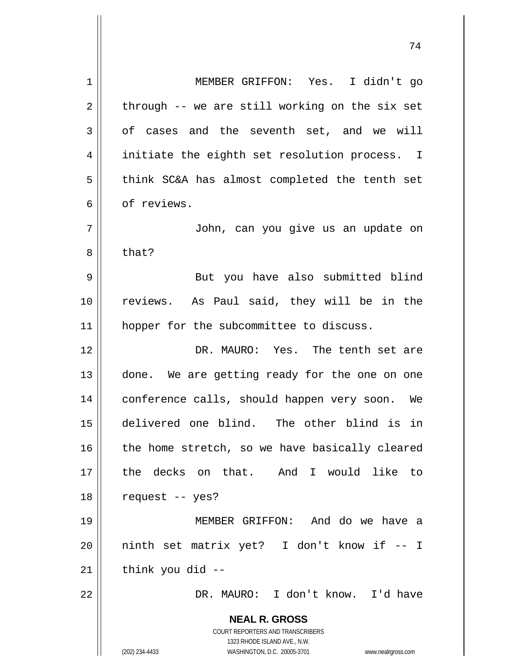**NEAL R. GROSS** COURT REPORTERS AND TRANSCRIBERS 1323 RHODE ISLAND AVE., N.W. (202) 234-4433 WASHINGTON, D.C. 20005-3701 www.nealrgross.com 1 2 3 4 5 6 7 8 9 10 11 12 13 14 15 16 17 18 19 20 21 22 MEMBER GRIFFON: Yes. I didn't go through -- we are still working on the six set of cases and the seventh set, and we will initiate the eighth set resolution process. I think SC&A has almost completed the tenth set of reviews. John, can you give us an update on that? But you have also submitted blind reviews. As Paul said, they will be in the hopper for the subcommittee to discuss. DR. MAURO: Yes. The tenth set are done. We are getting ready for the one on one conference calls, should happen very soon. We delivered one blind. The other blind is in the home stretch, so we have basically cleared the decks on that. And I would like to request -- yes? MEMBER GRIFFON: And do we have a ninth set matrix yet? I don't know if -- I think you did -- DR. MAURO: I don't know. I'd have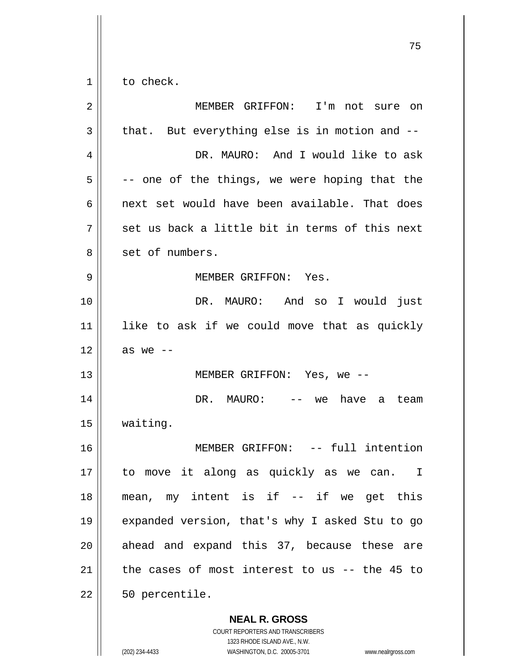$1 \mid$ to check.

| $\overline{2}$ | MEMBER GRIFFON: I'm not sure on                          |
|----------------|----------------------------------------------------------|
| 3              | that. But everything else is in motion and --            |
| 4              | DR. MAURO: And I would like to ask                       |
| 5              | -- one of the things, we were hoping that the            |
| 6              | next set would have been available. That does            |
| 7              | set us back a little bit in terms of this next           |
| 8              | set of numbers.                                          |
| 9              | MEMBER GRIFFON: Yes.                                     |
| 10             | DR. MAURO: And so I would just                           |
| 11             | like to ask if we could move that as quickly             |
| 12             | as we $--$                                               |
| 13             | MEMBER GRIFFON: Yes, we --                               |
| 14             | DR. MAURO:<br>have<br>we<br>team<br>a<br>$- -$           |
| 15             | waiting.                                                 |
| 16             | MEMBER GRIFFON: -- full intention                        |
| 17             | to move it along as quickly as we can.<br>$\mathbf{I}$   |
| 18             | mean, my intent is if -- if we get this                  |
| 19             | expanded version, that's why I asked Stu to go           |
| 20             | ahead and expand this 37, because these are              |
| 21             | the cases of most interest to us $-$ - the 45 to         |
| 22             | 50 percentile.                                           |
|                | <b>NEAL R. GROSS</b><br>COURT REPORTERS AND TRANSCRIBERS |

 $\mathop{\text{||}}$ 

1323 RHODE ISLAND AVE., N.W. (202) 234-4433 WASHINGTON, D.C. 20005-3701 www.nealrgross.com

ли в село в село в село во село во село во село во село во село во село во село во село во село во село во сел<br>Во село во село во село во село во село во село во село во село во село во село во село во село во село во сел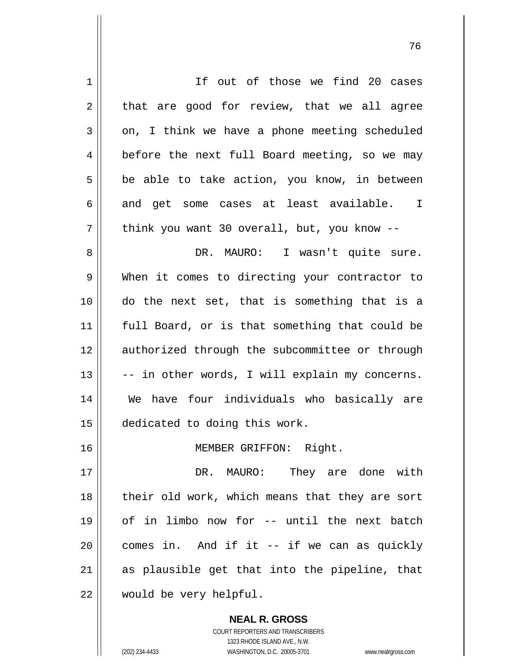| $\mathbf 1$    | If out of those we find 20 cases               |
|----------------|------------------------------------------------|
| $\overline{2}$ | that are good for review, that we all agree    |
| 3              | on, I think we have a phone meeting scheduled  |
| 4              | before the next full Board meeting, so we may  |
| 5              | be able to take action, you know, in between   |
| 6              | and get some cases at least available. I       |
| 7              | think you want 30 overall, but, you know --    |
| 8              | DR. MAURO: I wasn't quite sure.                |
| 9              | When it comes to directing your contractor to  |
| 10             | do the next set, that is something that is a   |
| 11             | full Board, or is that something that could be |
| 12             | authorized through the subcommittee or through |
| 13             | -- in other words, I will explain my concerns. |
| 14             | We have four individuals who basically are     |
| 15             | dedicated to doing this work.                  |
| 16             | MEMBER GRIFFON: Right.                         |
| 17             | DR. MAURO: They are done with                  |
| 18             | their old work, which means that they are sort |
| 19             | of in limbo now for -- until the next batch    |
| 20             | comes in. And if it -- if we can as quickly    |
| 21             | as plausible get that into the pipeline, that  |
| 22             | would be very helpful.                         |

и процесс в политическиот производство в село в 176 година в 176 године. В 176 године в 176 године в 176 годин<br>В 176 године в 176 године в 176 године в 176 године в 176 године в 176 године в 176 године в 176 године в 176

**NEAL R. GROSS** COURT REPORTERS AND TRANSCRIBERS 1323 RHODE ISLAND AVE., N.W. (202) 234-4433 WASHINGTON, D.C. 20005-3701 www.nealrgross.com

 $\mathsf{II}$ 

 $\mathsf{l}$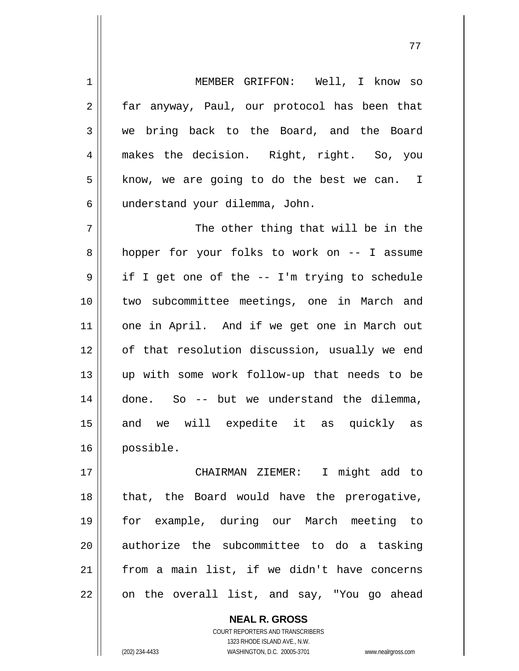1 2 3 4 5 6 7 MEMBER GRIFFON: Well, I know so far anyway, Paul, our protocol has been that we bring back to the Board, and the Board makes the decision. Right, right. So, you know, we are going to do the best we can. I understand your dilemma, John. The other thing that will be in the

8 9 10 11 12 13 14 15 16 hopper for your folks to work on -- I assume if I get one of the -- I'm trying to schedule two subcommittee meetings, one in March and one in April. And if we get one in March out of that resolution discussion, usually we end up with some work follow-up that needs to be done. So -- but we understand the dilemma, and we will expedite it as quickly as possible.

17 18 19 20 21 22 CHAIRMAN ZIEMER: I might add to that, the Board would have the prerogative, for example, during our March meeting to authorize the subcommittee to do a tasking from a main list, if we didn't have concerns on the overall list, and say, "You go ahead

> **NEAL R. GROSS** COURT REPORTERS AND TRANSCRIBERS 1323 RHODE ISLAND AVE., N.W. (202) 234-4433 WASHINGTON, D.C. 20005-3701 www.nealrgross.com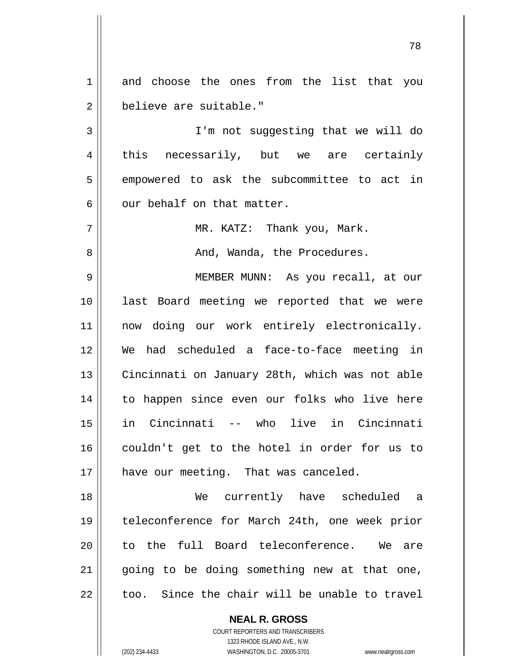1 2 and choose the ones from the list that you believe are suitable."

78

3 4 5 6 I'm not suggesting that we will do this necessarily, but we are certainly empowered to ask the subcommittee to act in our behalf on that matter.

> MR. KATZ: Thank you, Mark. And, Wanda, the Procedures.

9 10 11 12 13 14 15 16 17 MEMBER MUNN: As you recall, at our last Board meeting we reported that we were now doing our work entirely electronically. We had scheduled a face-to-face meeting in Cincinnati on January 28th, which was not able to happen since even our folks who live here in Cincinnati -- who live in Cincinnati couldn't get to the hotel in order for us to have our meeting. That was canceled.

18 19 20 21 22 We currently have scheduled a teleconference for March 24th, one week prior to the full Board teleconference. We are going to be doing something new at that one, too. Since the chair will be unable to travel

> **NEAL R. GROSS** COURT REPORTERS AND TRANSCRIBERS 1323 RHODE ISLAND AVE., N.W. (202) 234-4433 WASHINGTON, D.C. 20005-3701 www.nealrgross.com

7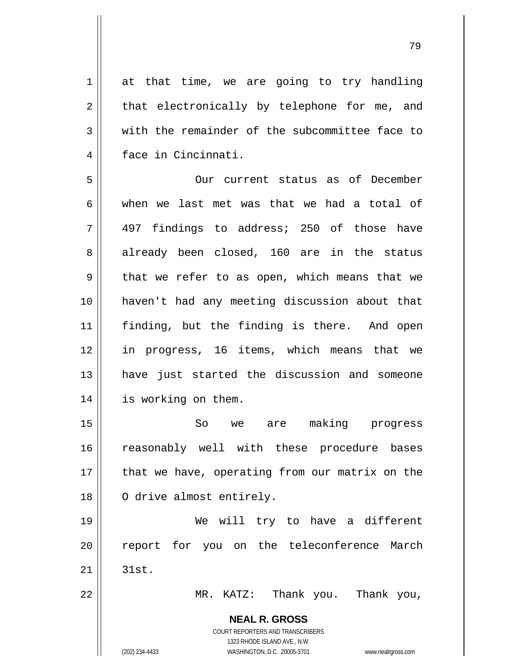at that time, we are going to try handling that electronically by telephone for me, and with the remainder of the subcommittee face to face in Cincinnati.

5 6 7 8 9 10 11 12 13 14 Our current status as of December when we last met was that we had a total of 497 findings to address; 250 of those have already been closed, 160 are in the status that we refer to as open, which means that we haven't had any meeting discussion about that finding, but the finding is there. And open in progress, 16 items, which means that we have just started the discussion and someone is working on them.

15 16 17 18 So we are making progress reasonably well with these procedure bases that we have, operating from our matrix on the O drive almost entirely.

19 20 21 We will try to have a different report for you on the teleconference March 31st.

MR. KATZ: Thank you. Thank you,

**NEAL R. GROSS** COURT REPORTERS AND TRANSCRIBERS

1323 RHODE ISLAND AVE., N.W.

22

1

2

3

4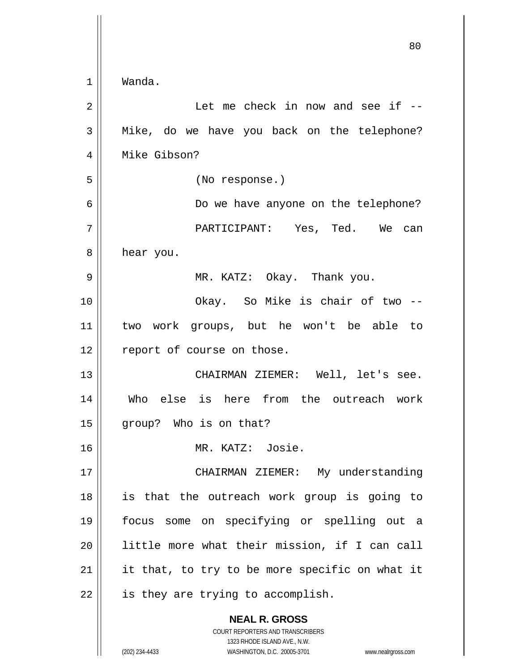|             | 80                                             |
|-------------|------------------------------------------------|
| $\mathbf 1$ | Wanda.                                         |
| 2           | Let me check in now and see if --              |
| 3           | Mike, do we have you back on the telephone?    |
| 4           | Mike Gibson?                                   |
| 5           | (No response.)                                 |
| 6           | Do we have anyone on the telephone?            |
| 7           | PARTICIPANT: Yes, Ted. We can                  |
| 8           | hear you.                                      |
| 9           | MR. KATZ: Okay. Thank you.                     |
| 10          | Okay. So Mike is chair of two --               |
| 11          | two work groups, but he won't be able to       |
| 12          | report of course on those.                     |
| 13          | CHAIRMAN ZIEMER: Well, let's see.              |
| 14          | Who else is here from the outreach work        |
| 15          | group? Who is on that?                         |
| 16          | MR. KATZ: Josie.                               |
| 17          | CHAIRMAN ZIEMER: My understanding              |
| 18          | is that the outreach work group is going to    |
| 19          | focus some on specifying or spelling out a     |
| 20          | little more what their mission, if I can call  |
| 21          | it that, to try to be more specific on what it |
| 22          | is they are trying to accomplish.              |
|             | <b>NEAL R. GROSS</b>                           |

COURT REPORTERS AND TRANSCRIBERS 1323 RHODE ISLAND AVE., N.W.

 $\mathbf{\mathsf{I}}$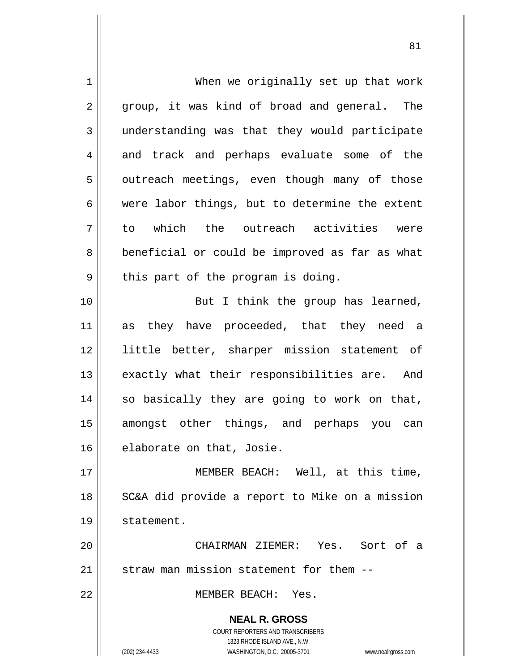**NEAL R. GROSS** COURT REPORTERS AND TRANSCRIBERS 1323 RHODE ISLAND AVE., N.W. (202) 234-4433 WASHINGTON, D.C. 20005-3701 www.nealrgross.com 1 2 3 4 5 6 7 8 9 10 11 12 13 14 15 16 17 18 19 20 21 22 When we originally set up that work group, it was kind of broad and general. The understanding was that they would participate and track and perhaps evaluate some of the outreach meetings, even though many of those were labor things, but to determine the extent to which the outreach activities were beneficial or could be improved as far as what this part of the program is doing. But I think the group has learned, as they have proceeded, that they need a little better, sharper mission statement of exactly what their responsibilities are. And so basically they are going to work on that, amongst other things, and perhaps you can elaborate on that, Josie. MEMBER BEACH: Well, at this time, SC&A did provide a report to Mike on a mission statement. CHAIRMAN ZIEMER: Yes. Sort of a straw man mission statement for them -- MEMBER BEACH: Yes.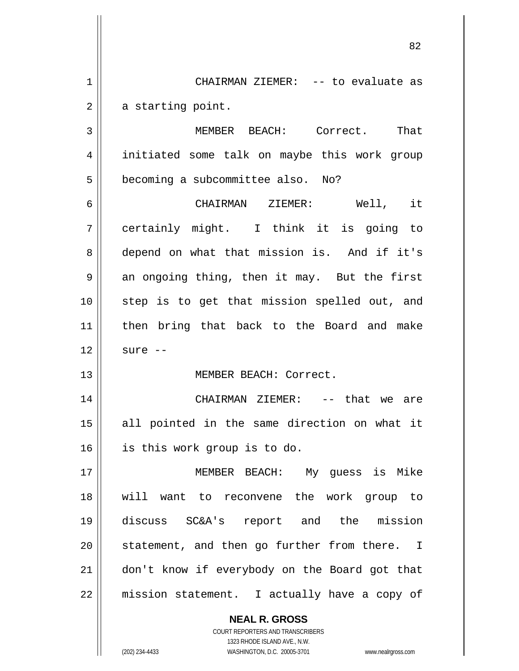1 2 CHAIRMAN ZIEMER: -- to evaluate as a starting point.

<u>82</u>

3 4 5 MEMBER BEACH: Correct. That initiated some talk on maybe this work group becoming a subcommittee also. No?

6 7 8 9 10 11 12 CHAIRMAN ZIEMER: Well, it certainly might. I think it is going to depend on what that mission is. And if it's an ongoing thing, then it may. But the first step is to get that mission spelled out, and then bring that back to the Board and make sure --

MEMBER BEACH: Correct.

14 15 16 CHAIRMAN ZIEMER: -- that we are all pointed in the same direction on what it is this work group is to do.

17 18 19 20 21 22 MEMBER BEACH: My guess is Mike will want to reconvene the work group to discuss SC&A's report and the mission statement, and then go further from there. I don't know if everybody on the Board got that mission statement. I actually have a copy of

> **NEAL R. GROSS** COURT REPORTERS AND TRANSCRIBERS

13

1323 RHODE ISLAND AVE., N.W. (202) 234-4433 WASHINGTON, D.C. 20005-3701 www.nealrgross.com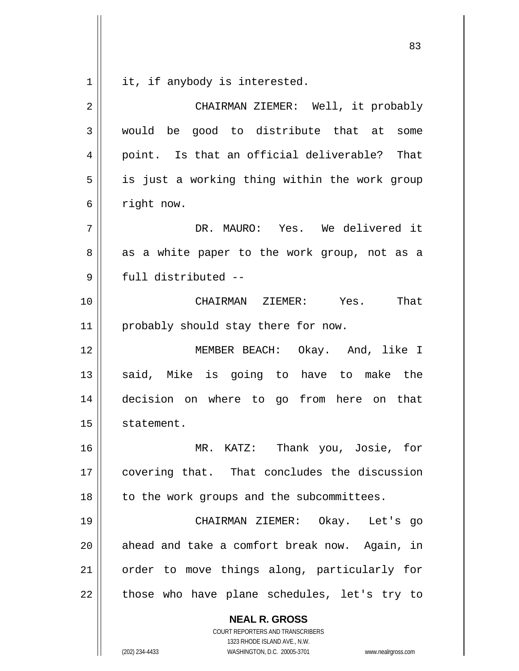$\begin{array}{c|c|c|c} 1 & 1 \end{array}$ it, if anybody is interested.

| 2  | CHAIRMAN ZIEMER: Well, it probably            |
|----|-----------------------------------------------|
| 3  | would be good to distribute that at some      |
| 4  | point. Is that an official deliverable? That  |
| 5  | is just a working thing within the work group |
| 6  | right now.                                    |
| 7  | DR. MAURO: Yes. We delivered it               |
| 8  | as a white paper to the work group, not as a  |
| 9  | full distributed --                           |
| 10 | CHAIRMAN ZIEMER: Yes.<br>That                 |
| 11 | probably should stay there for now.           |
| 12 | MEMBER BEACH: Okay. And, like I               |
| 13 | said, Mike is going to have to make the       |
| 14 | decision on where to go from here on that     |
| 15 | statement.                                    |
| 16 | MR. KATZ: Thank you, Josie, for               |
| 17 | covering that. That concludes the discussion  |
| 18 | to the work groups and the subcommittees.     |
| 19 | CHAIRMAN ZIEMER: Okay. Let's go               |
| 20 | ahead and take a comfort break now. Again, in |
| 21 | order to move things along, particularly for  |
| 22 | those who have plane schedules, let's try to  |
|    | <b>NEAL R. GROSS</b>                          |

COURT REPORTERS AND TRANSCRIBERS 1323 RHODE ISLAND AVE., N.W.

(202) 234-4433 WASHINGTON, D.C. 20005-3701 www.nealrgross.com

<u>83</u>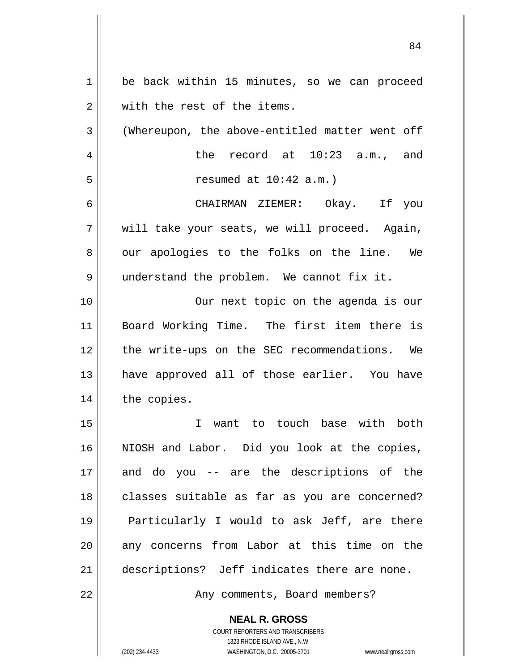| $\mathbf 1$ | be back within 15 minutes, so we can proceed    |
|-------------|-------------------------------------------------|
| 2           | with the rest of the items.                     |
| 3           | (Whereupon, the above-entitled matter went off  |
| 4           | the record at 10:23 a.m., and                   |
| 5           | resumed at $10:42$ a.m.)                        |
| 6           | CHAIRMAN ZIEMER: Okay. If you                   |
| 7           | will take your seats, we will proceed. Again,   |
| 8           | our apologies to the folks on the line. We      |
| 9           | understand the problem. We cannot fix it.       |
| 10          | Our next topic on the agenda is our             |
| 11          | Board Working Time. The first item there is     |
| 12          | the write-ups on the SEC recommendations. We    |
| 13          | have approved all of those earlier. You have    |
| 14          | the copies.                                     |
| 15          | want to touch base with<br>both<br>$\mathbf{I}$ |
| 16          | NIOSH and Labor. Did you look at the copies,    |
| 17          | and do you -- are the descriptions of the       |
| 18          | classes suitable as far as you are concerned?   |
| 19          | Particularly I would to ask Jeff, are there     |
| 20          | any concerns from Labor at this time on the     |
| 21          | descriptions? Jeff indicates there are none.    |
| 22          | Any comments, Board members?                    |
|             | <b>NEAL R. GROSS</b>                            |

84

COURT REPORTERS AND TRANSCRIBERS 1323 RHODE ISLAND AVE., N.W.

 $\prod$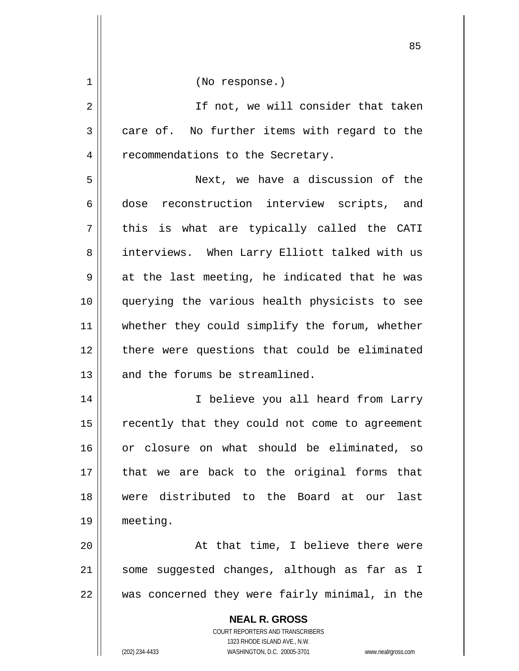**NEAL R. GROSS** COURT REPORTERS AND TRANSCRIBERS 1323 RHODE ISLAND AVE., N.W. 1 2 3 4 5 6 7 8 9 10 11 12 13 14 15 16 17 18 19 20 21 22 (No response.) If not, we will consider that taken care of. No further items with regard to the recommendations to the Secretary. Next, we have a discussion of the dose reconstruction interview scripts, and this is what are typically called the CATI interviews. When Larry Elliott talked with us at the last meeting, he indicated that he was querying the various health physicists to see whether they could simplify the forum, whether there were questions that could be eliminated and the forums be streamlined. I believe you all heard from Larry recently that they could not come to agreement or closure on what should be eliminated, so that we are back to the original forms that were distributed to the Board at our last meeting. At that time, I believe there were some suggested changes, although as far as I was concerned they were fairly minimal, in the

<u>85 and 2001 and 2001 and 2001 and 2001 and 2001 and 2001 and 2001 and 2001 and 2001 and 2001 and 2001 and 200</u>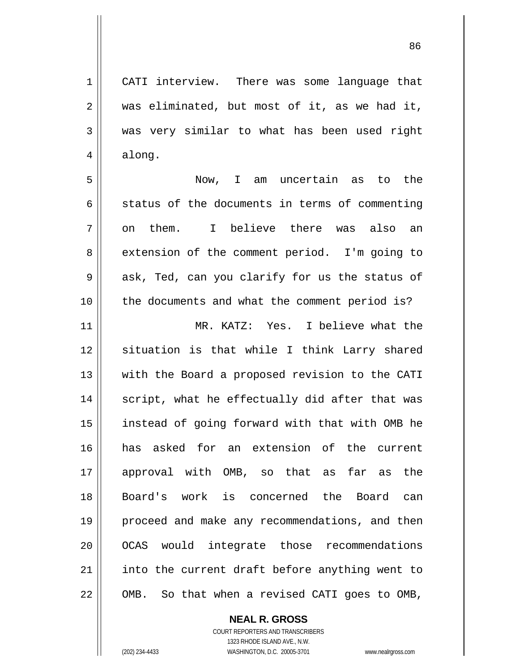CATI interview. There was some language that was eliminated, but most of it, as we had it, was very similar to what has been used right along.

<u>86 and 2001 and 2002 and 2003 and 2003 and 2003 and 2003 and 2003 and 2003 and 2003 and 2003 and 2003 and 200</u>

7 Now, I am uncertain as to the status of the documents in terms of commenting on them. I believe there was also an extension of the comment period. I'm going to ask, Ted, can you clarify for us the status of the documents and what the comment period is?

11 12 13 14 15 16 17 18 19 20 21 22 MR. KATZ: Yes. I believe what the situation is that while I think Larry shared with the Board a proposed revision to the CATI script, what he effectually did after that was instead of going forward with that with OMB he has asked for an extension of the current approval with OMB, so that as far as the Board's work is concerned the Board can proceed and make any recommendations, and then OCAS would integrate those recommendations into the current draft before anything went to OMB. So that when a revised CATI goes to OMB,

**NEAL R. GROSS**

COURT REPORTERS AND TRANSCRIBERS 1323 RHODE ISLAND AVE., N.W. (202) 234-4433 WASHINGTON, D.C. 20005-3701 www.nealrgross.com

1

2

3

4

5

6

8

9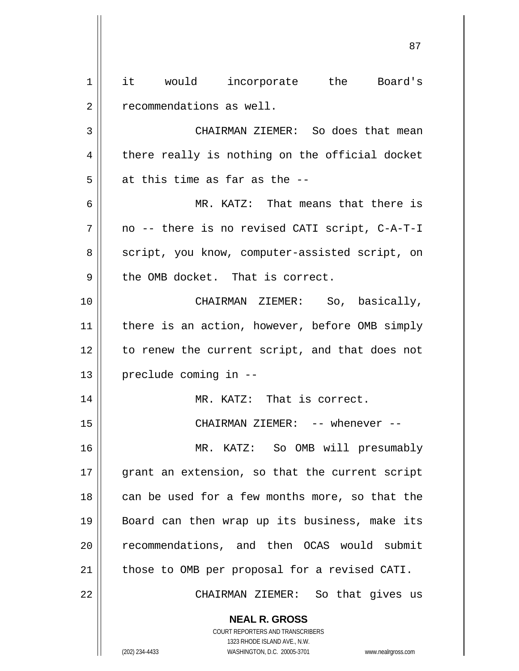**NEAL R. GROSS** 1 2 3 4 5 6 7 8 9 10 11 12 13 14 15 16 17 18 19 20 21 22 it would incorporate the Board's recommendations as well. CHAIRMAN ZIEMER: So does that mean there really is nothing on the official docket at this time as far as the -- MR. KATZ: That means that there is no -- there is no revised CATI script, C-A-T-I script, you know, computer-assisted script, on the OMB docket. That is correct. CHAIRMAN ZIEMER: So, basically, there is an action, however, before OMB simply to renew the current script, and that does not preclude coming in -- MR. KATZ: That is correct. CHAIRMAN ZIEMER: -- whenever -- MR. KATZ: So OMB will presumably grant an extension, so that the current script can be used for a few months more, so that the Board can then wrap up its business, make its recommendations, and then OCAS would submit those to OMB per proposal for a revised CATI. CHAIRMAN ZIEMER: So that gives us

<u>87 and 2014 and 2014 and 2014 and 2014 and 2014 and 2014 and 2014 and 2014 and 2014 and 2014 and 2014 and 201</u>

COURT REPORTERS AND TRANSCRIBERS 1323 RHODE ISLAND AVE., N.W.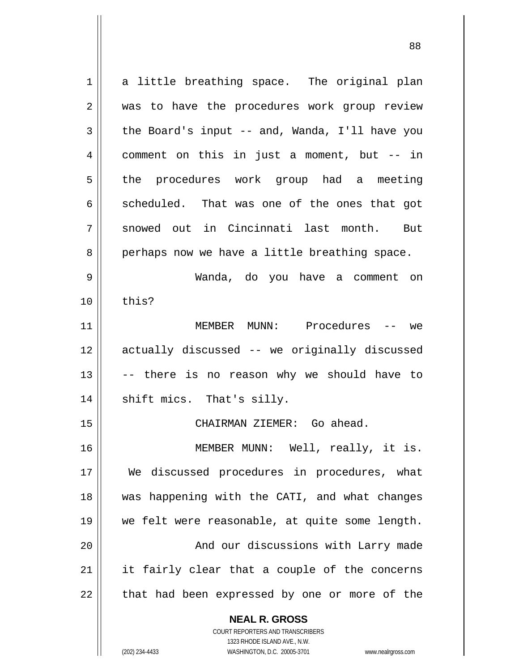**NEAL R. GROSS** COURT REPORTERS AND TRANSCRIBERS 1 2 3 4 5 6 7 8 9 10 11 12 13 14 15 16 17 18 19 20 21 22 a little breathing space. The original plan was to have the procedures work group review the Board's input -- and, Wanda, I'll have you comment on this in just a moment, but -- in the procedures work group had a meeting scheduled. That was one of the ones that got snowed out in Cincinnati last month. But perhaps now we have a little breathing space. Wanda, do you have a comment on this? MEMBER MUNN: Procedures -- we actually discussed -- we originally discussed -- there is no reason why we should have to shift mics. That's silly. CHAIRMAN ZIEMER: Go ahead. MEMBER MUNN: Well, really, it is. We discussed procedures in procedures, what was happening with the CATI, and what changes we felt were reasonable, at quite some length. And our discussions with Larry made it fairly clear that a couple of the concerns that had been expressed by one or more of the

1323 RHODE ISLAND AVE., N.W.

(202) 234-4433 WASHINGTON, D.C. 20005-3701 www.nealrgross.com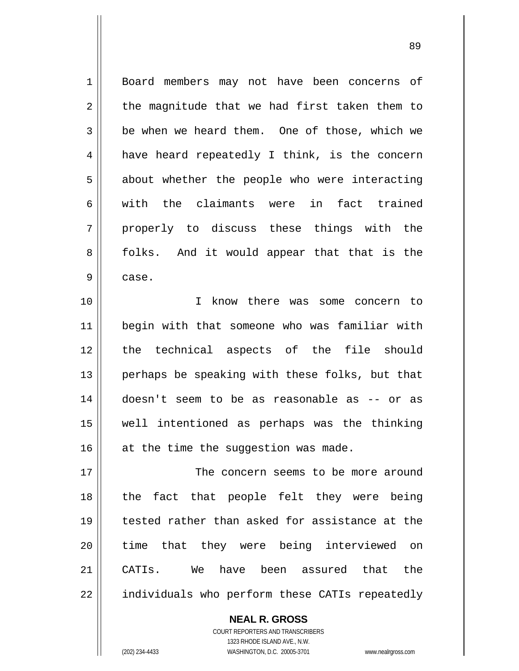1 2 3 4 5 6 7 8 9 10 Board members may not have been concerns of the magnitude that we had first taken them to be when we heard them. One of those, which we have heard repeatedly I think, is the concern about whether the people who were interacting with the claimants were in fact trained properly to discuss these things with the folks. And it would appear that that is the case. I know there was some concern to

<u>89 and 2001 and 2002 and 2003 and 2003 and 2004 and 2004 and 2004 and 2004 and 2004 and 2004 and 2004 and 200</u>

11 12 13 14 15 16 begin with that someone who was familiar with the technical aspects of the file should perhaps be speaking with these folks, but that doesn't seem to be as reasonable as -- or as well intentioned as perhaps was the thinking at the time the suggestion was made.

17 18 19 20 21 22 The concern seems to be more around the fact that people felt they were being tested rather than asked for assistance at the time that they were being interviewed on CATIs. We have been assured that the individuals who perform these CATIs repeatedly

> COURT REPORTERS AND TRANSCRIBERS 1323 RHODE ISLAND AVE., N.W. (202) 234-4433 WASHINGTON, D.C. 20005-3701 www.nealrgross.com

**NEAL R. GROSS**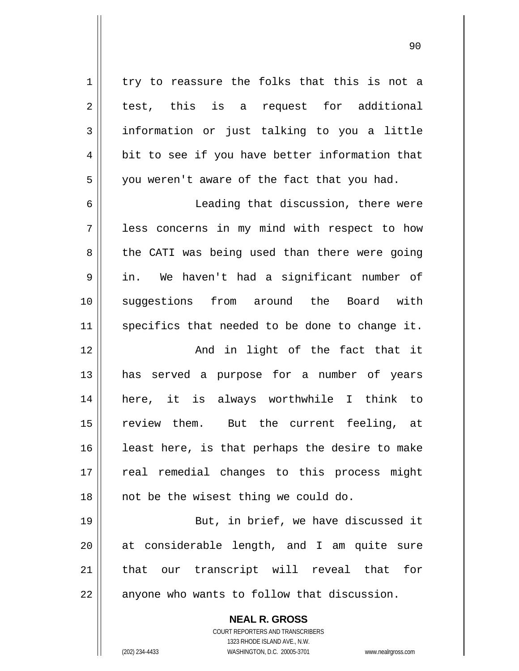90

| $\mathbf 1$    | try to reassure the folks that this is not a   |
|----------------|------------------------------------------------|
| $\sqrt{2}$     | test, this is a request for additional         |
| $\mathfrak{Z}$ | information or just talking to you a little    |
| $\overline{4}$ | bit to see if you have better information that |
| 5              | you weren't aware of the fact that you had.    |
| 6              | Leading that discussion, there were            |
| 7              | less concerns in my mind with respect to how   |
| $\,8\,$        | the CATI was being used than there were going  |
| $\mathsf 9$    | in. We haven't had a significant number of     |
| 10             | suggestions from around the Board with         |
| 11             | specifics that needed to be done to change it. |
| 12             | And in light of the fact that it               |
| 13             | has served a purpose for a number of years     |
| 14             | here, it is always worthwhile I think to       |
| 15             | review them. But the current feeling, at       |
| 16             | least here, is that perhaps the desire to make |
| 17             | real remedial changes to this process might    |
| 18             | not be the wisest thing we could do.           |
| 19             | But, in brief, we have discussed it            |
| 20             | at considerable length, and I am quite sure    |
| 21             | that our transcript will reveal that<br>for    |
| 22             | anyone who wants to follow that discussion.    |
|                | <b>NEAL R. GROSS</b>                           |

 $\mathsf{II}$ 

1323 RHODE ISLAND AVE., N.W. (202) 234-4433 WASHINGTON, D.C. 20005-3701 www.nealrgross.com

COURT REPORTERS AND TRANSCRIBERS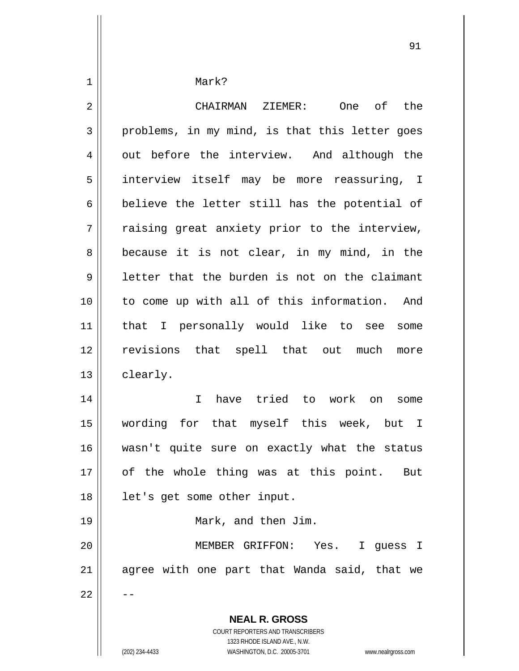Mark?

1

 $\mathbf{I}$ 

| $\overline{2}$ | CHAIRMAN ZIEMER:<br>One of the                                                                                                                                         |
|----------------|------------------------------------------------------------------------------------------------------------------------------------------------------------------------|
| 3              | problems, in my mind, is that this letter goes                                                                                                                         |
| 4              | out before the interview. And although the                                                                                                                             |
| 5              | interview itself may be more reassuring, I                                                                                                                             |
| 6              | believe the letter still has the potential of                                                                                                                          |
| 7              | raising great anxiety prior to the interview,                                                                                                                          |
| 8              | because it is not clear, in my mind, in the                                                                                                                            |
| 9              | letter that the burden is not on the claimant                                                                                                                          |
| 10             | to come up with all of this information. And                                                                                                                           |
| 11             | that I personally would like to see<br>some                                                                                                                            |
| 12             | revisions that spell that out much<br>more                                                                                                                             |
| 13             | clearly.                                                                                                                                                               |
| 14             | $\mathbf{I}$<br>have tried to work on<br>some                                                                                                                          |
| 15             | wording for that myself this week, but I                                                                                                                               |
| 16             | wasn't quite sure on exactly what the status                                                                                                                           |
| 17             | of the whole thing was at this point. But                                                                                                                              |
| 18             | let's get some other input.                                                                                                                                            |
| 19             | Mark, and then Jim.                                                                                                                                                    |
| 20             | MEMBER GRIFFON: Yes.<br>I guess I                                                                                                                                      |
| 21             | agree with one part that Wanda said, that we                                                                                                                           |
| 22             |                                                                                                                                                                        |
|                | <b>NEAL R. GROSS</b><br><b>COURT REPORTERS AND TRANSCRIBERS</b><br>1323 RHODE ISLAND AVE., N.W.<br>(202) 234-4433<br>WASHINGTON, D.C. 20005-3701<br>www.nealrgross.com |

<u>91</u>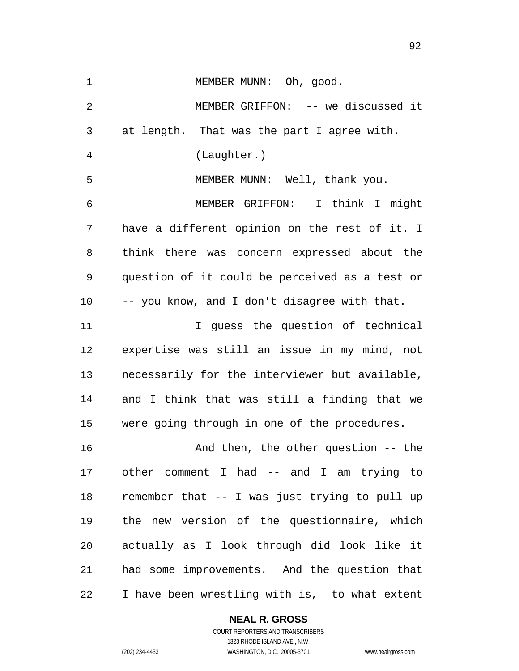|    | 92                                             |
|----|------------------------------------------------|
| 1  | MEMBER MUNN: Oh, good.                         |
| 2  | MEMBER GRIFFON: -- we discussed it             |
| 3  | at length. That was the part I agree with.     |
| 4  | (Laughter.)                                    |
| 5  | MEMBER MUNN: Well, thank you.                  |
| 6  | MEMBER GRIFFON: I think I might                |
| 7  | have a different opinion on the rest of it. I  |
| 8  | think there was concern expressed about the    |
| 9  | question of it could be perceived as a test or |
| 10 | -- you know, and I don't disagree with that.   |
| 11 | I guess the question of technical              |
| 12 | expertise was still an issue in my mind, not   |
| 13 | necessarily for the interviewer but available, |
| 14 | and I think that was still a finding that we   |
| 15 | were going through in one of the procedures.   |
| 16 | And then, the other question -- the            |
| 17 | other comment I had -- and I am trying to      |
| 18 | remember that -- I was just trying to pull up  |
| 19 | the new version of the questionnaire, which    |
| 20 | actually as I look through did look like it    |
| 21 | had some improvements. And the question that   |
| 22 | I have been wrestling with is, to what extent  |
|    | <b>NEAL R. GROSS</b>                           |

COURT REPORTERS AND TRANSCRIBERS 1323 RHODE ISLAND AVE., N.W. (202) 234-4433 WASHINGTON, D.C. 20005-3701 www.nealrgross.com

 $\mathsf{I}$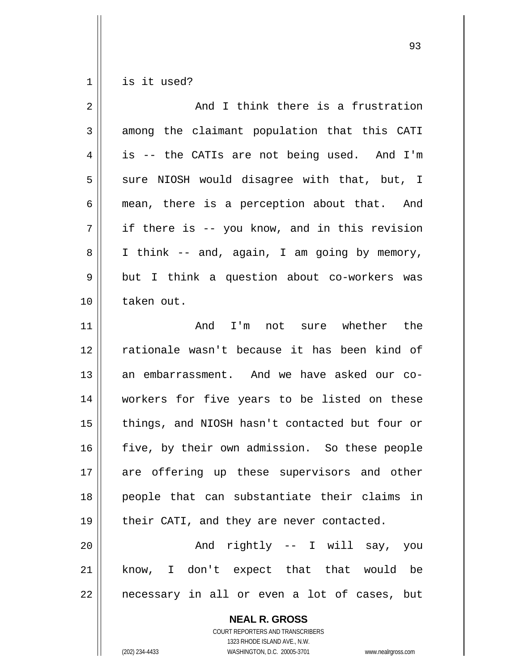$1 \mid$ is it used?

| $\overline{2}$ | And I think there is a frustration             |
|----------------|------------------------------------------------|
| 3              | among the claimant population that this CATI   |
| 4              | is -- the CATIs are not being used. And I'm    |
| 5              | sure NIOSH would disagree with that, but, I    |
| 6              | mean, there is a perception about that. And    |
| 7              | if there is -- you know, and in this revision  |
| 8              | I think -- and, again, I am going by memory,   |
| 9              | but I think a question about co-workers was    |
| 10             | taken out.                                     |
| 11             | And I'm not sure whether the                   |
| 12             | rationale wasn't because it has been kind of   |
| 13             | an embarrassment. And we have asked our co-    |
| 14             | workers for five years to be listed on these   |
| 15             | things, and NIOSH hasn't contacted but four or |
| 16             | five, by their own admission. So these people  |
| 17             | are offering up these supervisors and other    |
| 18             | people that can substantiate their claims in   |
| 19             | their CATI, and they are never contacted.      |
| 20             | And rightly -- I will say, you                 |
| 21             | know, I don't expect that that would be        |
| 22             | necessary in all or even a lot of cases, but   |
|                | <b>NEAL R. GROSS</b>                           |

COURT REPORTERS AND TRANSCRIBERS 1323 RHODE ISLAND AVE., N.W.

(202) 234-4433 WASHINGTON, D.C. 20005-3701 www.nealrgross.com

<u>93 and 200 minutes and 200 minutes and 200 minutes and 200 minutes and 200 minutes and 200 minutes and 200 minutes and 200 minutes and 200 minutes and 200 minutes and 200 minutes and 200 minutes and 200 minutes and 200 mi</u>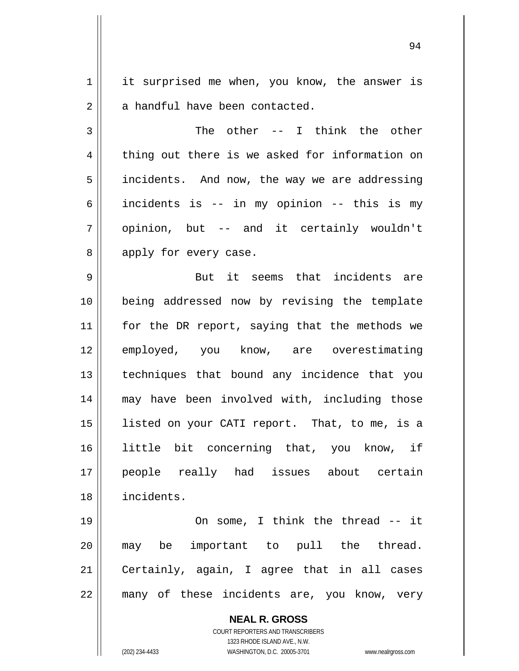1 2 it surprised me when, you know, the answer is a handful have been contacted.

3 4 5 6 7 8 The other -- I think the other thing out there is we asked for information on incidents. And now, the way we are addressing incidents is -- in my opinion -- this is my opinion, but -- and it certainly wouldn't apply for every case.

9 10 11 12 13 14 15 16 17 18 But it seems that incidents are being addressed now by revising the template for the DR report, saying that the methods we employed, you know, are overestimating techniques that bound any incidence that you may have been involved with, including those listed on your CATI report. That, to me, is a little bit concerning that, you know, if people really had issues about certain incidents.

19 20 21 22 On some, I think the thread -- it may be important to pull the thread. Certainly, again, I agree that in all cases many of these incidents are, you know, very

> **NEAL R. GROSS** COURT REPORTERS AND TRANSCRIBERS 1323 RHODE ISLAND AVE., N.W. (202) 234-4433 WASHINGTON, D.C. 20005-3701 www.nealrgross.com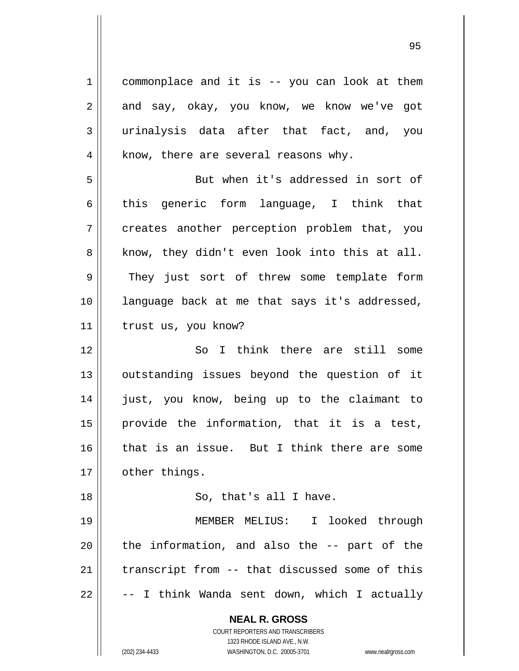**NEAL R. GROSS** COURT REPORTERS AND TRANSCRIBERS 1323 RHODE ISLAND AVE., N.W. 1 2 3 4 5 6 7 8 9 10 11 12 13 14 15 16 17 18 19 20 21 22 commonplace and it is -- you can look at them and say, okay, you know, we know we've got urinalysis data after that fact, and, you know, there are several reasons why. But when it's addressed in sort of this generic form language, I think that creates another perception problem that, you know, they didn't even look into this at all. They just sort of threw some template form language back at me that says it's addressed, trust us, you know? So I think there are still some outstanding issues beyond the question of it just, you know, being up to the claimant to provide the information, that it is a test, that is an issue. But I think there are some other things. So, that's all I have. MEMBER MELIUS: I looked through the information, and also the -- part of the transcript from -- that discussed some of this -- I think Wanda sent down, which I actually

(202) 234-4433 WASHINGTON, D.C. 20005-3701 www.nealrgross.com

<u>95 and 2001 and 2001 and 2001 and 2001 and 2001 and 2001 and 2001 and 2001 and 2001 and 2001 and 2001 and 200</u>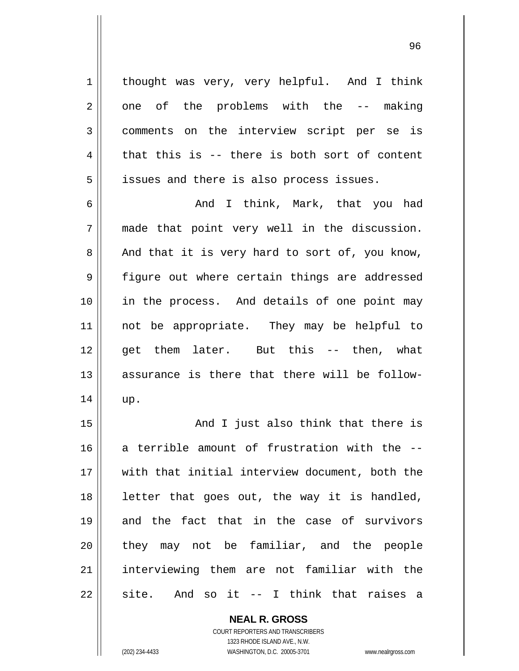thought was very, very helpful. And I think one of the problems with the -- making comments on the interview script per se is that this is -- there is both sort of content issues and there is also process issues.

6 7 8 9 10 11 12 13 14 And I think, Mark, that you had made that point very well in the discussion. And that it is very hard to sort of, you know, figure out where certain things are addressed in the process. And details of one point may not be appropriate. They may be helpful to get them later. But this -- then, what assurance is there that there will be followup.

15 16 17 18 19 20 21 22 And I just also think that there is a terrible amount of frustration with the - with that initial interview document, both the letter that goes out, the way it is handled, and the fact that in the case of survivors they may not be familiar, and the people interviewing them are not familiar with the site. And so it -- I think that raises a

> **NEAL R. GROSS** COURT REPORTERS AND TRANSCRIBERS 1323 RHODE ISLAND AVE., N.W. (202) 234-4433 WASHINGTON, D.C. 20005-3701 www.nealrgross.com

1

2

3

4

5

<u>96 - Paul Barbara, poeta e a filozofoar a 196</u>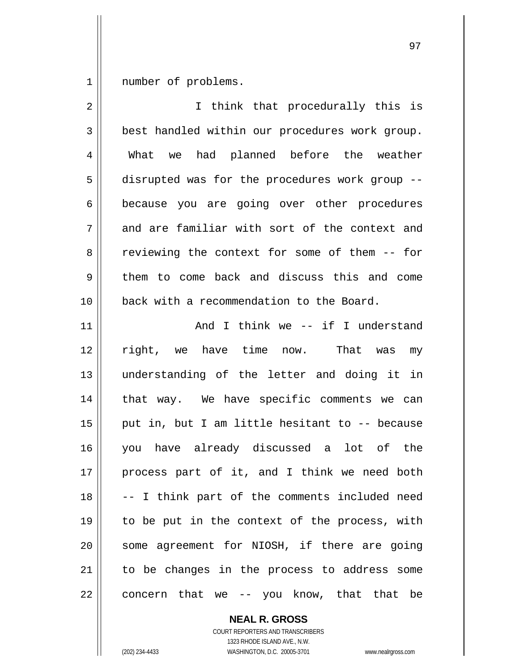1 number of problems.

| $\overline{2}$ | I think that procedurally this is              |
|----------------|------------------------------------------------|
| 3              | best handled within our procedures work group. |
| 4              | What we had planned before the weather         |
| 5              | disrupted was for the procedures work group -- |
| 6              | because you are going over other procedures    |
| 7              | and are familiar with sort of the context and  |
| 8              | reviewing the context for some of them -- for  |
| 9              | them to come back and discuss this and come    |
| 10             | back with a recommendation to the Board.       |
| 11             | And I think we -- if I understand              |
| 12             | right, we have time now. That was<br>my        |
| 13             | understanding of the letter and doing it in    |
| 14             | that way. We have specific comments we can     |
| 15             | put in, but I am little hesitant to -- because |
| 16             | you have already discussed a lot of the        |
| 17             | process part of it, and I think we need both   |
| 18             | -- I think part of the comments included need  |
| 19             | to be put in the context of the process, with  |
| 20             | some agreement for NIOSH, if there are going   |
| 21             | to be changes in the process to address some   |
| 22             | concern that we -- you know, that that be      |

**NEAL R. GROSS** COURT REPORTERS AND TRANSCRIBERS

1323 RHODE ISLAND AVE., N.W.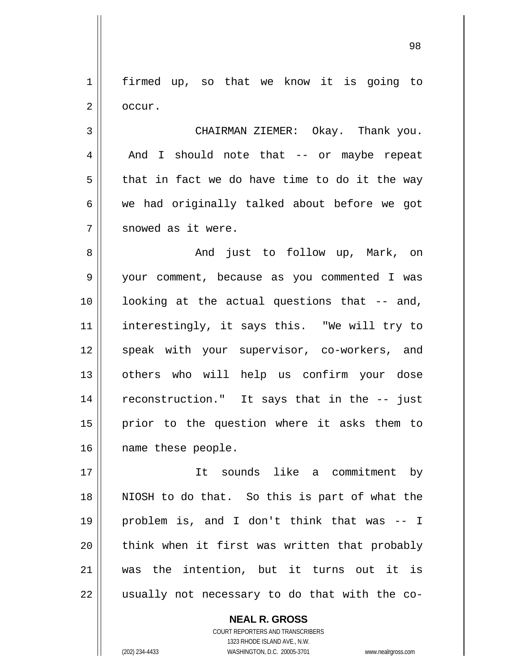1 2 firmed up, so that we know it is going to occur.

4 7 CHAIRMAN ZIEMER: Okay. Thank you. And I should note that -- or maybe repeat that in fact we do have time to do it the way we had originally talked about before we got snowed as it were.

8 9 10 11 12 13 14 15 16 And just to follow up, Mark, on your comment, because as you commented I was looking at the actual questions that -- and, interestingly, it says this. "We will try to speak with your supervisor, co-workers, and others who will help us confirm your dose reconstruction." It says that in the -- just prior to the question where it asks them to name these people.

17 18 19 20 21 22 It sounds like a commitment by NIOSH to do that. So this is part of what the problem is, and I don't think that was -- I think when it first was written that probably was the intention, but it turns out it is usually not necessary to do that with the co-

> COURT REPORTERS AND TRANSCRIBERS 1323 RHODE ISLAND AVE., N.W. (202) 234-4433 WASHINGTON, D.C. 20005-3701 www.nealrgross.com

**NEAL R. GROSS**

3

5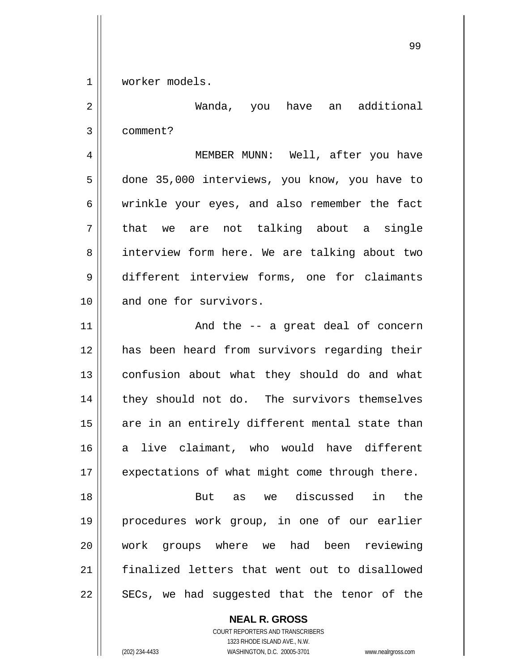1 worker models.

2

3 Wanda, you have an additional comment?

4 5 6 7 8 9 10 MEMBER MUNN: Well, after you have done 35,000 interviews, you know, you have to wrinkle your eyes, and also remember the fact that we are not talking about a single interview form here. We are talking about two different interview forms, one for claimants and one for survivors.

11 12 13 14 15 16 17 And the -- a great deal of concern has been heard from survivors regarding their confusion about what they should do and what they should not do. The survivors themselves are in an entirely different mental state than a live claimant, who would have different expectations of what might come through there.

18 19 20 21 22 But as we discussed in the procedures work group, in one of our earlier work groups where we had been reviewing finalized letters that went out to disallowed SECs, we had suggested that the tenor of the

> **NEAL R. GROSS** COURT REPORTERS AND TRANSCRIBERS 1323 RHODE ISLAND AVE., N.W. (202) 234-4433 WASHINGTON, D.C. 20005-3701 www.nealrgross.com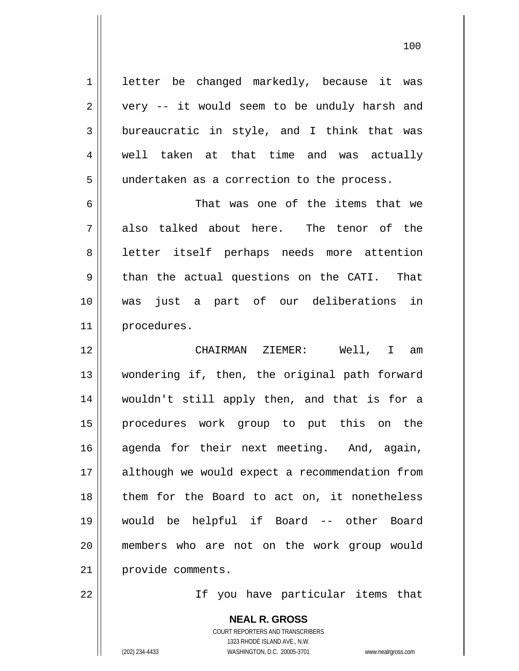letter be changed markedly, because it was very -- it would seem to be unduly harsh and bureaucratic in style, and I think that was well taken at that time and was actually undertaken as a correction to the process.

6 7 8 9 10 11 That was one of the items that we also talked about here. The tenor of the letter itself perhaps needs more attention than the actual questions on the CATI. That was just a part of our deliberations in procedures.

12 13 14 15 16 17 18 19 20 21 CHAIRMAN ZIEMER: Well, I am wondering if, then, the original path forward wouldn't still apply then, and that is for a procedures work group to put this on the agenda for their next meeting. And, again, although we would expect a recommendation from them for the Board to act on, it nonetheless would be helpful if Board -- other Board members who are not on the work group would provide comments.

22

1

2

3

4

5

If you have particular items that

**NEAL R. GROSS** COURT REPORTERS AND TRANSCRIBERS 1323 RHODE ISLAND AVE., N.W. (202) 234-4433 WASHINGTON, D.C. 20005-3701 www.nealrgross.com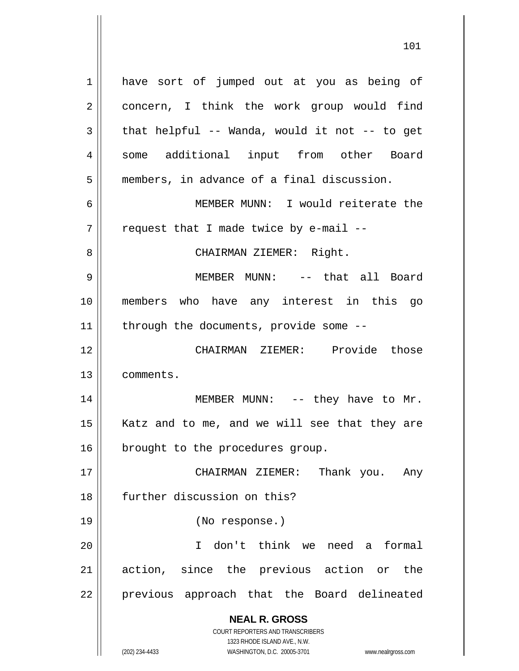**NEAL R. GROSS** 1 2 3 4 5 6 7 8 9 10 11 12 13 14 15 16 17 18 19 20 21 22 have sort of jumped out at you as being of concern, I think the work group would find that helpful -- Wanda, would it not -- to get some additional input from other Board members, in advance of a final discussion. MEMBER MUNN: I would reiterate the request that I made twice by e-mail -- CHAIRMAN ZIEMER: Right. MEMBER MUNN: -- that all Board members who have any interest in this go through the documents, provide some -- CHAIRMAN ZIEMER: Provide those comments. MEMBER MUNN: -- they have to Mr. Katz and to me, and we will see that they are brought to the procedures group. CHAIRMAN ZIEMER: Thank you. Any further discussion on this? (No response.) I don't think we need a formal action, since the previous action or the previous approach that the Board delineated

1323 RHODE ISLAND AVE., N.W. (202) 234-4433 WASHINGTON, D.C. 20005-3701 www.nealrgross.com

COURT REPORTERS AND TRANSCRIBERS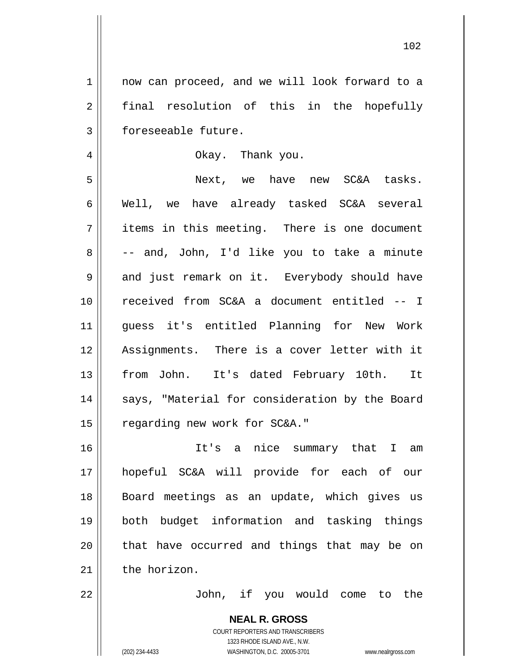1 2 3 now can proceed, and we will look forward to a final resolution of this in the hopefully foreseeable future.

Okay. Thank you.

5 6 7 8 9 10 11 12 13 14 15 Next, we have new SC&A tasks. Well, we have already tasked SC&A several items in this meeting. There is one document -- and, John, I'd like you to take a minute and just remark on it. Everybody should have received from SC&A a document entitled -- I guess it's entitled Planning for New Work Assignments. There is a cover letter with it from John. It's dated February 10th. It says, "Material for consideration by the Board regarding new work for SC&A."

16 17 18 19 20 21 It's a nice summary that I am hopeful SC&A will provide for each of our Board meetings as an update, which gives us both budget information and tasking things that have occurred and things that may be on the horizon.

22

4

John, if you would come to the

**NEAL R. GROSS** COURT REPORTERS AND TRANSCRIBERS 1323 RHODE ISLAND AVE., N.W. (202) 234-4433 WASHINGTON, D.C. 20005-3701 www.nealrgross.com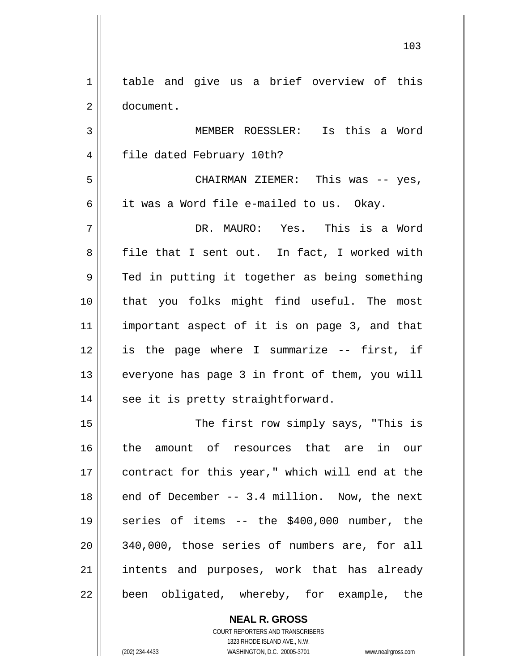1 2 table and give us a brief overview of this document.

3 4 5 MEMBER ROESSLER: Is this a Word file dated February 10th? CHAIRMAN ZIEMER: This was -- yes,

it was a Word file e-mailed to us. Okay.

7 8 9 10 11 12 13 14 DR. MAURO: Yes. This is a Word file that I sent out. In fact, I worked with Ted in putting it together as being something that you folks might find useful. The most important aspect of it is on page 3, and that is the page where I summarize -- first, if everyone has page 3 in front of them, you will see it is pretty straightforward.

15 16 17 18 19 20 21 22 The first row simply says, "This is the amount of resources that are in our contract for this year," which will end at the end of December -- 3.4 million. Now, the next series of items -- the \$400,000 number, the 340,000, those series of numbers are, for all intents and purposes, work that has already been obligated, whereby, for example, the

> **NEAL R. GROSS** COURT REPORTERS AND TRANSCRIBERS 1323 RHODE ISLAND AVE., N.W.

6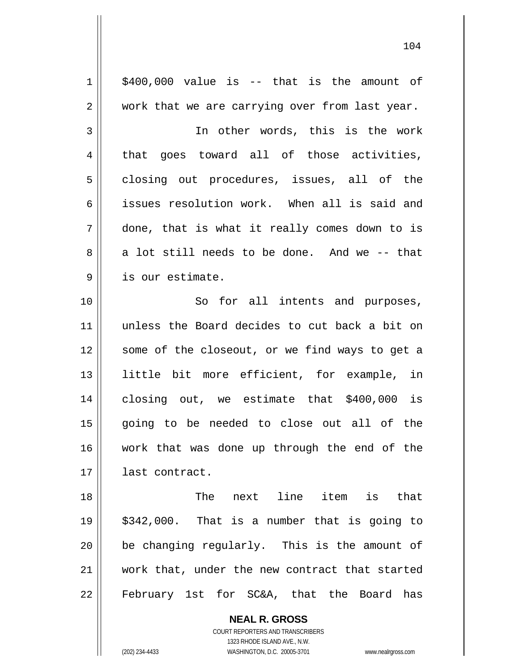1 2 3 4 5 6 7 8 9 10 11 12 13 14 15 16 17 18 19 20 21 22 \$400,000 value is -- that is the amount of work that we are carrying over from last year. In other words, this is the work that goes toward all of those activities, closing out procedures, issues, all of the issues resolution work. When all is said and done, that is what it really comes down to is a lot still needs to be done. And we -- that is our estimate. So for all intents and purposes, unless the Board decides to cut back a bit on some of the closeout, or we find ways to get a little bit more efficient, for example, in closing out, we estimate that \$400,000 is going to be needed to close out all of the work that was done up through the end of the last contract. The next line item is that \$342,000. That is a number that is going to be changing regularly. This is the amount of work that, under the new contract that started February 1st for SC&A, that the Board has

104

**NEAL R. GROSS** COURT REPORTERS AND TRANSCRIBERS 1323 RHODE ISLAND AVE., N.W.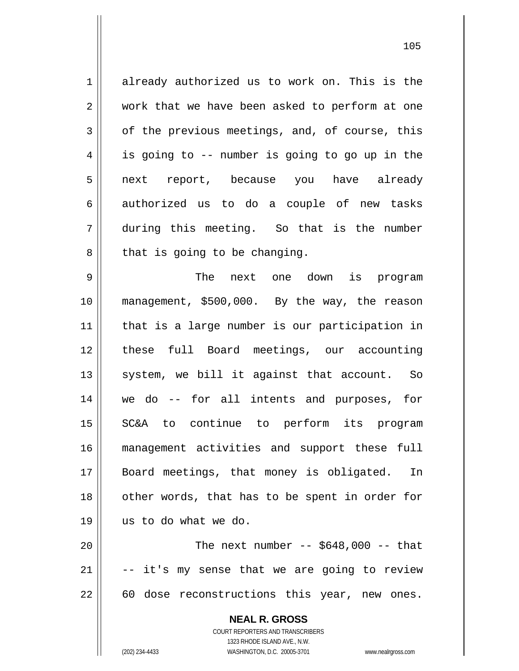**NEAL R. GROSS** COURT REPORTERS AND TRANSCRIBERS 1323 RHODE ISLAND AVE., N.W. 1 2 3 4 5 6 7 8 9 10 11 12 13 14 15 16 17 18 19 20 21 22 already authorized us to work on. This is the work that we have been asked to perform at one of the previous meetings, and, of course, this is going to -- number is going to go up in the next report, because you have already authorized us to do a couple of new tasks during this meeting. So that is the number that is going to be changing. The next one down is program management, \$500,000. By the way, the reason that is a large number is our participation in these full Board meetings, our accounting system, we bill it against that account. So we do -- for all intents and purposes, for SC&A to continue to perform its program management activities and support these full Board meetings, that money is obligated. In other words, that has to be spent in order for us to do what we do. The next number  $-$  \$648,000  $-$  that -- it's my sense that we are going to review 60 dose reconstructions this year, new ones.

(202) 234-4433 WASHINGTON, D.C. 20005-3701 www.nealrgross.com

<u>105</u>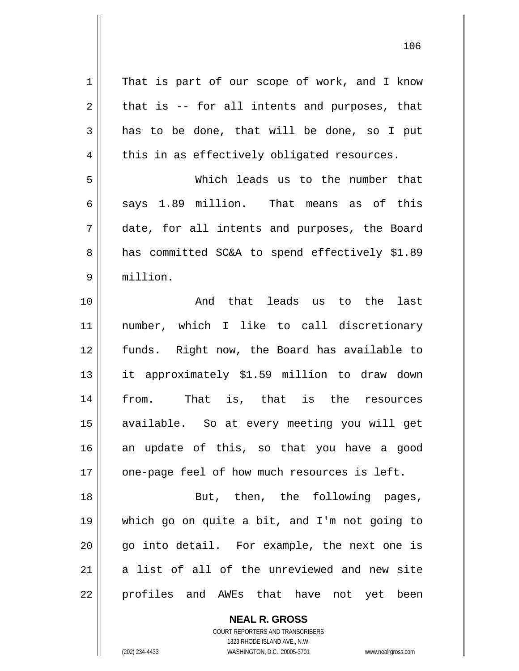| $\mathbf 1$    | That is part of our scope of work, and I know  |
|----------------|------------------------------------------------|
| $\overline{2}$ | that is -- for all intents and purposes, that  |
| $\mathfrak{Z}$ | has to be done, that will be done, so I put    |
| $\overline{4}$ | this in as effectively obligated resources.    |
| 5              | Which leads us to the number that              |
| 6              | says 1.89 million. That means as of this       |
| 7              | date, for all intents and purposes, the Board  |
| $\,8\,$        | has committed SC&A to spend effectively \$1.89 |
| $\mathsf 9$    | million.                                       |
| 10             | And that leads us to the<br>last               |
| 11             | number, which I like to call discretionary     |
| 12             | funds. Right now, the Board has available to   |
| 13             | it approximately \$1.59 million to draw down   |
| 14             | from. That is, that is the resources           |
| 15             | available. So at every meeting you will get    |
| 16             | an update of this, so that you have a good     |
| 17             | one-page feel of how much resources is left.   |
| 18             | But, then, the following pages,                |
| 19             | which go on quite a bit, and I'm not going to  |
| 20             | go into detail. For example, the next one is   |
| 21             | a list of all of the unreviewed and new site   |
| 22             | profiles and AWEs that have not yet been       |

106

 $\mathsf{I}$ 

COURT REPORTERS AND TRANSCRIBERS 1323 RHODE ISLAND AVE., N.W. (202) 234-4433 WASHINGTON, D.C. 20005-3701 www.nealrgross.com

**NEAL R. GROSS**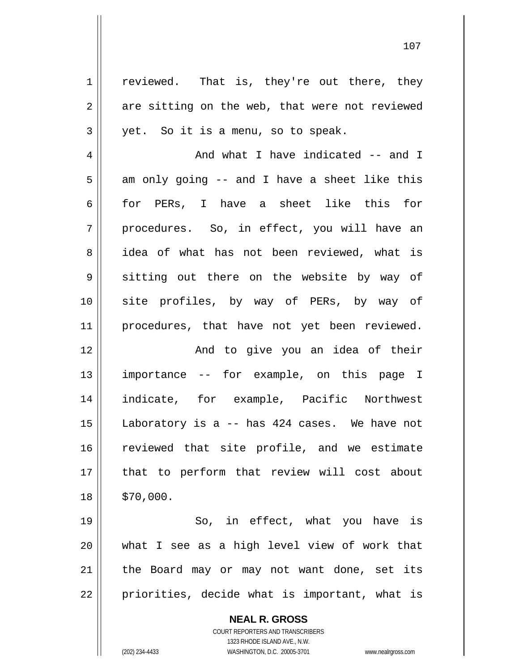**NEAL R. GROSS** 1 2 3 4 5 6 7 8 9 10 11 12 13 14 15 16 17 18 19 20 21 22 reviewed. That is, they're out there, they are sitting on the web, that were not reviewed yet. So it is a menu, so to speak. And what I have indicated -- and I am only going -- and I have a sheet like this for PERs, I have a sheet like this for procedures. So, in effect, you will have an idea of what has not been reviewed, what is sitting out there on the website by way of site profiles, by way of PERs, by way of procedures, that have not yet been reviewed. And to give you an idea of their importance -- for example, on this page I indicate, for example, Pacific Northwest Laboratory is a -- has 424 cases. We have not reviewed that site profile, and we estimate that to perform that review will cost about \$70,000. So, in effect, what you have is what I see as a high level view of work that the Board may or may not want done, set its priorities, decide what is important, what is

107

COURT REPORTERS AND TRANSCRIBERS 1323 RHODE ISLAND AVE., N.W.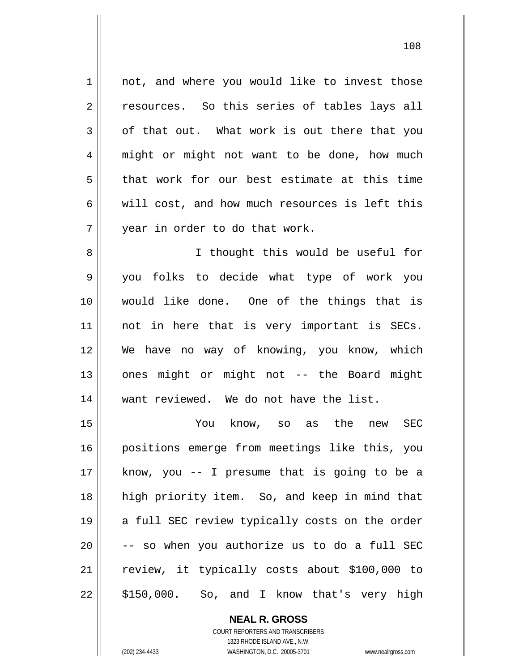1 2 3 4 5 6 7 8 9 not, and where you would like to invest those resources. So this series of tables lays all of that out. What work is out there that you might or might not want to be done, how much that work for our best estimate at this time will cost, and how much resources is left this year in order to do that work. I thought this would be useful for you folks to decide what type of work you

10 11 12 13 14 15 would like done. One of the things that is not in here that is very important is SECs. We have no way of knowing, you know, which ones might or might not -- the Board might want reviewed. We do not have the list. You know, so as the new SEC

16 17 18 19 20 21 22 positions emerge from meetings like this, you know, you -- I presume that is going to be a high priority item. So, and keep in mind that a full SEC review typically costs on the order -- so when you authorize us to do a full SEC review, it typically costs about \$100,000 to \$150,000. So, and I know that's very high

> **NEAL R. GROSS** COURT REPORTERS AND TRANSCRIBERS

> > 1323 RHODE ISLAND AVE., N.W.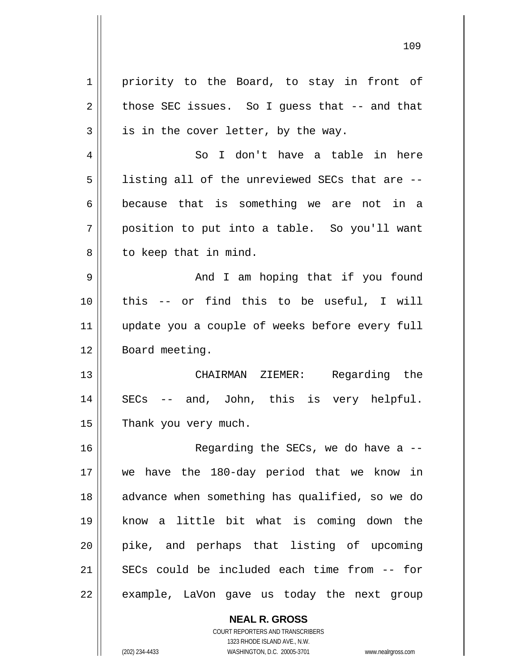| 1  | priority to the Board, to stay in front of     |
|----|------------------------------------------------|
| 2  | those SEC issues. So I guess that $-$ and that |
| 3  | is in the cover letter, by the way.            |
| 4  | So I don't have a table in here                |
| 5  | listing all of the unreviewed SECs that are -- |
| 6  | because that is something we are not in a      |
| 7  | position to put into a table. So you'll want   |
| 8  | to keep that in mind.                          |
| 9  | And I am hoping that if you found              |
| 10 | this -- or find this to be useful, I will      |
| 11 | update you a couple of weeks before every full |
| 12 | Board meeting.                                 |
| 13 | CHAIRMAN ZIEMER: Regarding the                 |
| 14 | SECs -- and, John, this is very helpful.       |
| 15 | Thank you very much.                           |
| 16 | Regarding the SECs, we do have a $-$ -         |
| 17 | we have the 180-day period that we know in     |
| 18 | advance when something has qualified, so we do |
| 19 | know a little bit what is coming down the      |
| 20 | pike, and perhaps that listing of upcoming     |
| 21 | SECs could be included each time from -- for   |
| 22 | example, LaVon gave us today the next group    |
|    |                                                |

**NEAL R. GROSS** COURT REPORTERS AND TRANSCRIBERS 1323 RHODE ISLAND AVE., N.W.

 $\mathbf{I}$ 

(202) 234-4433 WASHINGTON, D.C. 20005-3701 www.nealrgross.com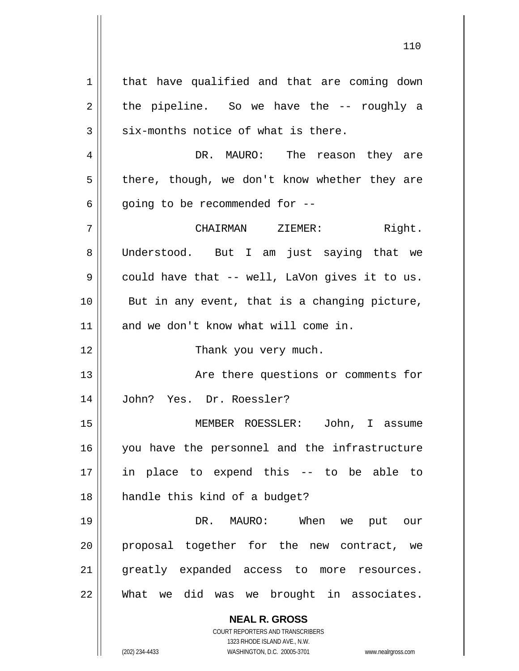**NEAL R. GROSS** COURT REPORTERS AND TRANSCRIBERS 1 2 3 4 5 6 7 8 9 10 11 12 13 14 15 16 17 18 19 20 21 22 that have qualified and that are coming down the pipeline. So we have the -- roughly a six-months notice of what is there. DR. MAURO: The reason they are there, though, we don't know whether they are going to be recommended for -- CHAIRMAN ZIEMER: Right. Understood. But I am just saying that we could have that -- well, LaVon gives it to us. But in any event, that is a changing picture, and we don't know what will come in. Thank you very much. Are there questions or comments for John? Yes. Dr. Roessler? MEMBER ROESSLER: John, I assume you have the personnel and the infrastructure in place to expend this -- to be able to handle this kind of a budget? DR. MAURO: When we put our proposal together for the new contract, we greatly expanded access to more resources. What we did was we brought in associates.

1323 RHODE ISLAND AVE., N.W.

(202) 234-4433 WASHINGTON, D.C. 20005-3701 www.nealrgross.com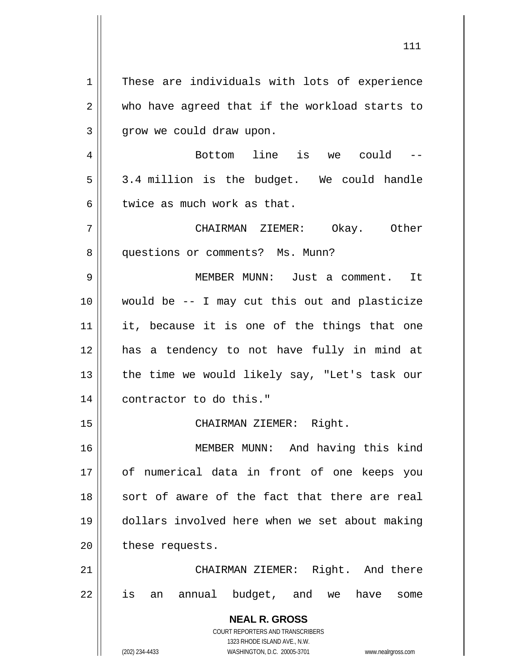**NEAL R. GROSS** COURT REPORTERS AND TRANSCRIBERS 1323 RHODE ISLAND AVE., N.W. 1 2 3 4 5 6 7 8 9 10 11 12 13 14 15 16 17 18 19 20 21 22 These are individuals with lots of experience who have agreed that if the workload starts to grow we could draw upon. Bottom line is we could -- 3.4 million is the budget. We could handle twice as much work as that. CHAIRMAN ZIEMER: Okay. Other questions or comments? Ms. Munn? MEMBER MUNN: Just a comment. It would be -- I may cut this out and plasticize it, because it is one of the things that one has a tendency to not have fully in mind at the time we would likely say, "Let's task our contractor to do this." CHAIRMAN ZIEMER: Right. MEMBER MUNN: And having this kind of numerical data in front of one keeps you sort of aware of the fact that there are real dollars involved here when we set about making these requests. CHAIRMAN ZIEMER: Right. And there is an annual budget, and we have some

111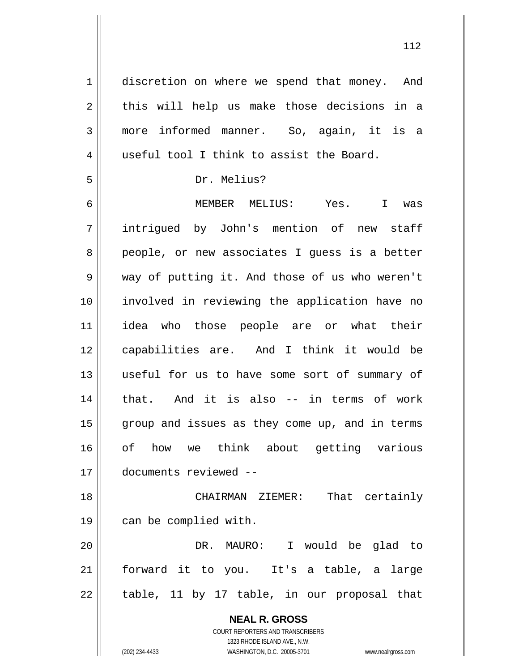**NEAL R. GROSS** COURT REPORTERS AND TRANSCRIBERS 1323 RHODE ISLAND AVE., N.W. 1 2 3 4 5 6 7 8 9 10 11 12 13 14 15 16 17 18 19 20 21 22 discretion on where we spend that money. And this will help us make those decisions in a more informed manner. So, again, it is a useful tool I think to assist the Board. Dr. Melius? MEMBER MELIUS: Yes. I was intrigued by John's mention of new staff people, or new associates I guess is a better way of putting it. And those of us who weren't involved in reviewing the application have no idea who those people are or what their capabilities are. And I think it would be useful for us to have some sort of summary of that. And it is also -- in terms of work group and issues as they come up, and in terms of how we think about getting various documents reviewed -- CHAIRMAN ZIEMER: That certainly can be complied with. DR. MAURO: I would be glad to forward it to you. It's a table, a large table, 11 by 17 table, in our proposal that

112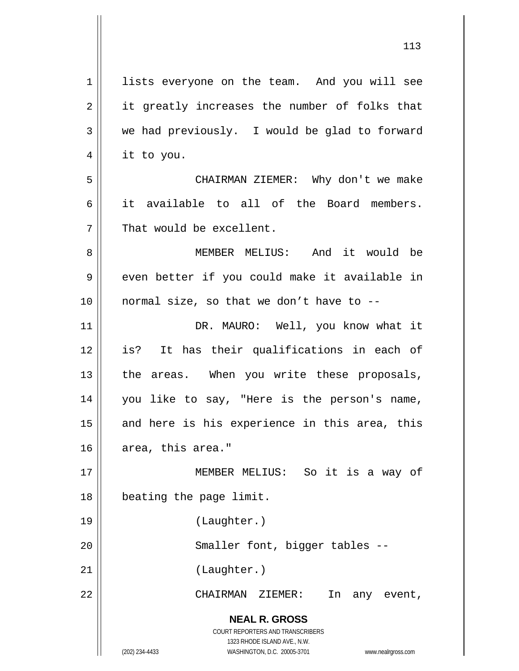**NEAL R. GROSS** COURT REPORTERS AND TRANSCRIBERS 1323 RHODE ISLAND AVE., N.W. (202) 234-4433 WASHINGTON, D.C. 20005-3701 www.nealrgross.com 1 2 3 4 5 6 7 8 9 10 11 12 13 14 15 16 17 18 19 20 21 22 lists everyone on the team. And you will see it greatly increases the number of folks that we had previously. I would be glad to forward it to you. CHAIRMAN ZIEMER: Why don't we make it available to all of the Board members. That would be excellent. MEMBER MELIUS: And it would be even better if you could make it available in normal size, so that we don't have to -- DR. MAURO: Well, you know what it is? It has their qualifications in each of the areas. When you write these proposals, you like to say, "Here is the person's name, and here is his experience in this area, this area, this area." MEMBER MELIUS: So it is a way of beating the page limit. (Laughter.) Smaller font, bigger tables -- (Laughter.) CHAIRMAN ZIEMER: In any event,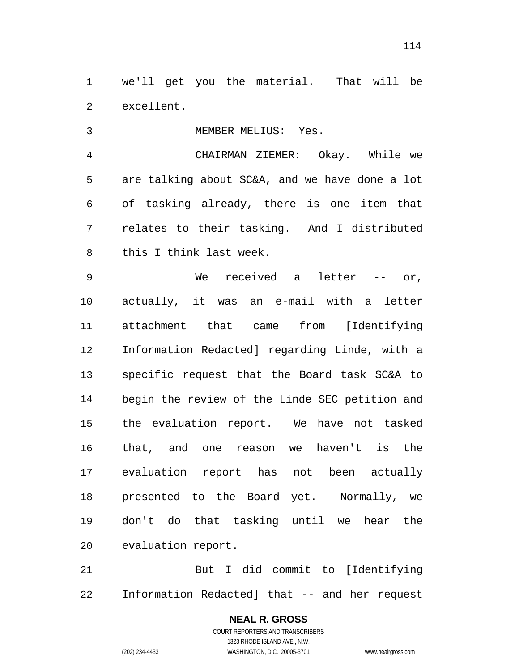1 2 we'll get you the material. That will be excellent.

MEMBER MELIUS: Yes.

 CHAIRMAN ZIEMER: Okay. While we are talking about SC&A, and we have done a lot of tasking already, there is one item that relates to their tasking. And I distributed this I think last week.

9 10 11 12 13 14 15 16 17 18 19 20 We received a letter -- or, actually, it was an e-mail with a letter attachment that came from [Identifying Information Redacted] regarding Linde, with a specific request that the Board task SC&A to begin the review of the Linde SEC petition and the evaluation report. We have not tasked that, and one reason we haven't is the evaluation report has not been actually presented to the Board yet. Normally, we don't do that tasking until we hear the evaluation report.

21 22 But I did commit to [Identifying Information Redacted] that -- and her request

> **NEAL R. GROSS** COURT REPORTERS AND TRANSCRIBERS 1323 RHODE ISLAND AVE., N.W. (202) 234-4433 WASHINGTON, D.C. 20005-3701 www.nealrgross.com

3

4

5

6

7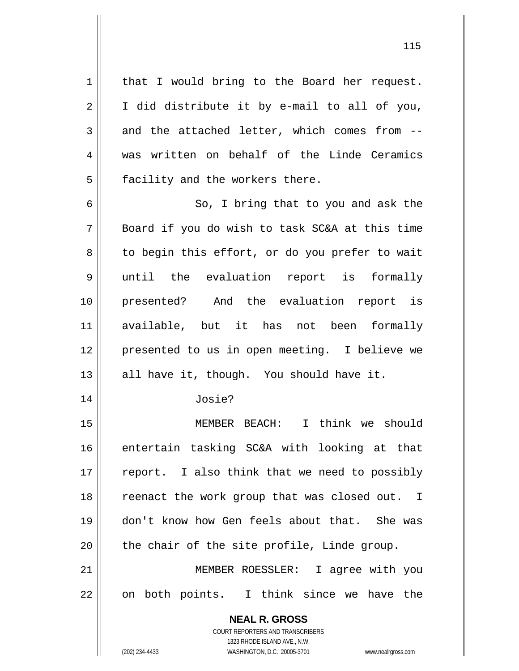that I would bring to the Board her request. I did distribute it by e-mail to all of you, and the attached letter, which comes from - was written on behalf of the Linde Ceramics facility and the workers there.

6 7 8 9 10 11 12 13 So, I bring that to you and ask the Board if you do wish to task SC&A at this time to begin this effort, or do you prefer to wait until the evaluation report is formally presented? And the evaluation report is available, but it has not been formally presented to us in open meeting. I believe we all have it, though. You should have it.

Josie?

15 16 17 18 19 20 MEMBER BEACH: I think we should entertain tasking SC&A with looking at that report. I also think that we need to possibly reenact the work group that was closed out. I don't know how Gen feels about that. She was the chair of the site profile, Linde group.

21 22 MEMBER ROESSLER: I agree with you on both points. I think since we have the

> **NEAL R. GROSS** COURT REPORTERS AND TRANSCRIBERS

> > 1323 RHODE ISLAND AVE., N.W.

1

2

3

4

5

14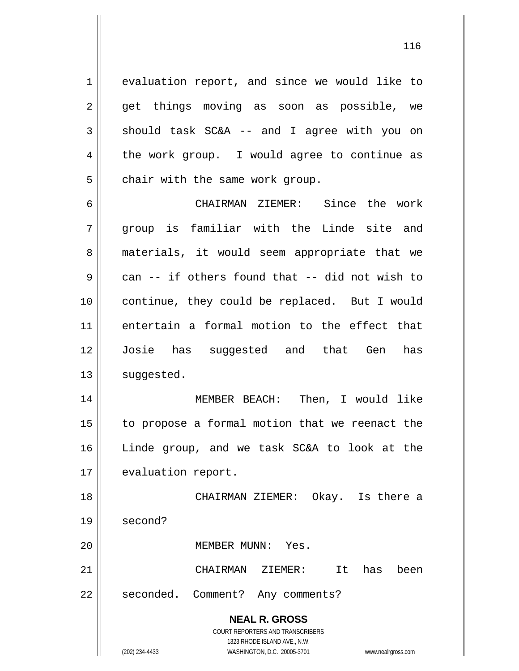evaluation report, and since we would like to get things moving as soon as possible, we should task SC&A -- and I agree with you on the work group. I would agree to continue as chair with the same work group.

6 7 8 9 10 11 12 13 CHAIRMAN ZIEMER: Since the work group is familiar with the Linde site and materials, it would seem appropriate that we can -- if others found that -- did not wish to continue, they could be replaced. But I would entertain a formal motion to the effect that Josie has suggested and that Gen has suggested.

14 15 16 17 MEMBER BEACH: Then, I would like to propose a formal motion that we reenact the Linde group, and we task SC&A to look at the evaluation report.

18 19 20 CHAIRMAN ZIEMER: Okay. Is there a second? MEMBER MUNN: Yes.

21 CHAIRMAN ZIEMER: It has been

22 seconded. Comment? Any comments?

> **NEAL R. GROSS** COURT REPORTERS AND TRANSCRIBERS 1323 RHODE ISLAND AVE., N.W.

1

2

3

4

5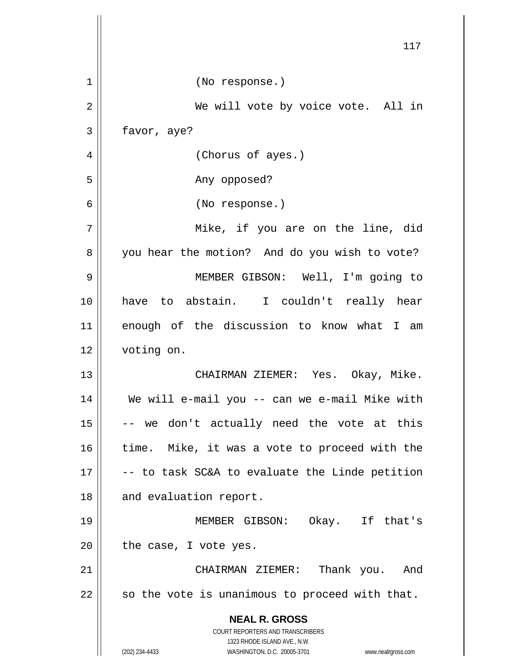|    | 117                                                                     |
|----|-------------------------------------------------------------------------|
| 1  | (No response.)                                                          |
| 2  | We will vote by voice vote. All in                                      |
| 3  | favor, aye?                                                             |
| 4  | (Chorus of ayes.)                                                       |
| 5  | Any opposed?                                                            |
| 6  | (No response.)                                                          |
| 7  | Mike, if you are on the line, did                                       |
| 8  | you hear the motion? And do you wish to vote?                           |
| 9  | MEMBER GIBSON: Well, I'm going to                                       |
| 10 | have to abstain. I couldn't really hear                                 |
| 11 | enough of the discussion to know what I am                              |
| 12 | voting on.                                                              |
| 13 | CHAIRMAN ZIEMER: Yes. Okay, Mike.                                       |
| 14 | We will e-mail you -- can we e-mail Mike with                           |
| 15 | -- we don't actually need the vote at this                              |
| 16 | time. Mike, it was a vote to proceed with the                           |
| 17 | -- to task SC&A to evaluate the Linde petition                          |
| 18 | and evaluation report.                                                  |
| 19 | MEMBER GIBSON: Okay. If that's                                          |
| 20 | the case, I vote yes.                                                   |
| 21 | CHAIRMAN ZIEMER: Thank you. And                                         |
| 22 | so the vote is unanimous to proceed with that.                          |
|    | <b>NEAL R. GROSS</b>                                                    |
|    | <b>COURT REPORTERS AND TRANSCRIBERS</b><br>1323 RHODE ISLAND AVE., N.W. |
|    | (202) 234-4433<br>WASHINGTON, D.C. 20005-3701<br>www.nealrgross.com     |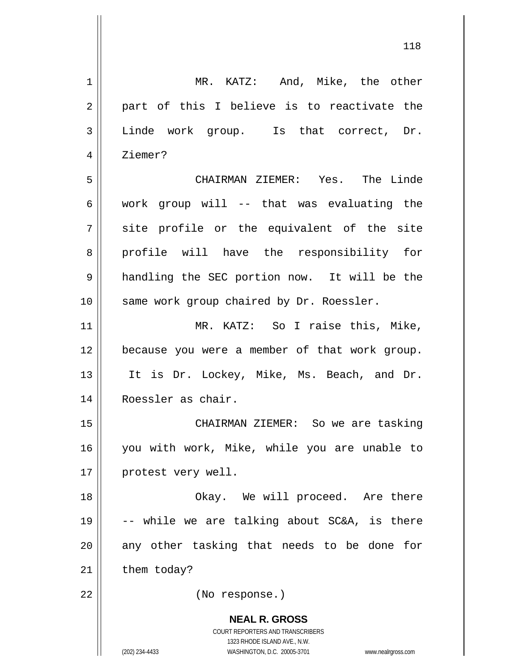| $\mathbf 1$    | MR. KATZ: And, Mike, the other                                                                                                                                  |
|----------------|-----------------------------------------------------------------------------------------------------------------------------------------------------------------|
| $\overline{2}$ | part of this I believe is to reactivate the                                                                                                                     |
| 3              | Linde work group. Is that correct, Dr.                                                                                                                          |
| 4              | Ziemer?                                                                                                                                                         |
| 5              | CHAIRMAN ZIEMER: Yes. The Linde                                                                                                                                 |
| 6              | work group will -- that was evaluating the                                                                                                                      |
| 7              | site profile or the equivalent of the site                                                                                                                      |
| 8              | profile will have the responsibility for                                                                                                                        |
| 9              | handling the SEC portion now. It will be the                                                                                                                    |
| 10             | same work group chaired by Dr. Roessler.                                                                                                                        |
| 11             | MR. KATZ: So I raise this, Mike,                                                                                                                                |
| 12             | because you were a member of that work group.                                                                                                                   |
| 13             | It is Dr. Lockey, Mike, Ms. Beach, and Dr.                                                                                                                      |
| 14             | Roessler as chair.                                                                                                                                              |
| 15             | CHAIRMAN ZIEMER: So we are tasking                                                                                                                              |
| 16             | you with work, Mike, while you are unable to                                                                                                                    |
| 17             | protest very well.                                                                                                                                              |
| 18             | Okay. We will proceed. Are there                                                                                                                                |
| 19             | -- while we are talking about SC&A, is there                                                                                                                    |
| 20             | any other tasking that needs to be done<br>for                                                                                                                  |
| 21             | them today?                                                                                                                                                     |
| 22             | (No response.)                                                                                                                                                  |
|                | <b>NEAL R. GROSS</b><br>COURT REPORTERS AND TRANSCRIBERS<br>1323 RHODE ISLAND AVE., N.W.<br>(202) 234-4433<br>WASHINGTON, D.C. 20005-3701<br>www.nealrgross.com |
|                |                                                                                                                                                                 |

118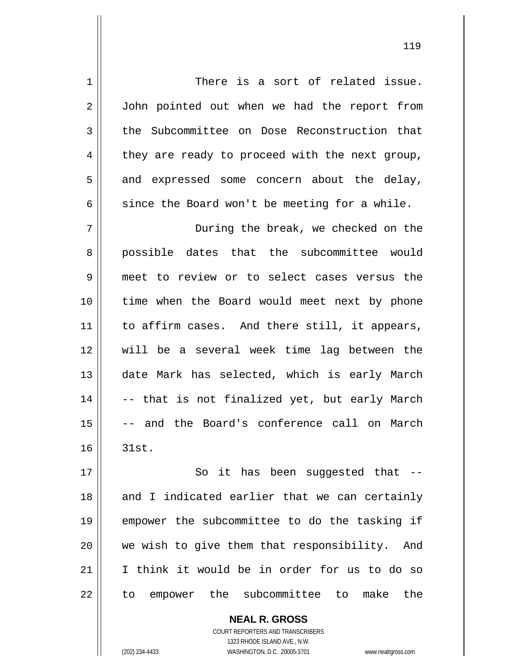1 2 3 4 5 6 7 8 9 10 11 12 13 14 15 16 17 18 19 20 21 22 There is a sort of related issue. John pointed out when we had the report from the Subcommittee on Dose Reconstruction that they are ready to proceed with the next group, and expressed some concern about the delay, since the Board won't be meeting for a while. During the break, we checked on the possible dates that the subcommittee would meet to review or to select cases versus the time when the Board would meet next by phone to affirm cases. And there still, it appears, will be a several week time lag between the date Mark has selected, which is early March -- that is not finalized yet, but early March -- and the Board's conference call on March 31st. So it has been suggested that -and I indicated earlier that we can certainly empower the subcommittee to do the tasking if we wish to give them that responsibility. And I think it would be in order for us to do so to empower the subcommittee to make the

> **NEAL R. GROSS** COURT REPORTERS AND TRANSCRIBERS 1323 RHODE ISLAND AVE., N.W.

(202) 234-4433 WASHINGTON, D.C. 20005-3701 www.nealrgross.com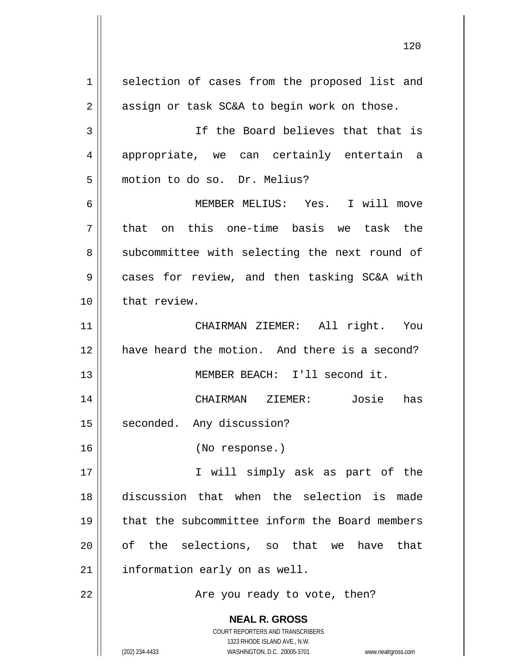**NEAL R. GROSS** COURT REPORTERS AND TRANSCRIBERS 1323 RHODE ISLAND AVE., N.W. (202) 234-4433 WASHINGTON, D.C. 20005-3701 www.nealrgross.com 1 2 3 4 5 6 7 8 9 10 11 12 13 14 15 16 17 18 19 20 21 22 selection of cases from the proposed list and assign or task SC&A to begin work on those. If the Board believes that that is appropriate, we can certainly entertain a motion to do so. Dr. Melius? MEMBER MELIUS: Yes. I will move that on this one-time basis we task the subcommittee with selecting the next round of cases for review, and then tasking SC&A with that review. CHAIRMAN ZIEMER: All right. You have heard the motion. And there is a second? MEMBER BEACH: I'll second it. CHAIRMAN ZIEMER: Josie has seconded. Any discussion? (No response.) I will simply ask as part of the discussion that when the selection is made that the subcommittee inform the Board members of the selections, so that we have that information early on as well. Are you ready to vote, then?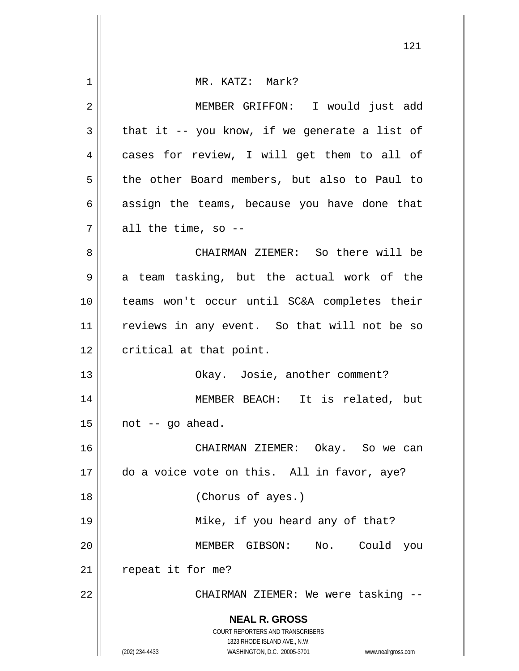|    | 121                                                                                      |
|----|------------------------------------------------------------------------------------------|
| 1  | MR. KATZ: Mark?                                                                          |
| 2  | MEMBER GRIFFON: I would just add                                                         |
| 3  | that it $-$ - you know, if we generate a list of                                         |
| 4  | cases for review, I will get them to all of                                              |
| 5  | the other Board members, but also to Paul to                                             |
| 6  | assign the teams, because you have done that                                             |
| 7  | all the time, so --                                                                      |
| 8  | CHAIRMAN ZIEMER: So there will be                                                        |
| 9  | a team tasking, but the actual work of the                                               |
| 10 | teams won't occur until SC&A completes their                                             |
| 11 | reviews in any event. So that will not be so                                             |
| 12 | critical at that point.                                                                  |
| 13 | Okay. Josie, another comment?                                                            |
| 14 | MEMBER BEACH: It is related, but                                                         |
| 15 | not -- go ahead.                                                                         |
| 16 | CHAIRMAN ZIEMER: Okay. So we can                                                         |
| 17 | do a voice vote on this. All in favor, aye?                                              |
| 18 | (Chorus of ayes.)                                                                        |
| 19 | Mike, if you heard any of that?                                                          |
| 20 | MEMBER GIBSON: No. Could<br>you                                                          |
| 21 | repeat it for me?                                                                        |
| 22 | CHAIRMAN ZIEMER: We were tasking --                                                      |
|    | <b>NEAL R. GROSS</b><br>COURT REPORTERS AND TRANSCRIBERS<br>1323 RHODE ISLAND AVE., N.W. |
|    | (202) 234-4433<br>WASHINGTON, D.C. 20005-3701<br>www.nealrgross.com                      |

Ш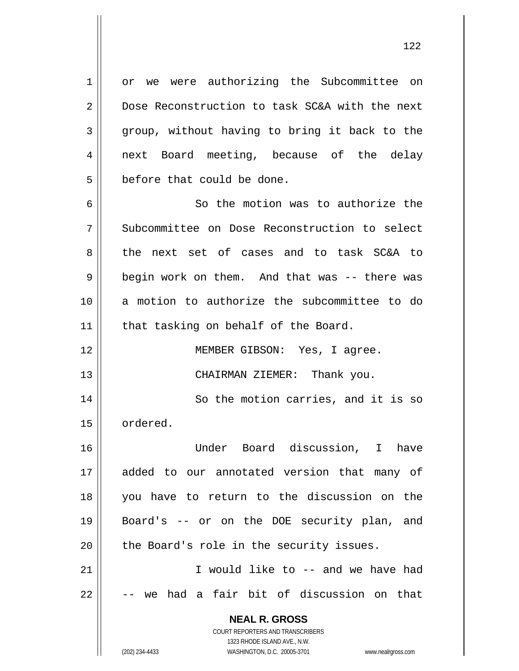or we were authorizing the Subcommittee on Dose Reconstruction to task SC&A with the next group, without having to bring it back to the next Board meeting, because of the delay before that could be done.

6 7 8 9 10 11 So the motion was to authorize the Subcommittee on Dose Reconstruction to select the next set of cases and to task SC&A to begin work on them. And that was -- there was a motion to authorize the subcommittee to do that tasking on behalf of the Board.

12 13 MEMBER GIBSON: Yes, I agree. CHAIRMAN ZIEMER: Thank you.

14 15 So the motion carries, and it is so ordered.

16 17 18 19 20 Under Board discussion, I have added to our annotated version that many of you have to return to the discussion on the Board's -- or on the DOE security plan, and the Board's role in the security issues.

21 22 I would like to -- and we have had we had a fair bit of discussion on that

> **NEAL R. GROSS** COURT REPORTERS AND TRANSCRIBERS

1

2

3

4

5

1323 RHODE ISLAND AVE., N.W. (202) 234-4433 WASHINGTON, D.C. 20005-3701 www.nealrgross.com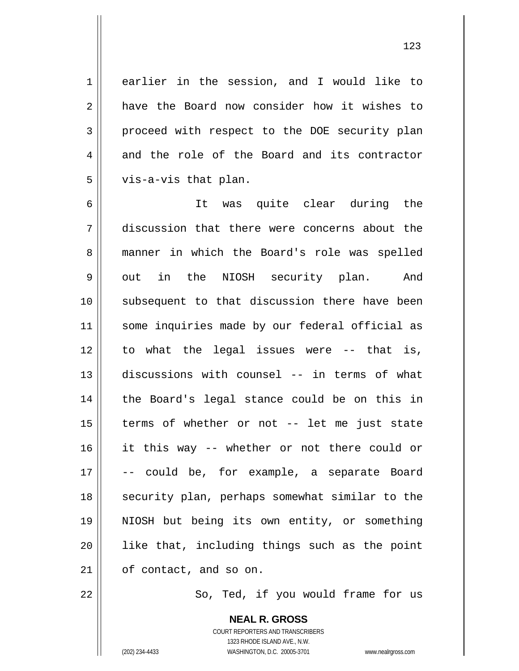earlier in the session, and I would like to have the Board now consider how it wishes to proceed with respect to the DOE security plan and the role of the Board and its contractor

vis-a-vis that plan.

123

6 7 8 9 10 11 12 13 14 15 16 17 18 19 20 21 It was quite clear during the discussion that there were concerns about the manner in which the Board's role was spelled out in the NIOSH security plan. And subsequent to that discussion there have been some inquiries made by our federal official as to what the legal issues were -- that is, discussions with counsel -- in terms of what the Board's legal stance could be on this in terms of whether or not -- let me just state it this way -- whether or not there could or -- could be, for example, a separate Board security plan, perhaps somewhat similar to the NIOSH but being its own entity, or something like that, including things such as the point of contact, and so on.

22

1

2

3

4

5

So, Ted, if you would frame for us

COURT REPORTERS AND TRANSCRIBERS 1323 RHODE ISLAND AVE., N.W. (202) 234-4433 WASHINGTON, D.C. 20005-3701 www.nealrgross.com

**NEAL R. GROSS**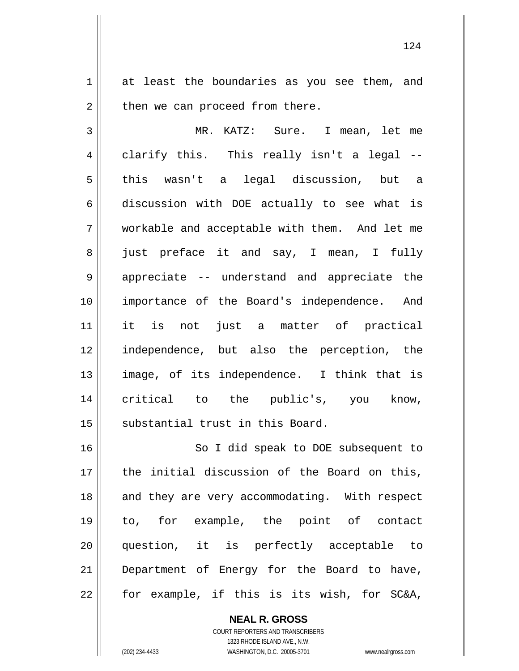1 2 at least the boundaries as you see them, and then we can proceed from there.

3 4 5 6 7 8 9 10 11 12 13 14 15 MR. KATZ: Sure. I mean, let me clarify this. This really isn't a legal - this wasn't a legal discussion, but a discussion with DOE actually to see what is workable and acceptable with them. And let me just preface it and say, I mean, I fully appreciate -- understand and appreciate the importance of the Board's independence. And it is not just a matter of practical independence, but also the perception, the image, of its independence. I think that is critical to the public's, you know, substantial trust in this Board.

16 17 18 19 20 21 22 So I did speak to DOE subsequent to the initial discussion of the Board on this, and they are very accommodating. With respect to, for example, the point of contact question, it is perfectly acceptable to Department of Energy for the Board to have, for example, if this is its wish, for SC&A,

> **NEAL R. GROSS** COURT REPORTERS AND TRANSCRIBERS 1323 RHODE ISLAND AVE., N.W. (202) 234-4433 WASHINGTON, D.C. 20005-3701 www.nealrgross.com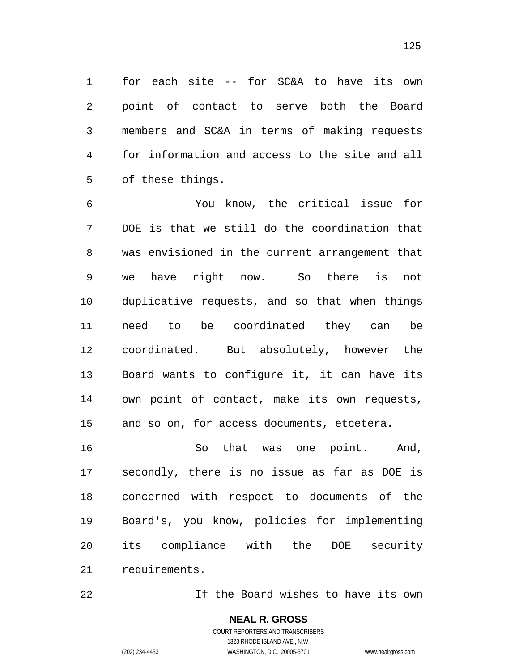for each site -- for SC&A to have its own point of contact to serve both the Board members and SC&A in terms of making requests for information and access to the site and all of these things.

6 7 8 9 10 11 12 13 14 15 You know, the critical issue for DOE is that we still do the coordination that was envisioned in the current arrangement that we have right now. So there is not duplicative requests, and so that when things need to be coordinated they can be coordinated. But absolutely, however the Board wants to configure it, it can have its own point of contact, make its own requests, and so on, for access documents, etcetera.

16 17 18 19 20 21 So that was one point. And, secondly, there is no issue as far as DOE is concerned with respect to documents of the Board's, you know, policies for implementing its compliance with the DOE security requirements.

22

1

2

3

4

5

If the Board wishes to have its own

**NEAL R. GROSS** COURT REPORTERS AND TRANSCRIBERS 1323 RHODE ISLAND AVE., N.W. (202) 234-4433 WASHINGTON, D.C. 20005-3701 www.nealrgross.com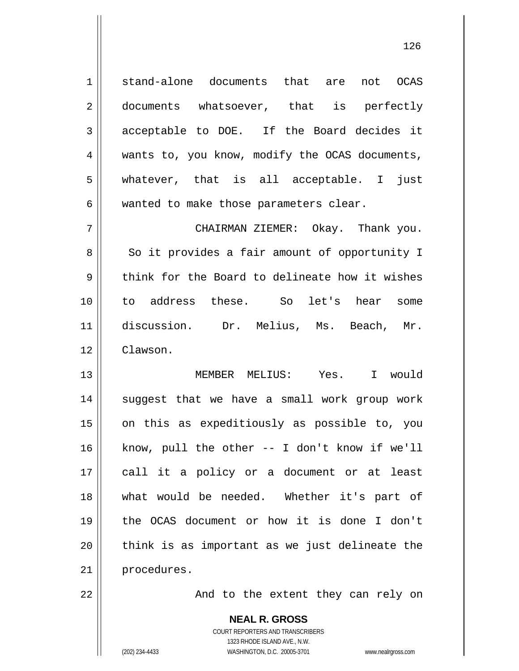1 2 3 4 5 6 7 8 9 10 11 12 13 14 15 16 17 18 19 20 21 stand-alone documents that are not OCAS documents whatsoever, that is perfectly acceptable to DOE. If the Board decides it wants to, you know, modify the OCAS documents, whatever, that is all acceptable. I just wanted to make those parameters clear. CHAIRMAN ZIEMER: Okay. Thank you. So it provides a fair amount of opportunity I think for the Board to delineate how it wishes to address these. So let's hear some discussion. Dr. Melius, Ms. Beach, Mr. Clawson. MEMBER MELIUS: Yes. I would suggest that we have a small work group work on this as expeditiously as possible to, you know, pull the other -- I don't know if we'll call it a policy or a document or at least what would be needed. Whether it's part of the OCAS document or how it is done I don't think is as important as we just delineate the procedures.

126

And to the extent they can rely on

**NEAL R. GROSS** COURT REPORTERS AND TRANSCRIBERS 1323 RHODE ISLAND AVE., N.W. (202) 234-4433 WASHINGTON, D.C. 20005-3701 www.nealrgross.com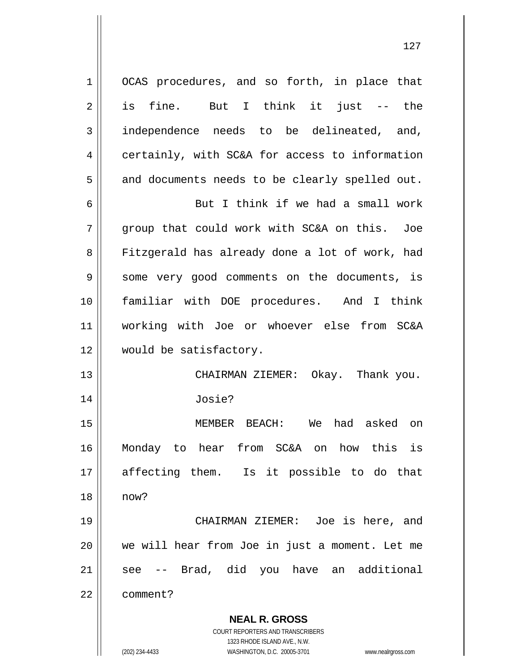**NEAL R. GROSS** COURT REPORTERS AND TRANSCRIBERS 1 2 3 4 5 6 7 8 9 10 11 12 13 14 15 16 17 18 19 20 21 22 OCAS procedures, and so forth, in place that is fine. But I think it just -- the independence needs to be delineated, and, certainly, with SC&A for access to information and documents needs to be clearly spelled out. But I think if we had a small work group that could work with SC&A on this. Joe Fitzgerald has already done a lot of work, had some very good comments on the documents, is familiar with DOE procedures. And I think working with Joe or whoever else from SC&A would be satisfactory. CHAIRMAN ZIEMER: Okay. Thank you. Josie? MEMBER BEACH: We had asked on Monday to hear from SC&A on how this is affecting them. Is it possible to do that now? CHAIRMAN ZIEMER: Joe is here, and we will hear from Joe in just a moment. Let me see -- Brad, did you have an additional comment?

127

1323 RHODE ISLAND AVE., N.W.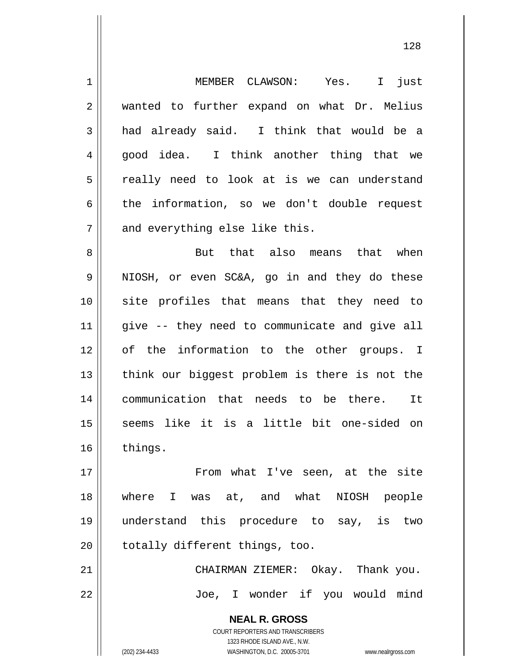**NEAL R. GROSS** COURT REPORTERS AND TRANSCRIBERS 1323 RHODE ISLAND AVE., N.W. 1 2 3 4 5 6 7 8 9 10 11 12 13 14 15 16 17 18 19 20 21 22 MEMBER CLAWSON: Yes. I just wanted to further expand on what Dr. Melius had already said. I think that would be a good idea. I think another thing that we really need to look at is we can understand the information, so we don't double request and everything else like this. But that also means that when NIOSH, or even SC&A, go in and they do these site profiles that means that they need to give -- they need to communicate and give all of the information to the other groups. I think our biggest problem is there is not the communication that needs to be there. It seems like it is a little bit one-sided on things. From what I've seen, at the site where I was at, and what NIOSH people understand this procedure to say, is two totally different things, too. CHAIRMAN ZIEMER: Okay. Thank you. Joe, I wonder if you would mind

128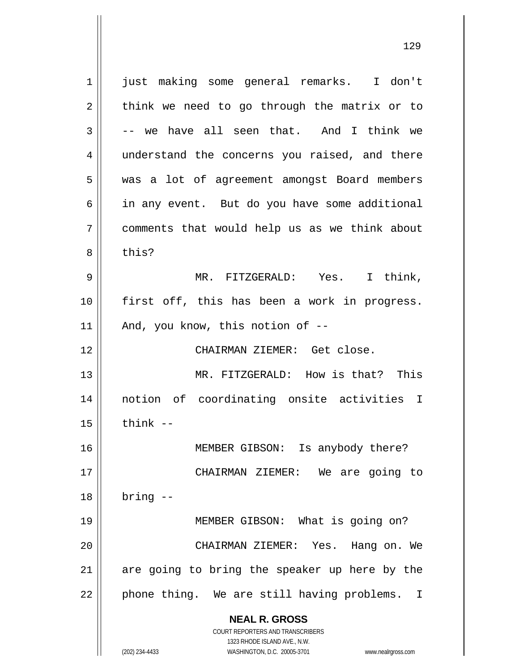**NEAL R. GROSS** COURT REPORTERS AND TRANSCRIBERS 1323 RHODE ISLAND AVE., N.W. 1 2 3 4 5 6 7 8 9 10 11 12 13 14 15 16 17 18 19 20 21 22 just making some general remarks. I don't think we need to go through the matrix or to -- we have all seen that. And I think we understand the concerns you raised, and there was a lot of agreement amongst Board members in any event. But do you have some additional comments that would help us as we think about this? MR. FITZGERALD: Yes. I think, first off, this has been a work in progress. And, you know, this notion of -- CHAIRMAN ZIEMER: Get close. MR. FITZGERALD: How is that? This notion of coordinating onsite activities I think -- MEMBER GIBSON: Is anybody there? CHAIRMAN ZIEMER: We are going to bring -- MEMBER GIBSON: What is going on? CHAIRMAN ZIEMER: Yes. Hang on. We are going to bring the speaker up here by the phone thing. We are still having problems. I

129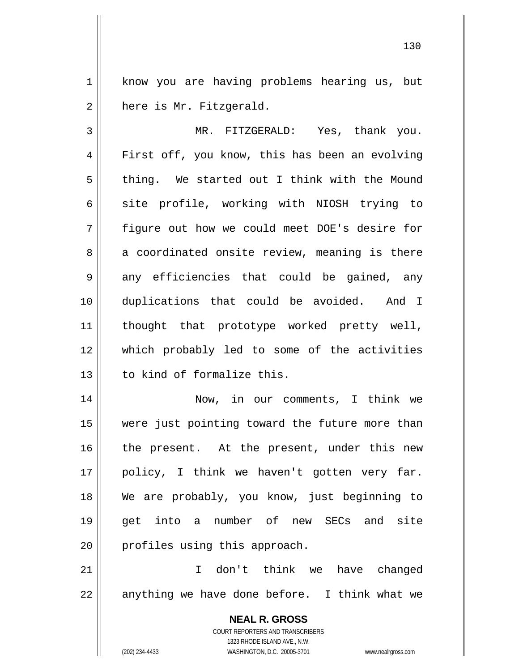1 2 know you are having problems hearing us, but here is Mr. Fitzgerald.

3 4 5 6 7 8 9 10 11 12 13 MR. FITZGERALD: Yes, thank you. First off, you know, this has been an evolving thing. We started out I think with the Mound site profile, working with NIOSH trying to figure out how we could meet DOE's desire for a coordinated onsite review, meaning is there any efficiencies that could be gained, any duplications that could be avoided. And I thought that prototype worked pretty well, which probably led to some of the activities to kind of formalize this.

14 15 16 17 18 19 20 Now, in our comments, I think we were just pointing toward the future more than the present. At the present, under this new policy, I think we haven't gotten very far. We are probably, you know, just beginning to get into a number of new SECs and site profiles using this approach.

21 22 I don't think we have changed anything we have done before. I think what we

> **NEAL R. GROSS** COURT REPORTERS AND TRANSCRIBERS 1323 RHODE ISLAND AVE., N.W. (202) 234-4433 WASHINGTON, D.C. 20005-3701 www.nealrgross.com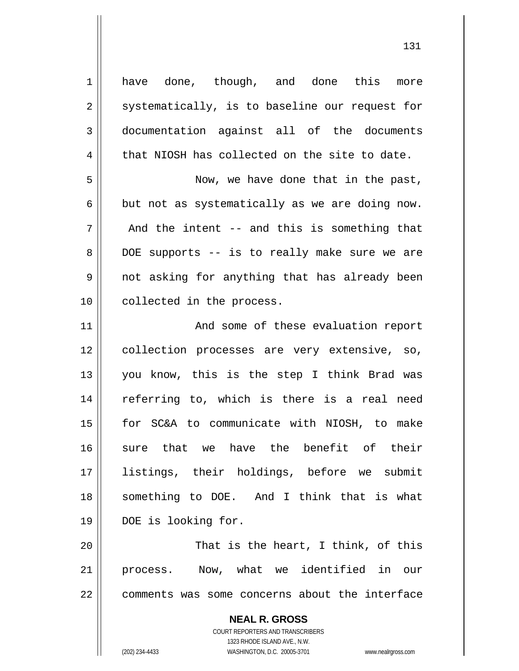have done, though, and done this more systematically, is to baseline our request for documentation against all of the documents that NIOSH has collected on the site to date.

 Now, we have done that in the past, but not as systematically as we are doing now. And the intent -- and this is something that DOE supports -- is to really make sure we are not asking for anything that has already been collected in the process.

11 12 13 14 15 16 17 18 19 And some of these evaluation report collection processes are very extensive, so, you know, this is the step I think Brad was referring to, which is there is a real need for SC&A to communicate with NIOSH, to make sure that we have the benefit of their listings, their holdings, before we submit something to DOE. And I think that is what DOE is looking for.

20 21 22 That is the heart, I think, of this process. Now, what we identified in our comments was some concerns about the interface

> **NEAL R. GROSS** COURT REPORTERS AND TRANSCRIBERS 1323 RHODE ISLAND AVE., N.W. (202) 234-4433 WASHINGTON, D.C. 20005-3701 www.nealrgross.com

1

2

3

4

5

6

7

8

9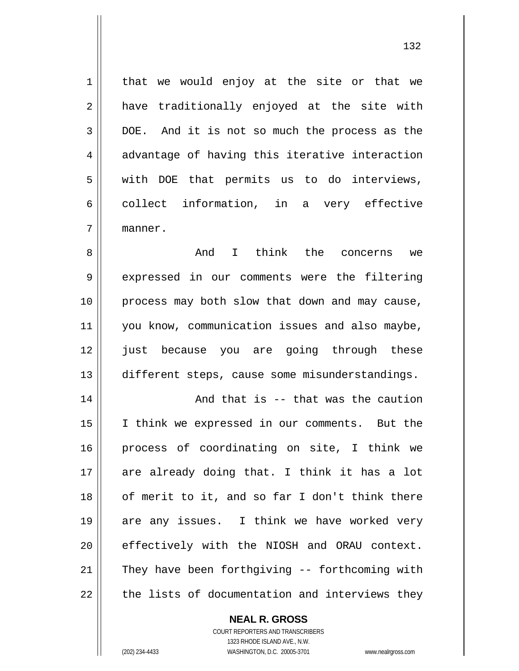that we would enjoy at the site or that we have traditionally enjoyed at the site with DOE. And it is not so much the process as the advantage of having this iterative interaction with DOE that permits us to do interviews, collect information, in a very effective manner.

8 9 10 11 12 13 And I think the concerns we expressed in our comments were the filtering process may both slow that down and may cause, you know, communication issues and also maybe, just because you are going through these different steps, cause some misunderstandings.

14 15 16 17 18 19 20 21 22 And that is -- that was the caution I think we expressed in our comments. But the process of coordinating on site, I think we are already doing that. I think it has a lot of merit to it, and so far I don't think there are any issues. I think we have worked very effectively with the NIOSH and ORAU context. They have been forthgiving -- forthcoming with the lists of documentation and interviews they

> **NEAL R. GROSS** COURT REPORTERS AND TRANSCRIBERS 1323 RHODE ISLAND AVE., N.W. (202) 234-4433 WASHINGTON, D.C. 20005-3701 www.nealrgross.com

1

2

3

4

5

6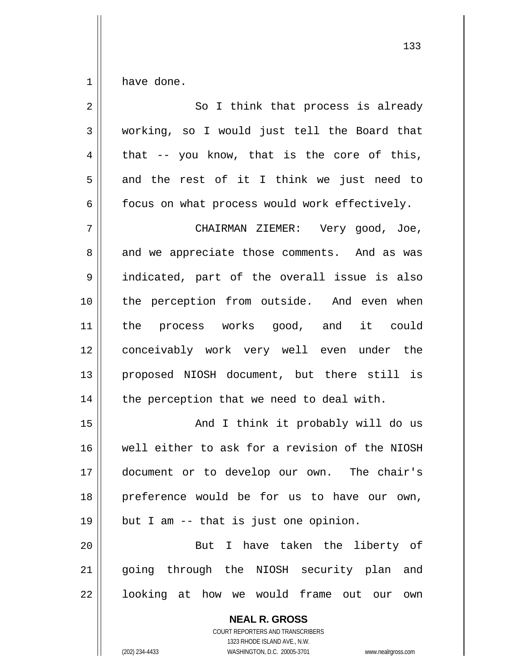1 have done.

| $\overline{2}$ | So I think that process is already             |
|----------------|------------------------------------------------|
| $\mathfrak{Z}$ | working, so I would just tell the Board that   |
| $\overline{4}$ | that -- you know, that is the core of this,    |
| 5              | and the rest of it I think we just need to     |
| 6              | focus on what process would work effectively.  |
| 7              | CHAIRMAN ZIEMER: Very good, Joe,               |
| 8              | and we appreciate those comments. And as was   |
| 9              | indicated, part of the overall issue is also   |
| 10             | the perception from outside. And even when     |
| 11             | the process works good, and<br>it could        |
| 12             | conceivably work very well even under the      |
| 13             | proposed NIOSH document, but there still is    |
| 14             | the perception that we need to deal with.      |
| 15             | And I think it probably will do us             |
| 16             | well either to ask for a revision of the NIOSH |
| 17             | document or to develop our own.<br>The chair's |
| 18             | preference would be for us to have our own,    |
| 19             | but I am -- that is just one opinion.          |
| 20             | I have taken the liberty of<br>But             |
| 21             | going through the NIOSH security plan and      |
| 22             | looking at how we would frame out our own      |
|                | <b>NEAL R. GROSS</b>                           |

COURT REPORTERS AND TRANSCRIBERS 1323 RHODE ISLAND AVE., N.W.

 $\mathsf{II}$ 

(202) 234-4433 WASHINGTON, D.C. 20005-3701 www.nealrgross.com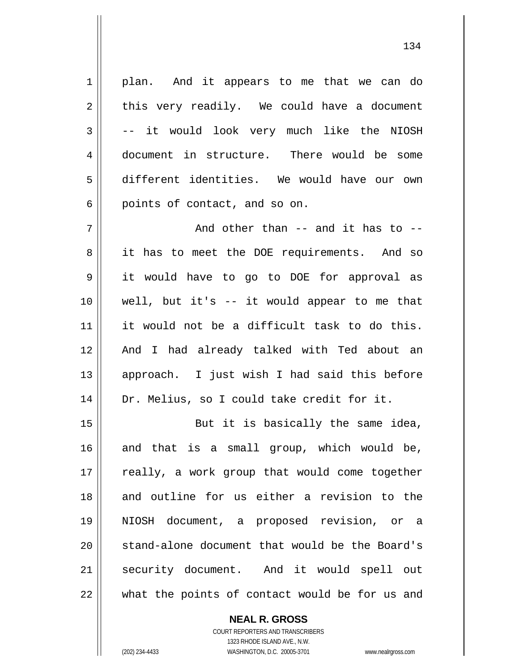1 2 3 4 5 6 7 8 9 10 11 12 13 14 15 16 17 18 19 20 21 22 plan. And it appears to me that we can do this very readily. We could have a document -- it would look very much like the NIOSH document in structure. There would be some different identities. We would have our own points of contact, and so on. And other than -- and it has to - it has to meet the DOE requirements. And so it would have to go to DOE for approval as well, but it's -- it would appear to me that it would not be a difficult task to do this. And I had already talked with Ted about an approach. I just wish I had said this before Dr. Melius, so I could take credit for it. But it is basically the same idea, and that is a small group, which would be, really, a work group that would come together and outline for us either a revision to the NIOSH document, a proposed revision, or a stand-alone document that would be the Board's security document. And it would spell out what the points of contact would be for us and

> **NEAL R. GROSS** COURT REPORTERS AND TRANSCRIBERS 1323 RHODE ISLAND AVE., N.W.

(202) 234-4433 WASHINGTON, D.C. 20005-3701 www.nealrgross.com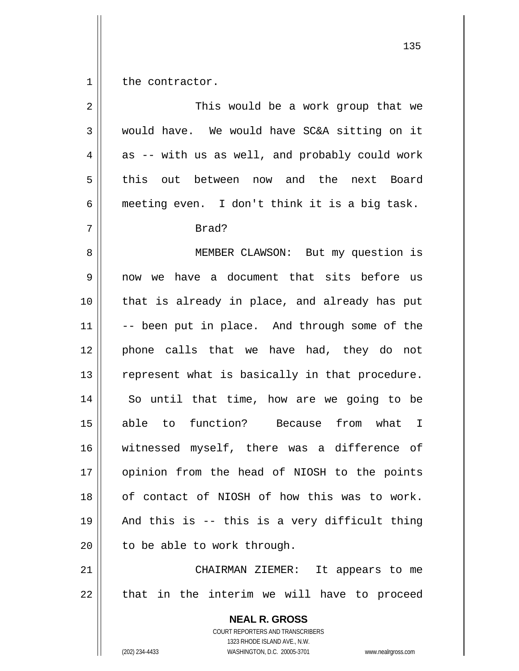1 the contractor.

| $\overline{a}$ | This would be a work group that we                                                                                                                              |
|----------------|-----------------------------------------------------------------------------------------------------------------------------------------------------------------|
| 3              | would have. We would have SC&A sitting on it                                                                                                                    |
| $\overline{4}$ | as -- with us as well, and probably could work                                                                                                                  |
| 5              | out between now and the next Board<br>this                                                                                                                      |
| 6              | meeting even. I don't think it is a big task.                                                                                                                   |
| 7              | Brad?                                                                                                                                                           |
| 8              | MEMBER CLAWSON: But my question is                                                                                                                              |
| $\mathsf 9$    | now we have a document that sits before us                                                                                                                      |
| 10             | that is already in place, and already has put                                                                                                                   |
| 11             | -- been put in place. And through some of the                                                                                                                   |
| 12             | phone calls that we have had, they do not                                                                                                                       |
| 13             | represent what is basically in that procedure.                                                                                                                  |
| 14             | So until that time, how are we going to be                                                                                                                      |
| 15             | able to function? Because from what I                                                                                                                           |
| 16             | witnessed myself, there was a difference of                                                                                                                     |
| 17             | opinion from the head of NIOSH to the points                                                                                                                    |
| 18             | of contact of NIOSH of how this was to work.                                                                                                                    |
| 19             | And this is -- this is a very difficult thing                                                                                                                   |
| 20             | to be able to work through.                                                                                                                                     |
| 21             | CHAIRMAN ZIEMER:<br>It appears to me                                                                                                                            |
| 22             | that in the interim we will have to proceed                                                                                                                     |
|                | <b>NEAL R. GROSS</b><br>COURT REPORTERS AND TRANSCRIBERS<br>1323 RHODE ISLAND AVE., N.W.<br>(202) 234-4433<br>WASHINGTON, D.C. 20005-3701<br>www.nealrgross.com |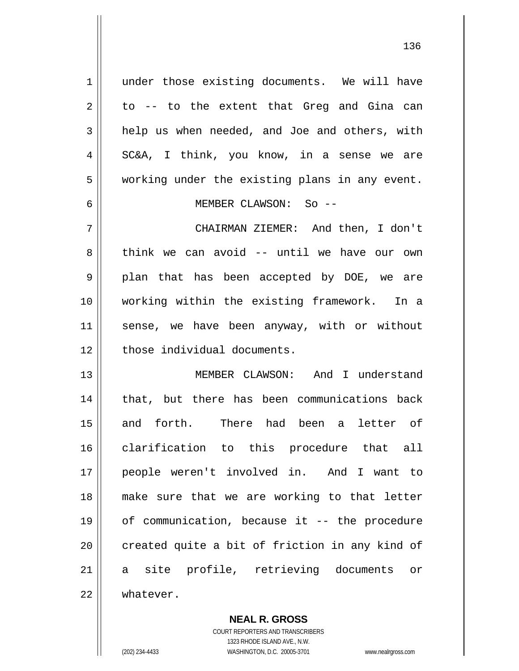under those existing documents. We will have to -- to the extent that Greg and Gina can help us when needed, and Joe and others, with SC&A, I think, you know, in a sense we are working under the existing plans in any event. MEMBER CLAWSON: So --

7 8 9 10 11 12 CHAIRMAN ZIEMER: And then, I don't think we can avoid -- until we have our own plan that has been accepted by DOE, we are working within the existing framework. In a sense, we have been anyway, with or without those individual documents.

13 14 15 16 17 18 19 20 21 22 MEMBER CLAWSON: And I understand that, but there has been communications back and forth. There had been a letter of clarification to this procedure that all people weren't involved in. And I want to make sure that we are working to that letter of communication, because it -- the procedure created quite a bit of friction in any kind of a site profile, retrieving documents or whatever.

> **NEAL R. GROSS** COURT REPORTERS AND TRANSCRIBERS 1323 RHODE ISLAND AVE., N.W. (202) 234-4433 WASHINGTON, D.C. 20005-3701 www.nealrgross.com

1

2

3

4

5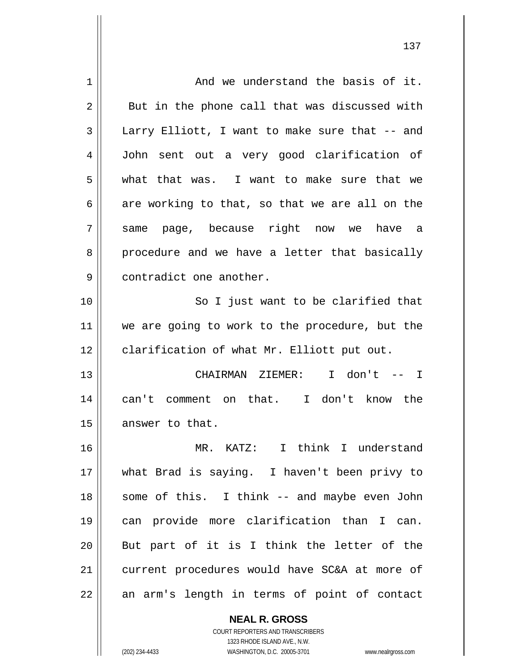| 1  | And we understand the basis of it.             |
|----|------------------------------------------------|
| 2  | But in the phone call that was discussed with  |
| 3  | Larry Elliott, I want to make sure that -- and |
| 4  | John sent out a very good clarification of     |
| 5  | what that was. I want to make sure that we     |
| 6  | are working to that, so that we are all on the |
| 7  | page, because right now we have a<br>same      |
| 8  | procedure and we have a letter that basically  |
| 9  | contradict one another.                        |
| 10 | So I just want to be clarified that            |
| 11 | we are going to work to the procedure, but the |
| 12 | clarification of what Mr. Elliott put out.     |
| 13 | CHAIRMAN ZIEMER: I don't -- I                  |
| 14 | can't comment on that. I don't know the        |
| 15 | answer to that.                                |
| 16 | MR. KATZ: I think I understand                 |
| 17 | what Brad is saying. I haven't been privy to   |
| 18 | some of this. I think -- and maybe even John   |
| 19 | can provide more clarification than I can.     |
| 20 | But part of it is I think the letter of the    |
| 21 | current procedures would have SC&A at more of  |
|    |                                                |

**NEAL R. GROSS** COURT REPORTERS AND TRANSCRIBERS

1323 RHODE ISLAND AVE., N.W.

(202) 234-4433 WASHINGTON, D.C. 20005-3701 www.nealrgross.com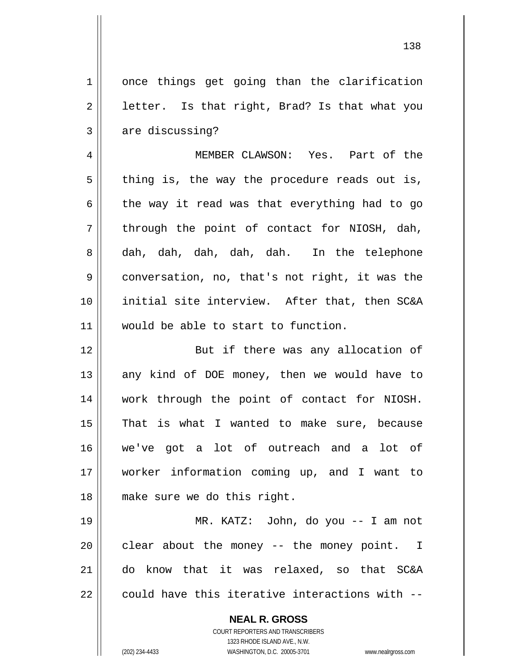138 once things get going than the clarification letter. Is that right, Brad? Is that what you are discussing? MEMBER CLAWSON: Yes. Part of the thing is, the way the procedure reads out is, the way it read was that everything had to go through the point of contact for NIOSH, dah, dah, dah, dah, dah, dah. In the telephone conversation, no, that's not right, it was the initial site interview. After that, then SC&A would be able to start to function. But if there was any allocation of any kind of DOE money, then we would have to work through the point of contact for NIOSH. That is what I wanted to make sure, because

16 17 18 we've got a lot of outreach and a lot of worker information coming up, and I want to make sure we do this right.

19 20 21 22 MR. KATZ: John, do you -- I am not clear about the money -- the money point. I do know that it was relaxed, so that SC&A could have this iterative interactions with --

**NEAL R. GROSS**

1

2

3

4

5

6

7

8

9

10

11

12

13

14

15

COURT REPORTERS AND TRANSCRIBERS 1323 RHODE ISLAND AVE., N.W. (202) 234-4433 WASHINGTON, D.C. 20005-3701 www.nealrgross.com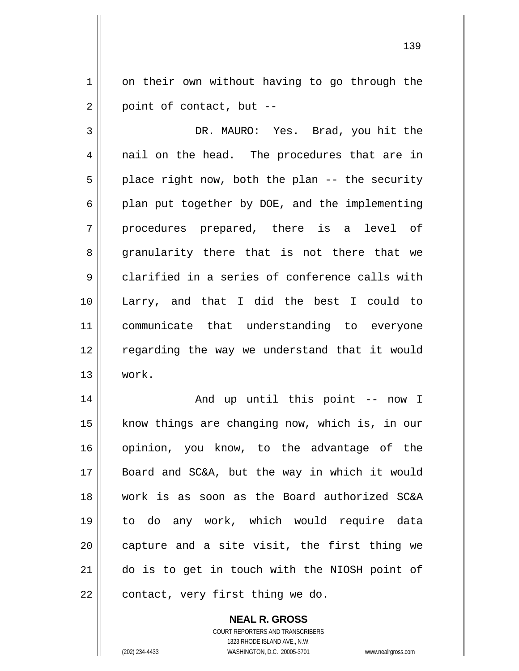1 2 on their own without having to go through the point of contact, but --

3 4 5 6 7 8 9 10 11 12 13 DR. MAURO: Yes. Brad, you hit the nail on the head. The procedures that are in place right now, both the plan -- the security plan put together by DOE, and the implementing procedures prepared, there is a level of granularity there that is not there that we clarified in a series of conference calls with Larry, and that I did the best I could to communicate that understanding to everyone regarding the way we understand that it would work.

14 15 16 17 18 19 20 21 22 And up until this point -- now I know things are changing now, which is, in our opinion, you know, to the advantage of the Board and SC&A, but the way in which it would work is as soon as the Board authorized SC&A to do any work, which would require data capture and a site visit, the first thing we do is to get in touch with the NIOSH point of contact, very first thing we do.

> **NEAL R. GROSS** COURT REPORTERS AND TRANSCRIBERS

> > 1323 RHODE ISLAND AVE., N.W.

(202) 234-4433 WASHINGTON, D.C. 20005-3701 www.nealrgross.com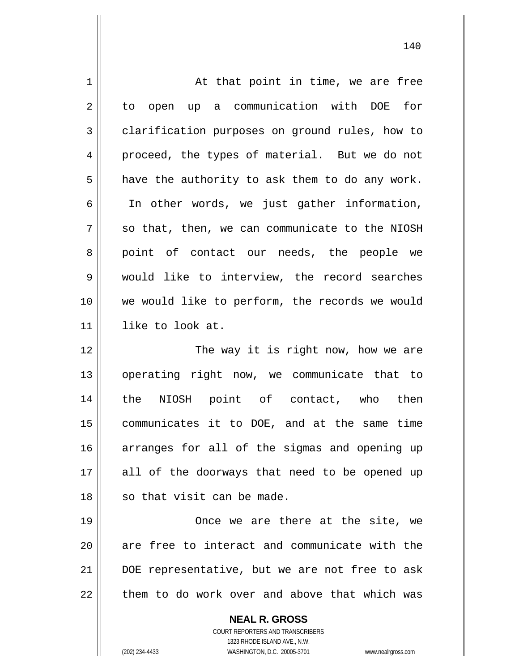| $\mathbf 1$ | At that point in time, we are free                       |
|-------------|----------------------------------------------------------|
| 2           | to open up a communication with DOE for                  |
| 3           | clarification purposes on ground rules, how to           |
| 4           | proceed, the types of material. But we do not            |
| 5           | have the authority to ask them to do any work.           |
| 6           | In other words, we just gather information,              |
| 7           | so that, then, we can communicate to the NIOSH           |
| 8           | point of contact our needs, the people we                |
| 9           | would like to interview, the record searches             |
| 10          | we would like to perform, the records we would           |
| 11          | like to look at.                                         |
| 12          | The way it is right now, how we are                      |
| 13          | operating right now, we communicate that to              |
| 14          | the NIOSH point of contact, who then                     |
| 15          | communicates it to DOE, and at the same time             |
| 16          | arranges for all of the sigmas and opening up            |
| 17          | all of the doorways that need to be opened up            |
| 18          | so that visit can be made.                               |
| 19          | Once we are there at the site, we                        |
| 20          | are free to interact and communicate with the            |
| 21          | DOE representative, but we are not free to ask           |
| 22          | them to do work over and above that which was            |
|             | <b>NEAL R. GROSS</b><br>COURT REPORTERS AND TRANSCRIBERS |

1323 RHODE ISLAND AVE., N.W.

 $\prod$ 

(202) 234-4433 WASHINGTON, D.C. 20005-3701 www.nealrgross.com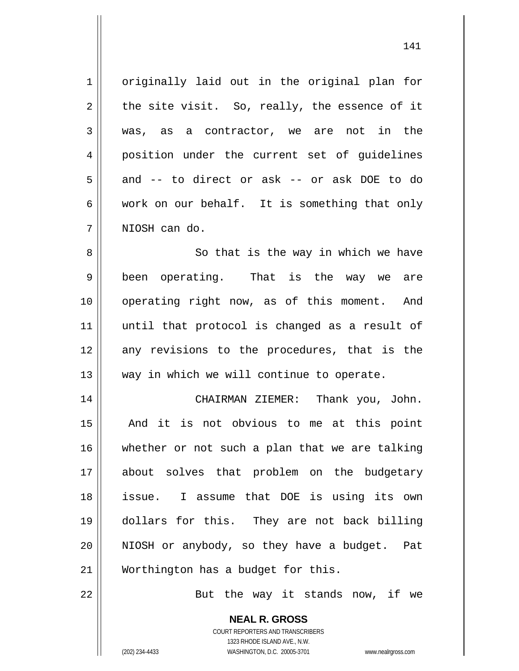1 2 3 4 5 6 7 8 9 10 11 12 13 14 15 16 17 18 19 20 21 22 originally laid out in the original plan for the site visit. So, really, the essence of it was, as a contractor, we are not in the position under the current set of guidelines and -- to direct or ask -- or ask DOE to do work on our behalf. It is something that only NIOSH can do. So that is the way in which we have been operating. That is the way we are operating right now, as of this moment. And until that protocol is changed as a result of any revisions to the procedures, that is the way in which we will continue to operate. CHAIRMAN ZIEMER: Thank you, John. And it is not obvious to me at this point whether or not such a plan that we are talking about solves that problem on the budgetary issue. I assume that DOE is using its own dollars for this. They are not back billing NIOSH or anybody, so they have a budget. Pat Worthington has a budget for this. But the way it stands now, if we

141

**NEAL R. GROSS** COURT REPORTERS AND TRANSCRIBERS 1323 RHODE ISLAND AVE., N.W. (202) 234-4433 WASHINGTON, D.C. 20005-3701 www.nealrgross.com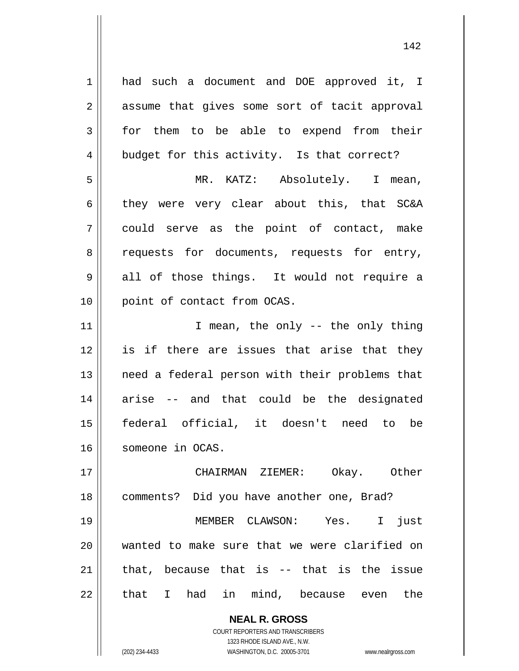**NEAL R. GROSS** 1 2 3 4 5 6 7 8 9 10 11 12 13 14 15 16 17 18 19 20 21 22 had such a document and DOE approved it, I assume that gives some sort of tacit approval for them to be able to expend from their budget for this activity. Is that correct? MR. KATZ: Absolutely. I mean, they were very clear about this, that SC&A could serve as the point of contact, make requests for documents, requests for entry, all of those things. It would not require a point of contact from OCAS. I mean, the only -- the only thing is if there are issues that arise that they need a federal person with their problems that arise -- and that could be the designated federal official, it doesn't need to be someone in OCAS. CHAIRMAN ZIEMER: Okay. Other comments? Did you have another one, Brad? MEMBER CLAWSON: Yes. I just wanted to make sure that we were clarified on that, because that is -- that is the issue that I had in mind, because even the

> COURT REPORTERS AND TRANSCRIBERS 1323 RHODE ISLAND AVE., N.W.

(202) 234-4433 WASHINGTON, D.C. 20005-3701 www.nealrgross.com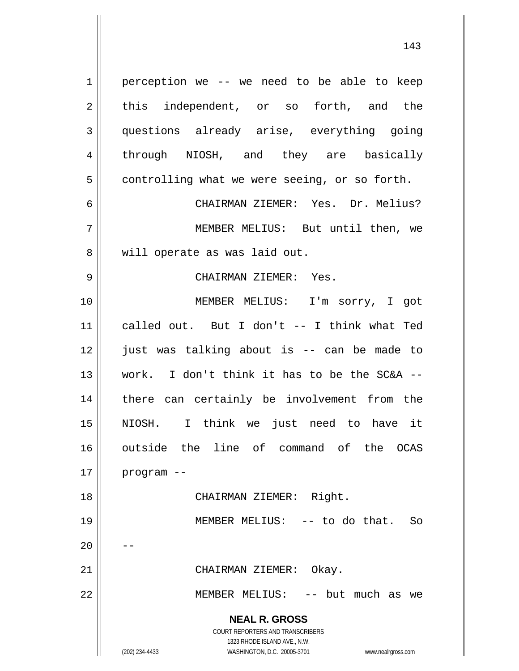**NEAL R. GROSS** COURT REPORTERS AND TRANSCRIBERS 1323 RHODE ISLAND AVE., N.W. (202) 234-4433 WASHINGTON, D.C. 20005-3701 www.nealrgross.com 1 2 3 4 5 6 7 8 9 10 11 12 13 14 15 16 17 18 19 20 21 22 perception we -- we need to be able to keep this independent, or so forth, and the questions already arise, everything going through NIOSH, and they are basically controlling what we were seeing, or so forth. CHAIRMAN ZIEMER: Yes. Dr. Melius? MEMBER MELIUS: But until then, we will operate as was laid out. CHAIRMAN ZIEMER: Yes. MEMBER MELIUS: I'm sorry, I got called out. But I don't -- I think what Ted just was talking about is -- can be made to work. I don't think it has to be the SC&A - there can certainly be involvement from the NIOSH. I think we just need to have it outside the line of command of the OCAS program -- CHAIRMAN ZIEMER: Right. MEMBER MELIUS: -- to do that. So -- CHAIRMAN ZIEMER: Okay. MEMBER MELIUS: -- but much as we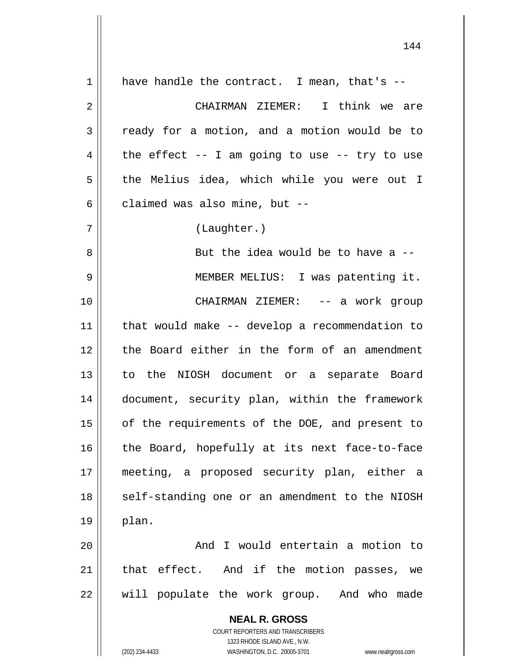**NEAL R. GROSS** COURT REPORTERS AND TRANSCRIBERS 1323 RHODE ISLAND AVE., N.W. 1 2 3 4 5 6 7 8 9 10 11 12 13 14 15 16 17 18 19 20 21 22 have handle the contract. I mean, that's -- CHAIRMAN ZIEMER: I think we are ready for a motion, and a motion would be to the effect  $-$ - I am going to use  $-$ - try to use the Melius idea, which while you were out I claimed was also mine, but -- (Laughter.) But the idea would be to have  $a -$  MEMBER MELIUS: I was patenting it. CHAIRMAN ZIEMER: -- a work group that would make -- develop a recommendation to the Board either in the form of an amendment to the NIOSH document or a separate Board document, security plan, within the framework of the requirements of the DOE, and present to the Board, hopefully at its next face-to-face meeting, a proposed security plan, either a self-standing one or an amendment to the NIOSH plan. And I would entertain a motion to that effect. And if the motion passes, we will populate the work group. And who made

144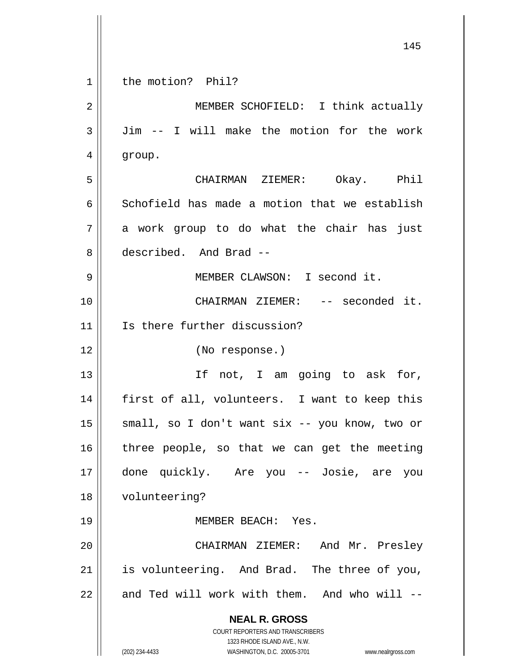|             | 145                                                                 |
|-------------|---------------------------------------------------------------------|
| $\mathbf 1$ | the motion? Phil?                                                   |
| $\mathbf 2$ | MEMBER SCHOFIELD: I think actually                                  |
| 3           | Jim -- I will make the motion for the work                          |
| 4           | group.                                                              |
| 5           | CHAIRMAN ZIEMER: Okay. Phil                                         |
| 6           | Schofield has made a motion that we establish                       |
| 7           | a work group to do what the chair has just                          |
| 8           | described. And Brad --                                              |
| 9           | MEMBER CLAWSON: I second it.                                        |
| 10          | CHAIRMAN ZIEMER: -- seconded it.                                    |
| 11          | Is there further discussion?                                        |
| 12          | (No response.)                                                      |
| 13          | If not, I am going to ask for,                                      |
| 14          | first of all, volunteers. I want to keep this                       |
| 15          | small, so I don't want six -- you know, two or                      |
| 16          | three people, so that we can get the meeting                        |
| 17          | done quickly. Are you -- Josie, are you                             |
| 18          | volunteering?                                                       |
| 19          | MEMBER BEACH: Yes.                                                  |
| 20          | CHAIRMAN ZIEMER: And Mr. Presley                                    |
| 21          | is volunteering. And Brad. The three of you,                        |
| 22          | and Ted will work with them. And who will --                        |
|             | <b>NEAL R. GROSS</b><br>COURT REPORTERS AND TRANSCRIBERS            |
|             | 1323 RHODE ISLAND AVE., N.W.                                        |
|             | (202) 234-4433<br>WASHINGTON, D.C. 20005-3701<br>www.nealrgross.com |

 $\mathsf{l}$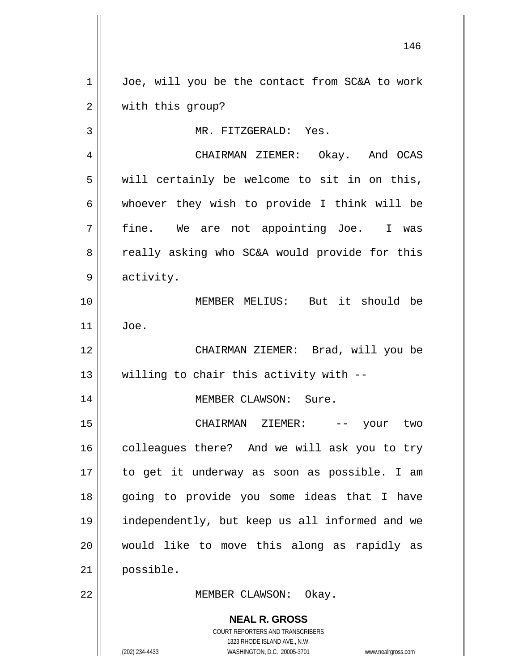**NEAL R. GROSS** COURT REPORTERS AND TRANSCRIBERS 1323 RHODE ISLAND AVE., N.W. 1 2 3 4 5 6 7 8 9 10 11 12 13 14 15 16 17 18 19 20 21 22 Joe, will you be the contact from SC&A to work with this group? MR. FITZGERALD: Yes. CHAIRMAN ZIEMER: Okay. And OCAS will certainly be welcome to sit in on this, whoever they wish to provide I think will be fine. We are not appointing Joe. I was really asking who SC&A would provide for this activity. MEMBER MELIUS: But it should be Joe. CHAIRMAN ZIEMER: Brad, will you be willing to chair this activity with -- MEMBER CLAWSON: Sure. CHAIRMAN ZIEMER: -- your two colleagues there? And we will ask you to try to get it underway as soon as possible. I am going to provide you some ideas that I have independently, but keep us all informed and we would like to move this along as rapidly as possible. MEMBER CLAWSON: Okay.

146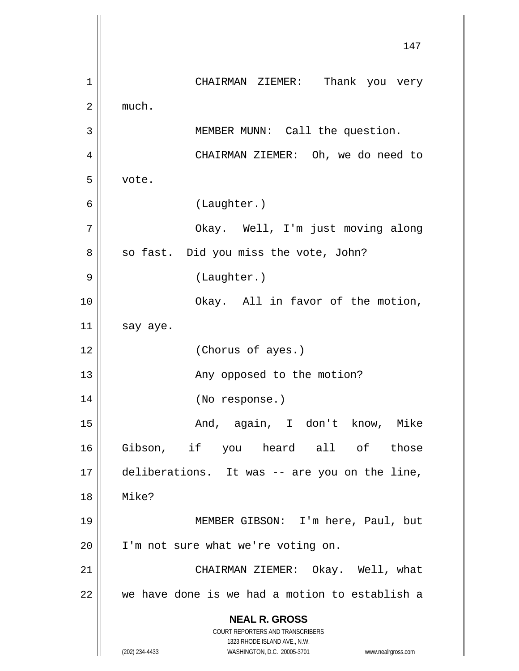**NEAL R. GROSS** COURT REPORTERS AND TRANSCRIBERS 1323 RHODE ISLAND AVE., N.W. (202) 234-4433 WASHINGTON, D.C. 20005-3701 www.nealrgross.com 147 1 2 3 4 5 6 7 8 9 10 11 12 13 14 15 16 17 18 19 20 21 22 CHAIRMAN ZIEMER: Thank you very much. MEMBER MUNN: Call the question. CHAIRMAN ZIEMER: Oh, we do need to vote. (Laughter.) Okay. Well, I'm just moving along so fast. Did you miss the vote, John? (Laughter.) Okay. All in favor of the motion, say aye. (Chorus of ayes.) Any opposed to the motion? (No response.) And, again, I don't know, Mike Gibson, if you heard all of those deliberations. It was -- are you on the line, Mike? MEMBER GIBSON: I'm here, Paul, but I'm not sure what we're voting on. CHAIRMAN ZIEMER: Okay. Well, what we have done is we had a motion to establish a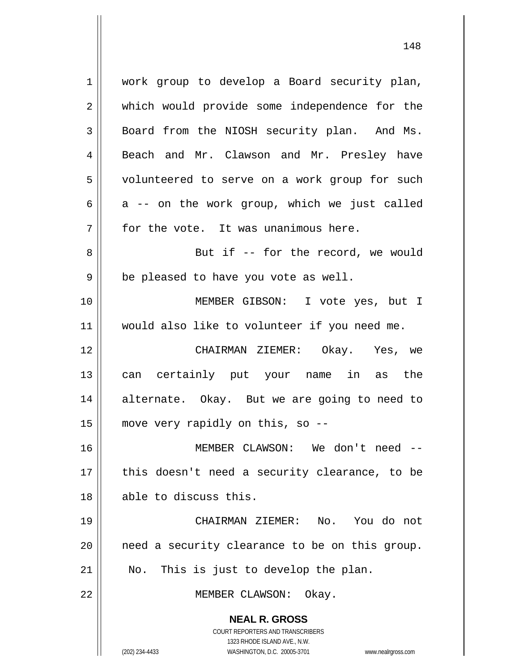**NEAL R. GROSS** COURT REPORTERS AND TRANSCRIBERS 1323 RHODE ISLAND AVE., N.W. (202) 234-4433 WASHINGTON, D.C. 20005-3701 www.nealrgross.com 1 2 3 4 5 6 7 8 9 10 11 12 13 14 15 16 17 18 19 20 21 22 work group to develop a Board security plan, which would provide some independence for the Board from the NIOSH security plan. And Ms. Beach and Mr. Clawson and Mr. Presley have volunteered to serve on a work group for such a -- on the work group, which we just called for the vote. It was unanimous here. But if -- for the record, we would be pleased to have you vote as well. MEMBER GIBSON: I vote yes, but I would also like to volunteer if you need me. CHAIRMAN ZIEMER: Okay. Yes, we can certainly put your name in as the alternate. Okay. But we are going to need to move very rapidly on this, so -- MEMBER CLAWSON: We don't need - this doesn't need a security clearance, to be able to discuss this. CHAIRMAN ZIEMER: No. You do not need a security clearance to be on this group. No. This is just to develop the plan. MEMBER CLAWSON: Okay.

148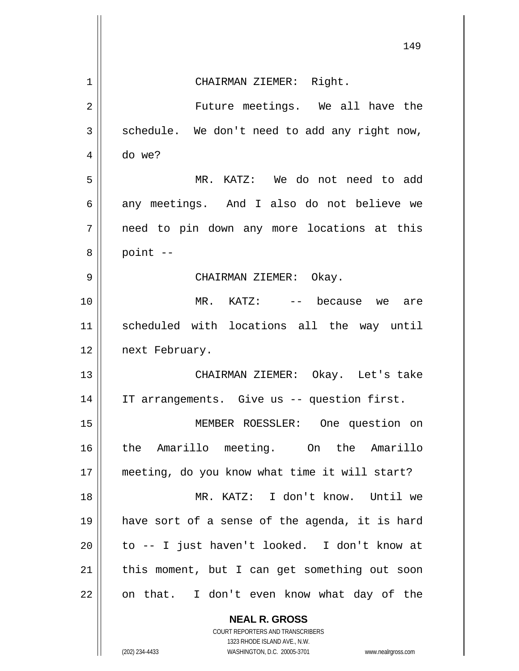|    | 149                                                                 |
|----|---------------------------------------------------------------------|
| 1  | CHAIRMAN ZIEMER: Right.                                             |
| 2  | Future meetings. We all have the                                    |
| 3  | schedule. We don't need to add any right now,                       |
| 4  | do we?                                                              |
| 5  | MR. KATZ: We do not need to add                                     |
| 6  | any meetings. And I also do not believe we                          |
| 7  | need to pin down any more locations at this                         |
| 8  | point --                                                            |
| 9  | CHAIRMAN ZIEMER: Okay.                                              |
| 10 | $MR.$ KATZ: $--$ because we<br>are                                  |
| 11 | scheduled with locations all the way until                          |
| 12 | next February.                                                      |
| 13 | CHAIRMAN ZIEMER: Okay. Let's take                                   |
| 14 | IT arrangements. Give us -- question first.                         |
| 15 | MEMBER ROESSLER: One question on                                    |
| 16 | the Amarillo meeting. On the Amarillo                               |
| 17 | meeting, do you know what time it will start?                       |
| 18 | MR. KATZ: I don't know. Until we                                    |
| 19 | have sort of a sense of the agenda, it is hard                      |
| 20 | to -- I just haven't looked. I don't know at                        |
| 21 | this moment, but I can get something out soon                       |
| 22 | on that. I don't even know what day of the                          |
|    | <b>NEAL R. GROSS</b><br>COURT REPORTERS AND TRANSCRIBERS            |
|    | 1323 RHODE ISLAND AVE., N.W.                                        |
|    | (202) 234-4433<br>WASHINGTON, D.C. 20005-3701<br>www.nealrgross.com |

 $\begin{array}{c} \hline \end{array}$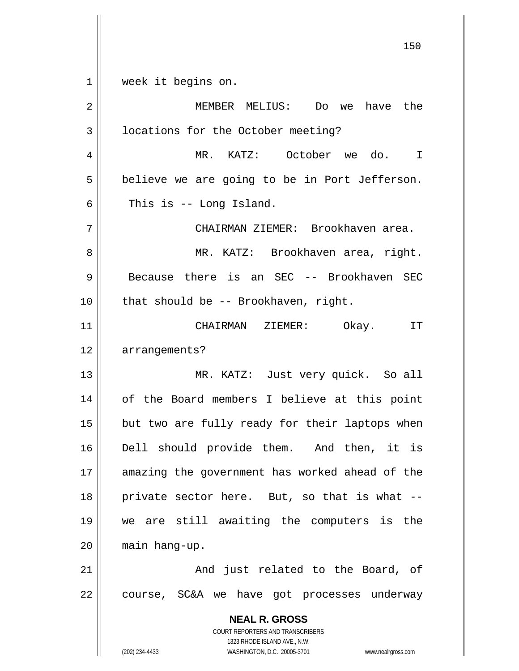**NEAL R. GROSS** COURT REPORTERS AND TRANSCRIBERS 1323 RHODE ISLAND AVE., N.W. 150 1 2 3 4 5 6 7 8 9 10 11 12 13 14 15 16 17 18 19 20 21 22 week it begins on. MEMBER MELIUS: Do we have the locations for the October meeting? MR. KATZ: October we do. I believe we are going to be in Port Jefferson. This is -- Long Island. CHAIRMAN ZIEMER: Brookhaven area. MR. KATZ: Brookhaven area, right. Because there is an SEC -- Brookhaven SEC that should be -- Brookhaven, right. CHAIRMAN ZIEMER: Okay. IT arrangements? MR. KATZ: Just very quick. So all of the Board members I believe at this point but two are fully ready for their laptops when Dell should provide them. And then, it is amazing the government has worked ahead of the private sector here. But, so that is what - we are still awaiting the computers is the main hang-up. And just related to the Board, of course, SC&A we have got processes underway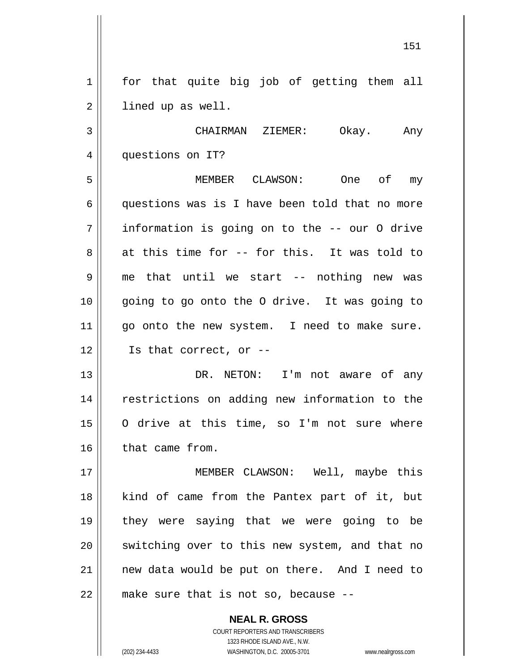1 2 for that quite big job of getting them all lined up as well.

3 4 CHAIRMAN ZIEMER: Okay. Any questions on IT?

5 6 7 8 9 10 11 12 MEMBER CLAWSON: One of my questions was is I have been told that no more information is going on to the -- our O drive at this time for -- for this. It was told to me that until we start -- nothing new was going to go onto the O drive. It was going to go onto the new system. I need to make sure. Is that correct, or --

13 14 15 16 DR. NETON: I'm not aware of any restrictions on adding new information to the O drive at this time, so I'm not sure where that came from.

17 18 19 20 21 22 MEMBER CLAWSON: Well, maybe this kind of came from the Pantex part of it, but they were saying that we were going to be switching over to this new system, and that no new data would be put on there. And I need to make sure that is not so, because --

> **NEAL R. GROSS** COURT REPORTERS AND TRANSCRIBERS 1323 RHODE ISLAND AVE., N.W. (202) 234-4433 WASHINGTON, D.C. 20005-3701 www.nealrgross.com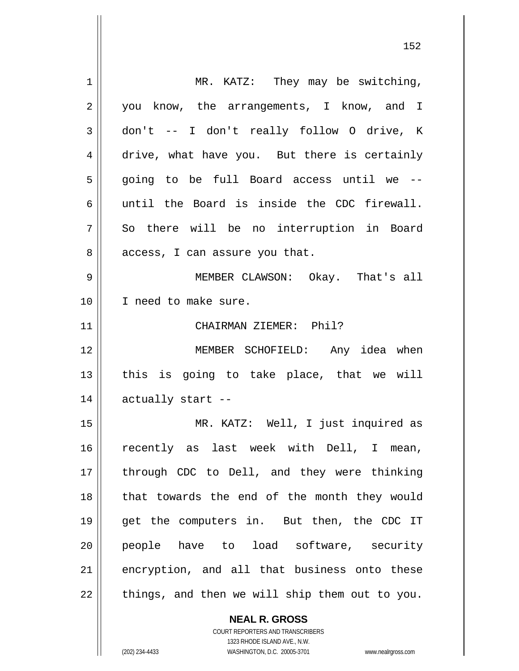| $\mathbf 1$ | MR. KATZ: They may be switching,             |
|-------------|----------------------------------------------|
| 2           | you know, the arrangements, I know, and I    |
| 3           | don't -- I don't really follow O drive, K    |
| 4           | drive, what have you. But there is certainly |
| 5           | going to be full Board access until we --    |
| 6           | until the Board is inside the CDC firewall.  |
| 7           | So there will be no interruption in Board    |
| 8           | access, I can assure you that.               |
| 9           | MEMBER CLAWSON: Okay. That's all             |
| 10          | I need to make sure.                         |
| 11          | CHAIRMAN ZIEMER: Phil?                       |
| 12          | MEMBER SCHOFIELD: Any idea when              |
| 13          | this is going to take place, that we will    |
| 14          | actually start --                            |
| 15          | MR. KATZ: Well, I just inquired as           |
| 16          | recently as last week with Dell, I mean,     |
| 17          | through CDC to Dell, and they were thinking  |
| 18          | that towards the end of the month they would |
| 19          | get the computers in. But then, the CDC IT   |
| 20          | people have to load software, security       |
| 21          |                                              |
|             | encryption, and all that business onto these |

**NEAL R. GROSS** COURT REPORTERS AND TRANSCRIBERS

1323 RHODE ISLAND AVE., N.W.

(202) 234-4433 WASHINGTON, D.C. 20005-3701 www.nealrgross.com

 $\mathsf{II}$ 

152